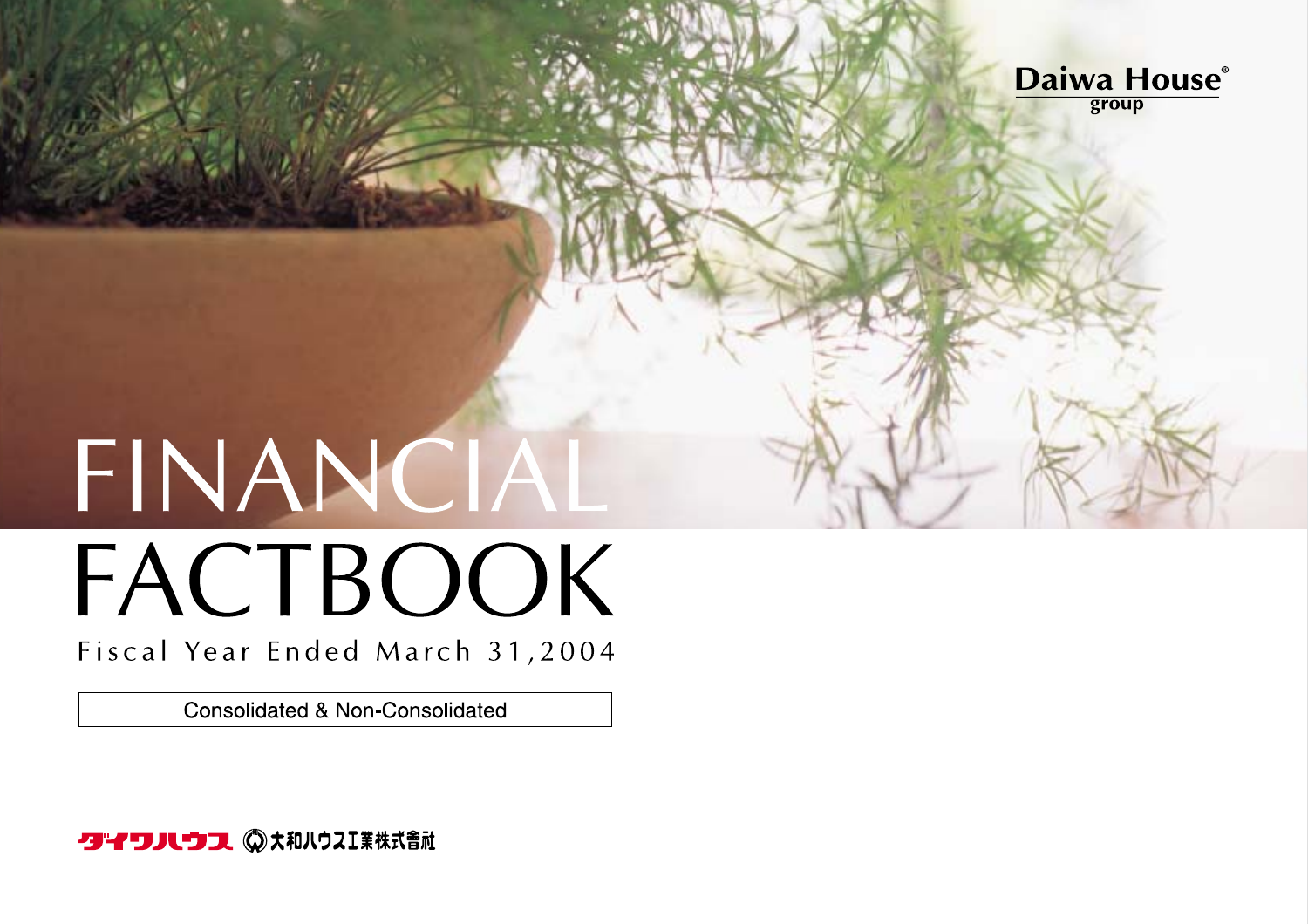

# FINANCIAL FACTBOOK

Fiscal Year Ended March 31,2004

**Consolidated & Non-Consolidated** 

クイワハウス ◎ 大和ハウスI業株式會社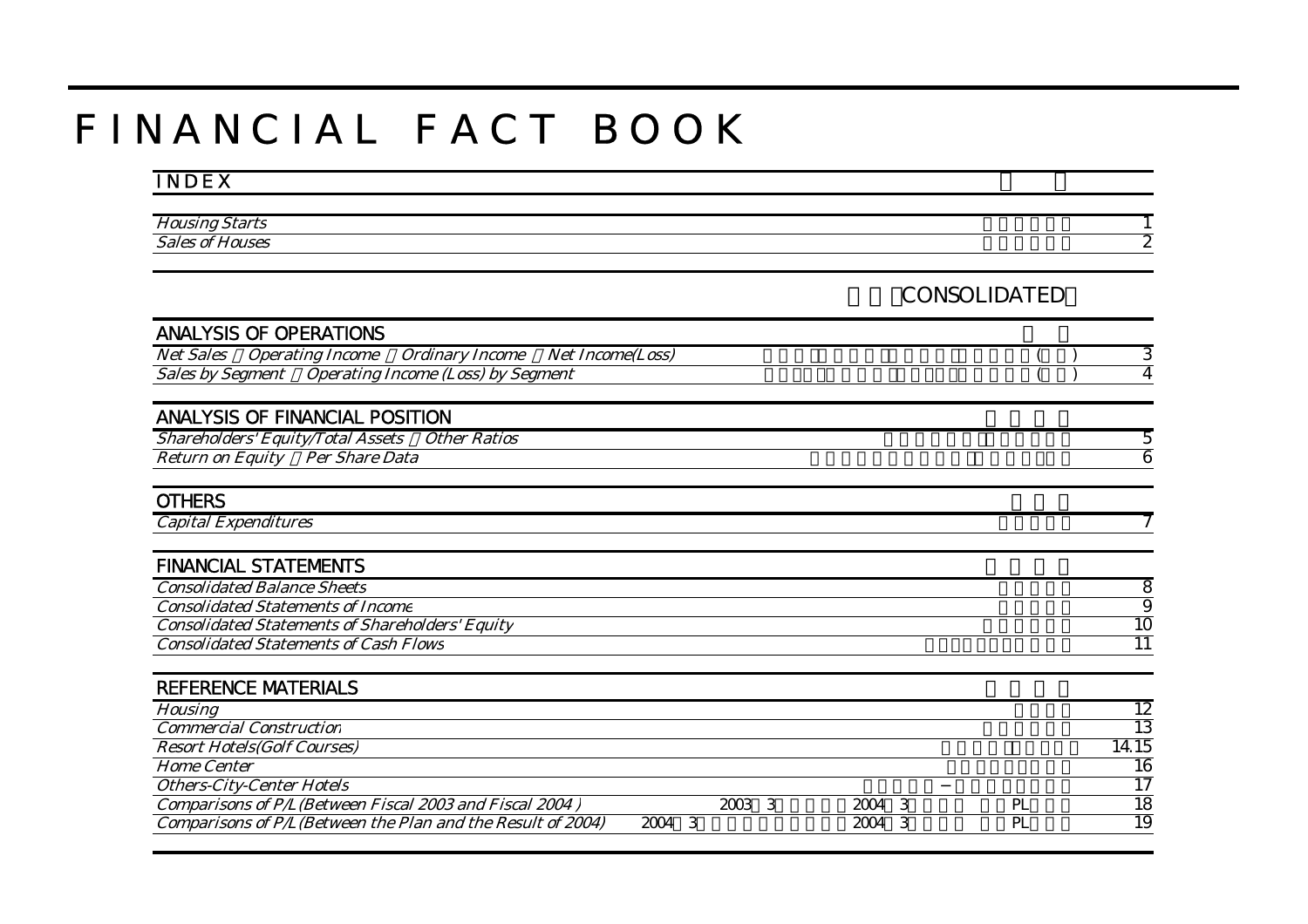# F I N A N C I A L F A C T B O O K

#### I N D E X

| $\mathbf{r}$<br><i><b>HOUS</b></i> |  |
|------------------------------------|--|
| $\sim$<br>.<br>Οò                  |  |

連結(CONSOLIDATED)

| <b>ANALYSIS OF OPERATIONS</b>                                                          |        |           |                 |
|----------------------------------------------------------------------------------------|--------|-----------|-----------------|
| <b>Net Sales</b><br><b>Operating Income</b><br><b>Ordinary Income</b> Net Income(Loss) |        |           | 3               |
| Sales by Segment Operating Income (Loss) by Segment                                    |        |           | 4               |
| <b>ANALYSIS OF FINANCIAL POSITION</b>                                                  |        |           |                 |
| <b>Shareholders' Equity/Total Assets</b><br>Other Ratios                               |        |           | 5               |
| Return on Equity Per Share Data                                                        |        |           | 6               |
| <b>OTHERS</b>                                                                          |        |           |                 |
| <b>Capital Expenditures</b>                                                            |        |           |                 |
| <b>FINANCIAL STATEMENTS</b>                                                            |        |           |                 |
| <b>Consolidated Balance Sheets</b>                                                     |        |           | $\overline{8}$  |
| <b>Consolidated Statements of Income</b>                                               |        |           | $\overline{9}$  |
| <b>Consolidated Statements of Shareholders' Equity</b>                                 |        |           | 10              |
| <b>Consolidated Statements of Cash Flows</b>                                           |        |           | $\overline{11}$ |
| <b>REFERENCE MATERIALS</b>                                                             |        |           |                 |
| <b>Housing</b>                                                                         |        |           | 12              |
| <b>Commercial Construction</b>                                                         |        |           | 13              |
| <b>Resort Hotels(Golf Courses)</b>                                                     |        |           | 14.15           |
| <b>Home Center</b>                                                                     |        |           | $\overline{16}$ |
| <b>Others-City-Center Hotels</b>                                                       |        |           | $\overline{17}$ |
| Comparisons of P/L(Between Fiscal 2003 and Fiscal 2004)                                | 2003 3 | 2004 3    | 18<br>PL        |
| Comparisons of P/L(Between the Plan and the Result of 2004)                            | 2004 3 | 2004<br>3 | 19<br>PL        |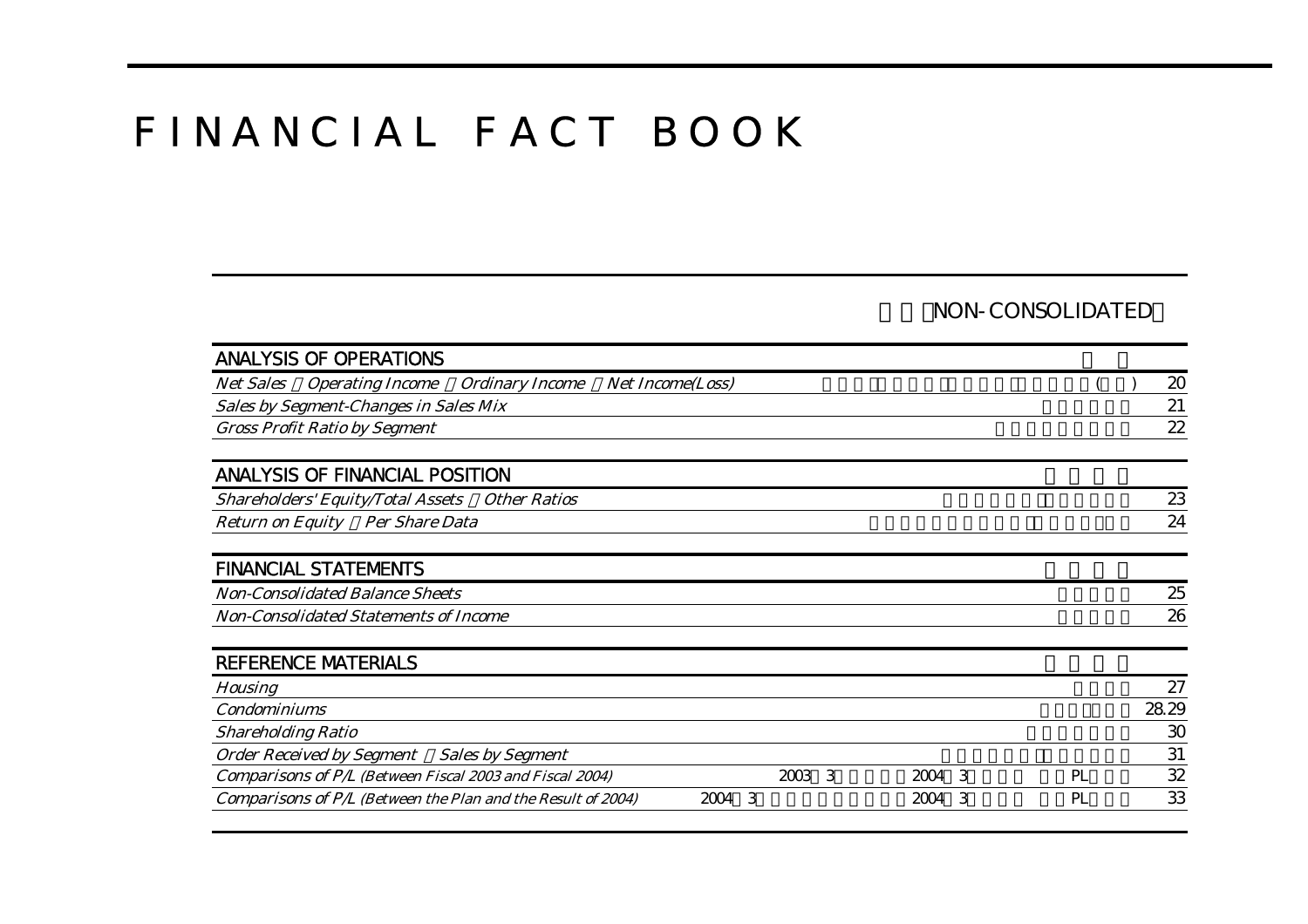# F I N A N C I A L F A C T B O O K

#### NON-CONSOLIDATED

| <b>ANALYSIS OF OPERATIONS</b>                                         |                         |        |    |       |
|-----------------------------------------------------------------------|-------------------------|--------|----|-------|
| <b>Operating Income</b><br><b>Net Sales</b><br><b>Ordinary Income</b> | <b>Net Income(Loss)</b> |        |    | 20    |
| <b>Sales by Segment-Changes in Sales Mix</b>                          |                         |        |    | 21    |
| <b>Gross Profit Ratio by Segment</b>                                  |                         |        |    | 22    |
| <b>ANALYSIS OF FINANCIAL POSITION</b>                                 |                         |        |    |       |
| <b>Shareholders' Equity/Total Assets</b><br><b>Other Ratios</b>       |                         |        |    | 23    |
| <b>Return on Equity</b><br><b>Per Share Data</b>                      |                         |        |    | 24    |
| <b>FINANCIAL STATEMENTS</b>                                           |                         |        |    |       |
| <b>Non-Consolidated Balance Sheets</b>                                |                         |        |    | 25    |
| <b>Non-Consolidated Statements of Income</b>                          |                         |        |    | 26    |
| <b>REFERENCE MATERIALS</b>                                            |                         |        |    |       |
| <b>Housing</b>                                                        |                         |        |    | 27    |
| <b>Condominiums</b>                                                   |                         |        |    | 28.29 |
| <b>Shareholding Ratio</b>                                             |                         |        |    | 30    |
| <b>Order Received by Segment</b><br><b>Sales by Segment</b>           |                         |        |    | 31    |
| Comparisons of P/L (Between Fiscal 2003 and Fiscal 2004)              | 2003 3                  | 2004 3 | PL | 32    |
| Comparisons of P/L (Between the Plan and the Result of 2004)          | -3<br>2004              | 2004 3 | PL | 33    |
|                                                                       |                         |        |    |       |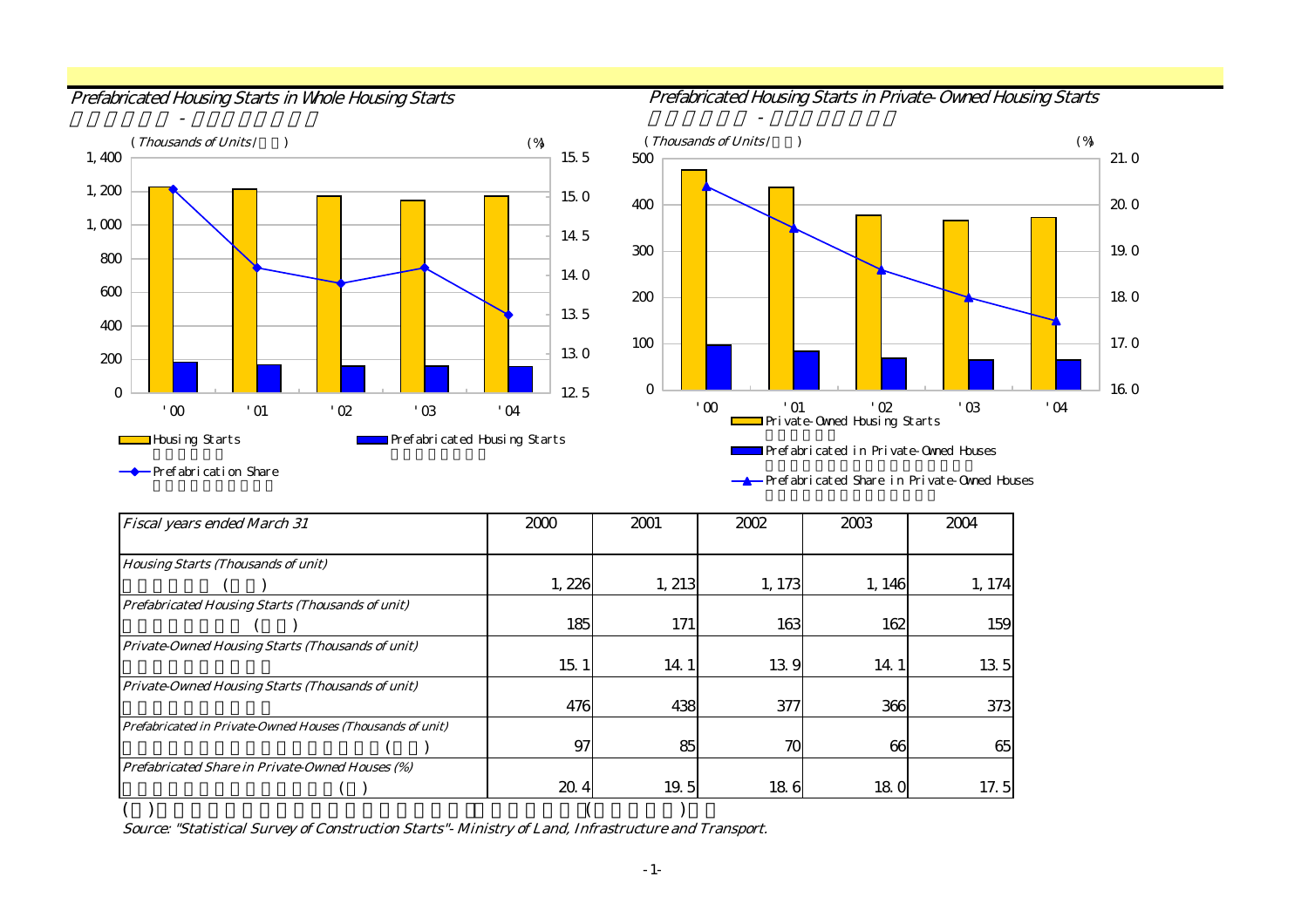住宅着工戸数 - プレハブ着工戸数

Prefabricated Housing Starts in Whole Housing Starts **Prefabricated Housing Starts in Private-Owned Housing Starts** 





Prefabrication Share

Prefabricated Share in Private-Owned Houses

| <b>Fiscal years ended March 31</b>                        | 2000  | 2001   | 2002   | 2003   | 2004   |
|-----------------------------------------------------------|-------|--------|--------|--------|--------|
|                                                           |       |        |        |        |        |
| <b>Housing Starts (Thousands of unit)</b>                 |       |        |        |        |        |
|                                                           | 1,226 | 1, 213 | 1, 173 | 1, 146 | 1, 174 |
| <b>Prefabricated Housing Starts (Thousands of unit)</b>   |       |        |        |        |        |
|                                                           | 185   | 171    | 163    | 162    | 159    |
| Private-Owned Housing Starts (Thousands of unit)          |       |        |        |        |        |
|                                                           | 15.   | 14.1   | 139    | 14.1   | 13.5   |
| Private-Owned Housing Starts (Thousands of unit)          |       |        |        |        |        |
|                                                           | 476   | 438    | 377    | 366    | 373    |
| Prefabricated in Private-Owned Houses (Thousands of unit) |       |        |        |        |        |
|                                                           | 97    | 85     | 70     | 66     | 65     |
| <b>Prefabricated Share in Private-Owned Houses (%)</b>    |       |        |        |        |        |
|                                                           | 20.4  | 19.5   | 186    | 18.0   | 17.5   |
|                                                           |       |        |        |        |        |

Source: "Statistical Survey of Construction Starts"- Ministry of Land, Infrastructure and Transport.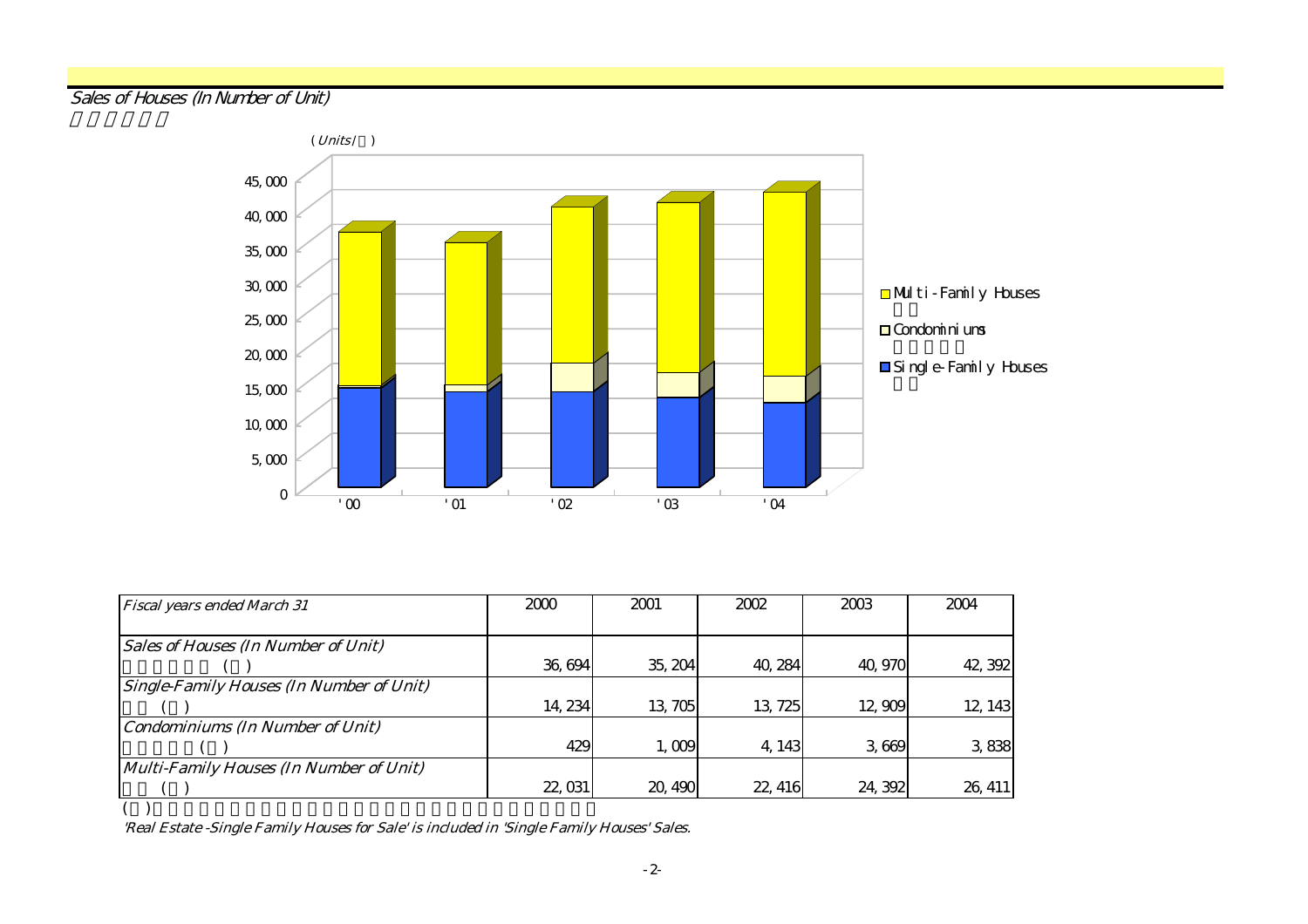#### Sales of Houses (In Number of Unit)



| <b>Fiscal years ended March 31</b>              | 2000    | 2001    | 2002    | 2003    | 2004    |
|-------------------------------------------------|---------|---------|---------|---------|---------|
|                                                 |         |         |         |         |         |
| <b>Sales of Houses (In Number of Unit)</b>      |         |         |         |         |         |
|                                                 | 36,694  | 35, 204 | 40, 284 | 40, 970 | 42, 392 |
| <b>Single-Family Houses (In Number of Unit)</b> |         |         |         |         |         |
|                                                 | 14, 234 | 13,705  | 13, 725 | 12,909  | 12, 143 |
| <b>Condominiums (In Number of Unit)</b>         |         |         |         |         |         |
|                                                 | 429     | 1,009   | 4, 143  | 3,669   | 3838    |
| Multi-Family Houses (In Number of Unit)         |         |         |         |         |         |
|                                                 | 22, 031 | 20, 490 | 22, 416 | 24, 392 | 26, 411 |
|                                                 |         |         |         |         |         |

'Real Estate -Single Family Houses for Sale' is included in 'Single Family Houses' Sales.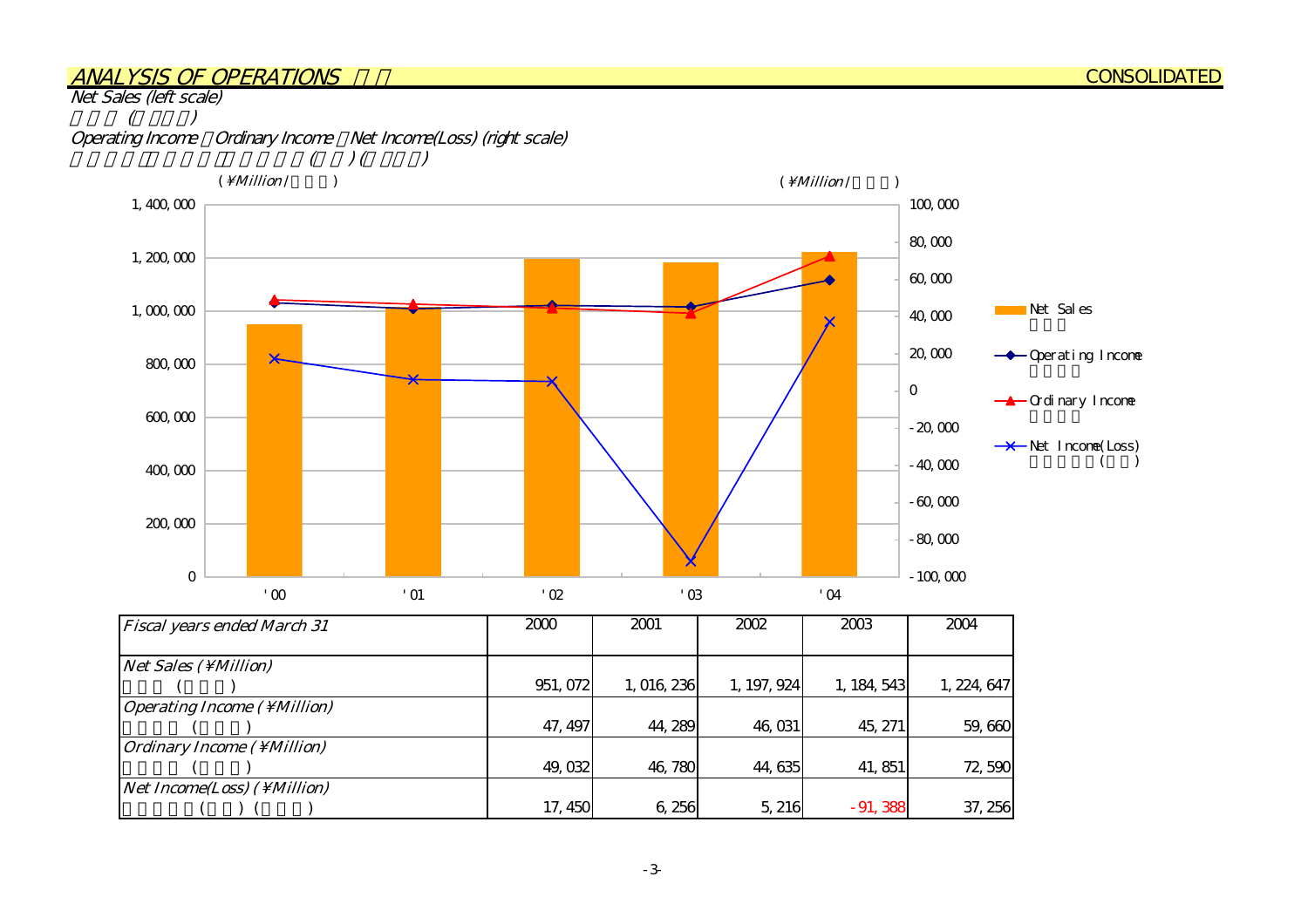#### ANALYSIS OF OPERATIONS

Net Sales (left scale)



| <b>Fiscal years ended March 31</b>          | 2000     | 2001      | 2002        | 2003        | 2004        |
|---------------------------------------------|----------|-----------|-------------|-------------|-------------|
| $Net Sales (\Million)$                      |          |           |             |             |             |
|                                             | 951, 072 | 1,016,236 | 1, 197, 924 | 1, 184, 543 | 1, 224, 647 |
| <i><b>Operating Income (\Million)</b></i>   |          |           |             |             |             |
|                                             | 47, 497  | 44, 289   | 46,031      | 45, 271     | 59,660      |
| <i><b>Ordinary Income ( \ Million)</b></i>  |          |           |             |             |             |
|                                             | 49,032   | 46,780    | 44, 635     | 41, 851     | 72,590      |
| <i>Net Income(Loss)</i> ( \ <i>Million)</i> |          |           |             |             |             |
|                                             | 17, 450  | 6,256     | 5, 216      | $-91,388$   | 37, 256     |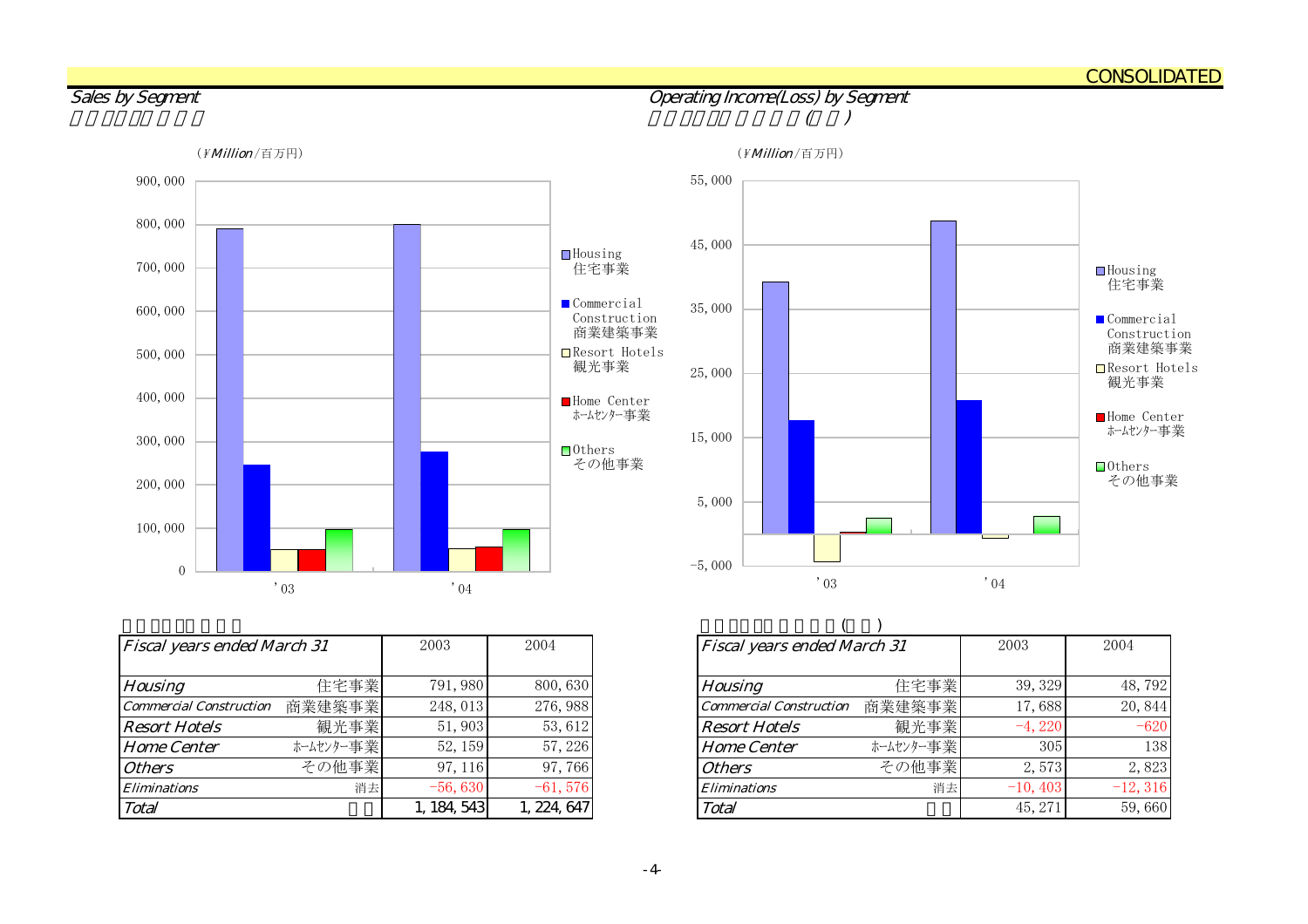CONSOLIDATED

 $\mathbf{0}$ 100,000 200,000 300,000 400,000 500,000 600,000 700,000 800,000 900,000 '03 '04  $\Box$  Housing - ………。<br>住宅事業 **Commercial**  Construction 商業建築事業 Resort Hotels 観光事業■Home Center ホームセンター事業■Others その他事業 (*\ Million* /百万円) (\* Million /百万円) (\* Million /百万円)

| <b>Fiscal years ended March 31</b> |           | 2003        | 2004        | <b>Fiscal years ended March 31</b> |           |
|------------------------------------|-----------|-------------|-------------|------------------------------------|-----------|
| <b>Housing</b>                     | 住宅事業      | 791, 980    | 800, 630    | <b>Housing</b>                     | 住宅事業      |
| <b>Commercial Construction</b>     | 商業建築事業    | 248, 013    | 276, 988    | <b>Commercial Construction</b>     | 商業建築事業    |
| <b>Resort Hotels</b>               | 観光事業      | 51,903      | 53,612      | <b>Resort Hotels</b>               | 観光事業      |
| <b>Home Center</b>                 | ホームセンター事業 | 52, 159     | 57, 226     | <b>Home Center</b>                 | ホームセンター事業 |
| <b>Others</b>                      | その他事業     | 97, 116     | 97,766      | <b>Others</b>                      | その他事業     |
| <i><b>Eliminations</b></i>         | 消去        | $-56,630$   | $-61,576$   | <b>Eliminations</b>                | 消去        |
| Total                              |           | 1, 184, 543 | 1, 224, 647 | Total                              |           |



| Fiscal years ended March 31    |           | 2003        | 2004       | <b>Fiscal years ended March 31</b> |           | 2003       | 2004       |
|--------------------------------|-----------|-------------|------------|------------------------------------|-----------|------------|------------|
| Housing                        | 住宅事業      | 791, 980    | 800, 630   | <b>Housing</b>                     | 住宅事業      | 39, 329    | 48,792     |
| <b>Commercial Construction</b> | 商業建築事業    | 248, 013    | 276, 988   | <b>Commercial Construction</b>     | 商業建築事業    | 17,688     | 20,844     |
| <b>Resort Hotels</b>           | 観光事業      | 51,903      | 53,612     | <b>Resort Hotels</b>               | 観光事業      | $-4,220$   | $-620$     |
| <b>Home Center</b>             | ホームセンター事業 | 52, 159     | 57, 226    | <b>Home Center</b>                 | ホームセンター事業 | 305        | 138        |
| <i><b>Others</b></i>           | その他事業     | 97, 116     | 97,766     | <b>Others</b>                      | その他事業     | 2,573      | 2,823      |
| Eliminations                   | 消去        | $-56,630$   | $-61,576$  | <b>Eliminations</b>                | 消去        | $-10, 403$ | $-12, 316$ |
| Total                          |           | 1, 184, 543 | , 224, 647 | Total                              |           | 45, 271    | 59,660     |

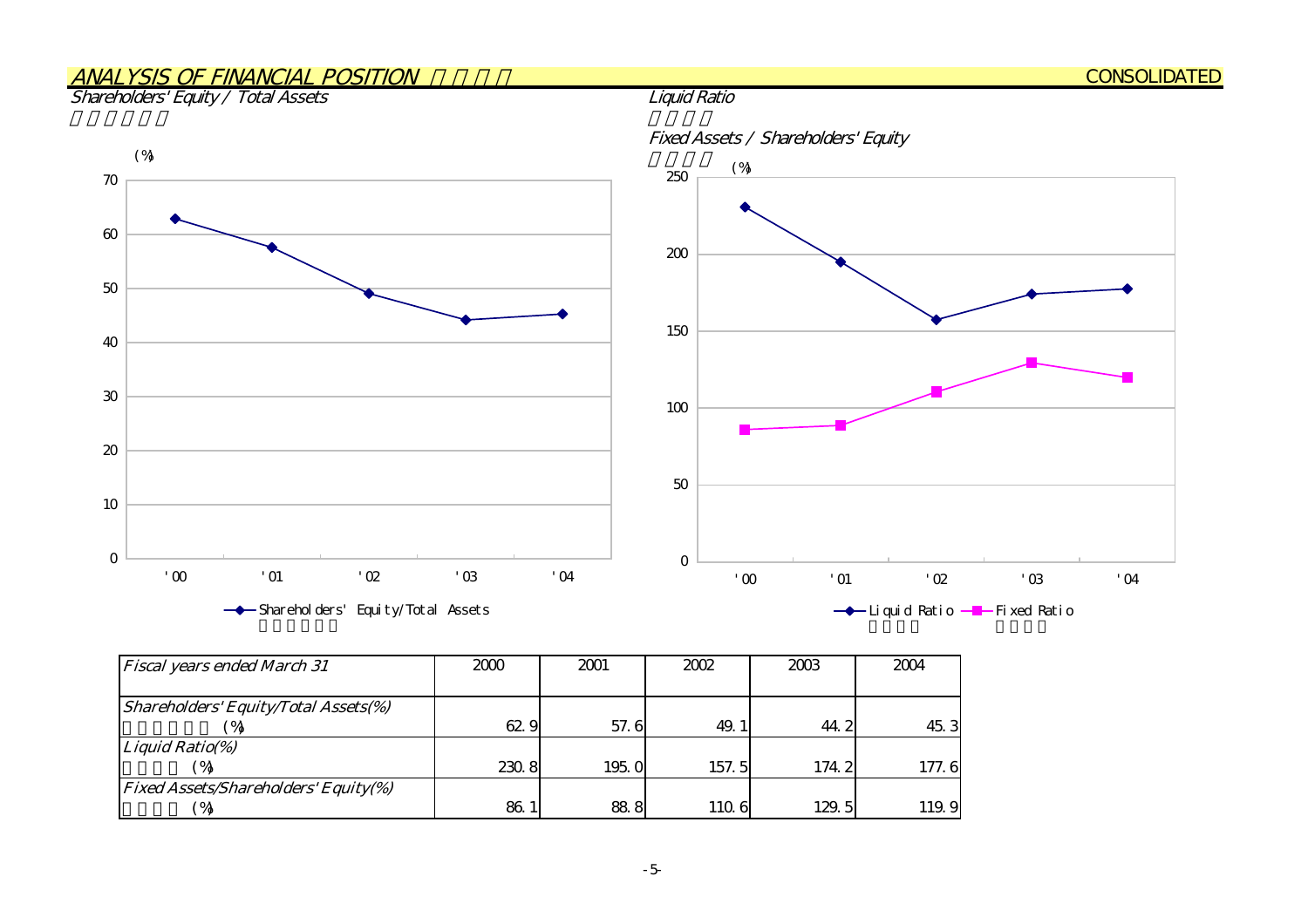## ANALYSIS OF FINANCIAL POSITION

Shareholders' Equity / Total Assets



| <b>Fiscal years ended March 31</b>          | 2000  | 2001  | 2002  | 2003  | 2004  |
|---------------------------------------------|-------|-------|-------|-------|-------|
|                                             |       |       |       |       |       |
| Shareholders' Equity/Total Assets(%)        |       |       |       |       |       |
|                                             | 62.9  | 57.6  | 49.   | 44.2  | 45.3  |
| Liquid Ratio(%)                             |       |       |       |       |       |
|                                             | 230.8 | 195.0 | 157.5 | 174.2 | 177.6 |
| <b>Fixed Assets/Shareholders' Equity(%)</b> |       |       |       |       |       |
| ′ %                                         | 86.1  | 88.8  | 110.6 | 129.5 | 119.9 |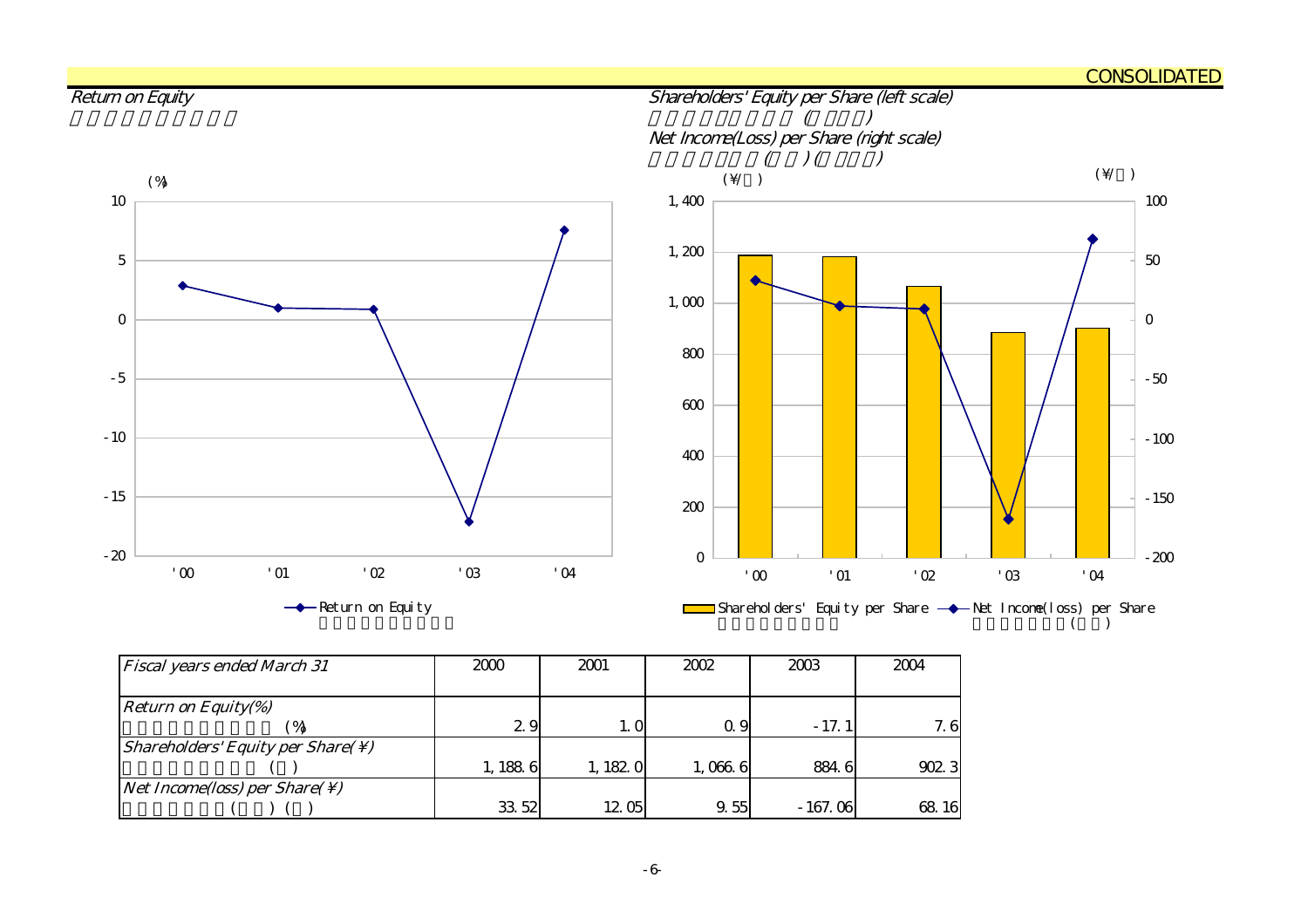#### CONSOLIDATED



| <b>Fiscal years ended March 31</b>                            | 2000   | 2001     | 2002    | 2003      | 2004  |
|---------------------------------------------------------------|--------|----------|---------|-----------|-------|
|                                                               |        |          |         |           |       |
| <b>Return on Equity(%)</b>                                    |        |          |         |           |       |
| $\mathcal{A}$                                                 | 29     | 1. O     | Q 9     | - 17. 11  | 7.6   |
| <i>Shareholders' Equity per Share(<math>\setminus</math>)</i> |        |          |         |           |       |
|                                                               | 1,1886 | 1, 182 0 | 1,066.6 | 884.6     | 902.3 |
| <i>Net Income(loss) per Share(<math>\setminus</math>)</i>     |        |          |         |           |       |
|                                                               | 33 52  | 1205     | 9.55    | $-167.06$ | 68 16 |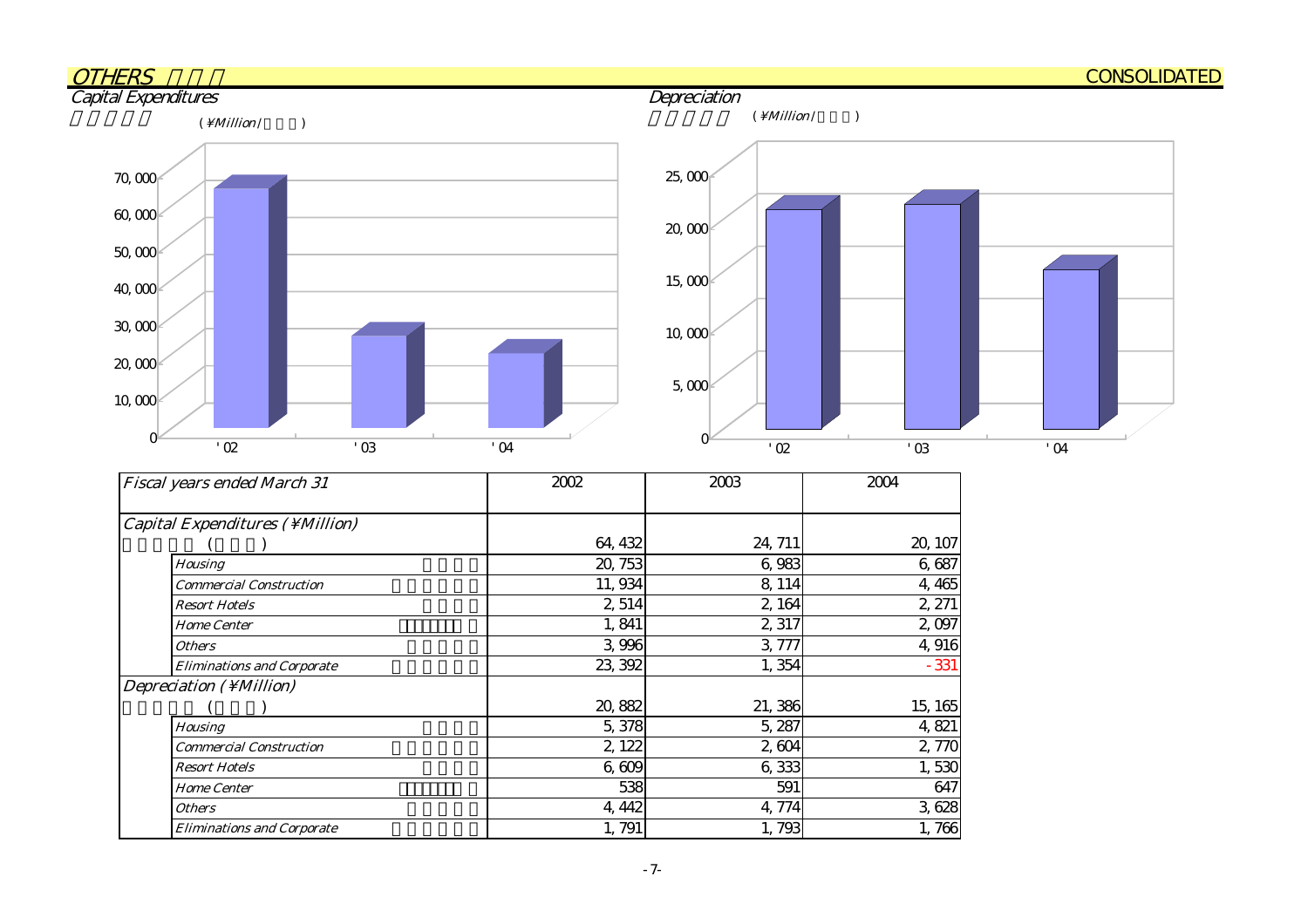

| Capital Expenditures ( \ Million) |         |         |         |
|-----------------------------------|---------|---------|---------|
|                                   | 64, 432 | 24, 711 | 20, 107 |
| Housing                           | 20, 753 | 6,983   | 6,687   |
| <b>Commercial Construction</b>    | 11,934  | 8, 114  | 4,465   |
| <b>Resort Hotels</b>              | 2,514   | 2,164   | 2, 271  |
| <b>Home Center</b>                | 1,841   | 2,317   | 2,097   |
| <b>Others</b>                     | 3,996   | 3,777   | 4,916   |
| <b>Eliminations and Corporate</b> | 23, 392 | 1,354   | $-331$  |
| Depreciation $(\ \M $ illion)     |         |         |         |
|                                   | 20,882  | 21,386  | 15, 165 |
| <b>Housing</b>                    | 5,378   | 5,287   | 4,821   |
| <b>Commercial Construction</b>    | 2, 122  | 2,604   | 2,770   |
| <b>Resort Hotels</b>              | 6,609   | 6,333   | 1,530   |
| <b>Home Center</b>                | 538     | 591     | 647     |
| <b>Others</b>                     | 4, 442  | 4,774   | 3,628   |
| <b>Eliminations and Corporate</b> | 1,791   | 1,793   | 1,766   |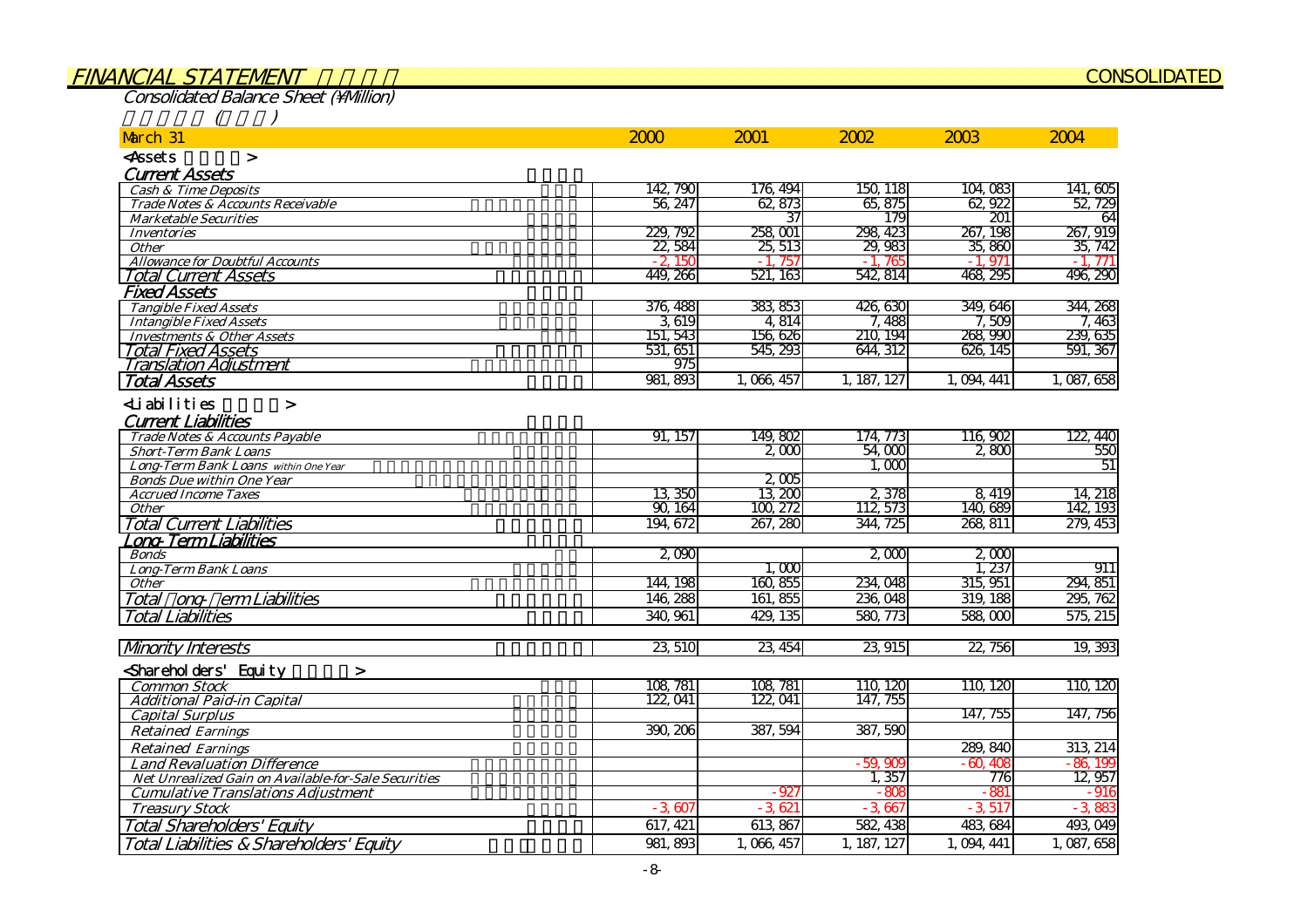#### FINANCIAL STATEMENT

Consolidated Balance Sheet (\Million)

|  | $\overline{\phantom{a}}$ |
|--|--------------------------|
|  |                          |
|  |                          |
|  |                          |

| March 31                                             | 2000     | 2001        | 2002        | 2003         | 2004         |
|------------------------------------------------------|----------|-------------|-------------|--------------|--------------|
| <assets<br><math>\geq</math></assets<br>             |          |             |             |              |              |
| <b>Current Assets</b>                                |          |             |             |              |              |
| <b>Cash &amp; Time Deposits</b>                      | 142, 790 | 176, 494    | 150, 118    | 104,083      | 141,605      |
| Trade Notes & Accounts Receivable                    | 56, 247  | 62,873      | 65,875      | 62,922       | 52, 729      |
| <b>Marketable Securities</b>                         |          | 37          | 179         | 201          | 64           |
| <b>Inventories</b>                                   | 229, 792 | 258,001     | 298, 423    | 267, 198     | 267, 919     |
| <b>Other</b>                                         | 22,584   | 25, 513     | 29,983      | 35,860       | 35, 742      |
| <b>Allowance for Doubtful Accounts</b>               | $-2.15C$ | 757<br>$-1$ | 765<br>$-1$ | 971<br>$-1.$ | 771<br>$-1.$ |
| <b>Total Current Assets</b>                          | 449, 266 | 521, 163    | 542, 814    | 468, 295     | 496, 290     |
| <b>Fixed Assets</b>                                  |          |             |             |              |              |
| <b>Tangible Fixed Assets</b>                         | 376, 488 | 383, 853    | 426,630     | 349, 646     | 344, 268     |
| <b>Intangible Fixed Assets</b>                       | 3619     | 4 8 14      | 7,488       | 7,509        | 7. 463       |
| <b>Investments &amp; Other Assets</b>                | 151, 543 | 156,626     | 210, 194    | 268, 990     | 239, 635     |
| <b>Total Fixed Assets</b>                            | 531, 651 | 545, 293    | 644, 312    | 626, 145     | 591, 367     |
| <u> Translation Adiustment</u>                       | 975      |             |             |              |              |
| <b>Total Assets</b>                                  | 981, 893 | 1,066,457   | 1, 187, 127 | 1,094,441    | 1,087,658    |
| <b>∠Liabilities</b><br>$\geq$                        |          |             |             |              |              |
| <b>Current Liabilities</b>                           |          |             |             |              |              |
| Trade Notes & Accounts Payable                       | 91, 157  | 149,802     | 174, 773    | 116,902      | 122, 440     |
| <b>Short-Term Bank Loans</b>                         |          | 2000        | 54,000      | 2800         | 550          |
| Long-Term Bank Loans within One Year                 |          |             | 1.000       |              | 51           |
| <b>Bonds Due within One Year</b>                     |          | 2005        |             |              |              |
| <b>Accrued Income Taxes</b>                          | 13,350   | 13,200      | 2,378       | 8,419        | 14, 218      |
| <b>Other</b>                                         | 90.164   | 100, 272    | 112, 573    | 140,689      | 142, 193     |
| <b>Total Current Liabilities</b>                     | 194, 672 | 267, 280    | 344, 725    | 268, 811     | 279, 453     |
| ong Term Liabilities.                                |          |             |             |              |              |
| <b>Bonds</b>                                         | 2090     |             | 2,000       | 2000         |              |
| <b>Long-Term Bank Loans</b>                          |          | 1.000       |             | 1,237        | 911          |
| <b>Other</b>                                         | 144, 198 | 160, 855    | 234, 048    | 315, 951     | 294, 851     |
| Total ong erm Liabilities                            | 146, 288 | 161, 855    | 236, 048    | 319, 188     | 295, 762     |
| <b>Total Liabilities</b>                             | 340, 961 | 429, 135    | 580, 773    | 588,000      | 575, 215     |
|                                                      |          |             |             |              |              |
| <b>Mnority Interests</b>                             | 23,510   | 23, 454     | 23, 915     | 22,756       | 19, 393      |
| Sharehol ders' Equity<br>$\geq$                      |          |             |             |              |              |
| <b>Common Stock</b>                                  | 108, 781 | 108, 781    | 110, 120    | 110, 120     | 110, 120     |
| <b>Additional Paid-in Capital</b>                    | 122, 041 | 122, 041    | 147, 755    |              |              |
| <b>Capital Surplus</b>                               |          |             |             | 147, 755     | 147, 756     |
| <b>Retained Earnings</b>                             | 390, 206 | 387, 594    | 387,590     |              |              |
| <b>Retained Earnings</b>                             |          |             |             | 289, 840     | 313 214      |
| <b>Land Revaluation Difference</b>                   |          |             | $-59,900$   | $-60.408$    | $-86,199$    |
| Net Unrealized Gain on Available-for-Sale Securities |          |             | 1,357       | 776          | 12,957       |
| <b>Cumulative Translations Adjustment</b>            |          | $-927$      | $-805$      | $-881$       | - 916        |
| <b>Treasury Stock</b>                                | $-3.607$ | $-3621$     | $-3.667$    | $-3,517$     | $-3.883$     |
| <b>Total Shareholders' Equity</b>                    | 617, 421 | 613, 867    | 582, 438    | 483, 684     | 493, 049     |
| Total Liabilities & Shareholders' Equity             | 981, 893 | 1, 066, 457 | 1, 187, 127 | 1, 094, 441  | 1,087,658    |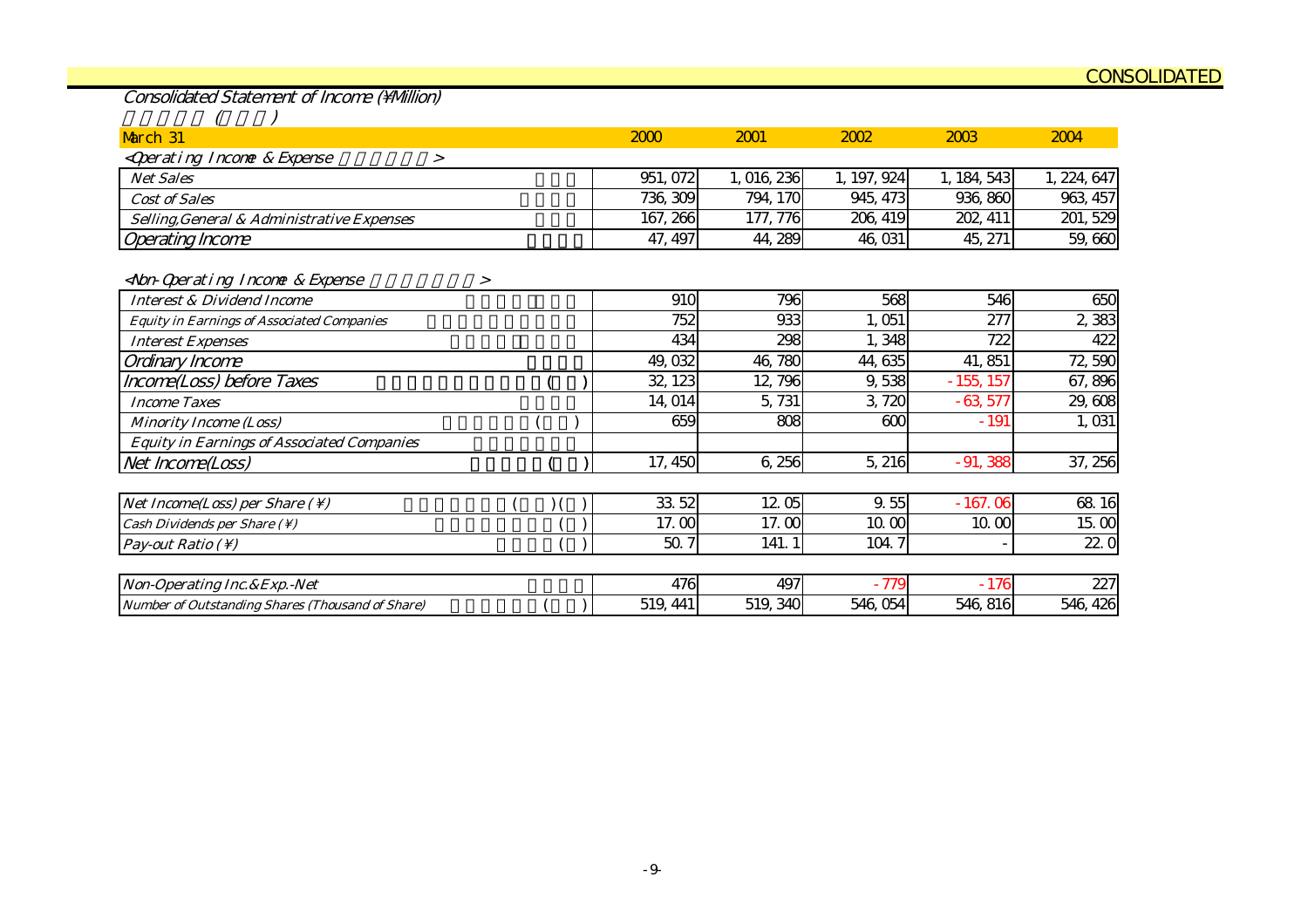Consolidated Statement of Income (Million)

| March 31                                                                      | 2000     | 2001      | 2002        | 2003        | 2004        |
|-------------------------------------------------------------------------------|----------|-----------|-------------|-------------|-------------|
| <qperating &="" expense<br="" incone="">&gt;</qperating>                      |          |           |             |             |             |
| <b>Net Sales</b>                                                              | 951, 072 | 1,016,236 | 1, 197, 924 | 1, 184, 543 | 1, 224, 647 |
| <b>Cost of Sales</b>                                                          | 736, 309 | 794, 170  | 945, 473    | 936, 860    | 963, 457    |
| Selling, General & Administrative Expenses                                    | 167, 266 | 177, 776  | 206, 419    | 202, 411    | 201, 529    |
| <b>Operating Income</b>                                                       | 47, 497  | 44, 289   | 46,031      | 45, 271     | 59,660      |
| <non-qperating &="" expense<br="" incone=""><math>\geq</math></non-qperating> |          |           |             |             |             |
| <b>Interest &amp; Dividend Income</b>                                         | 910      | 796       | 568         | 546         | 650         |
| <b>Equity in Earnings of Associated Companies</b>                             | 752      | 933       | 1,051       | 277         | 2,383       |
| <b>Interest Expenses</b>                                                      | 434      | 298       | 1,348       | 722         | 422         |
| Ordinary Income                                                               | 49,032   | 46,780    | 44, 635     | 41, 851     | 72,590      |
| Income(Loss) before Taxes                                                     | 32, 123  | 12, 796   | 9,538       | $-155, 157$ | 67,896      |
| <b>Income Taxes</b>                                                           | 14, 014  | 5,731     | 3,720       | $-63,577$   | 29,608      |
| <b>Minority Income (Loss)</b>                                                 | 659      | 808       | 600         | $-191$      | 1,031       |
| <b>Equity in Earnings of Associated Companies</b>                             |          |           |             |             |             |
| Net Income(Loss)                                                              | 17, 450  | 6,256     | 5, 216      | $-91,388$   | 37, 256     |
|                                                                               |          |           |             |             |             |
| Net Income(Loss) per Share $( \setminus )$                                    | 33 52    | 12.05     | 9.55        | $-167.06$   | 68 16       |
| Cash Dividends per Share (\)                                                  | 17.00    | 17.00     | 10.00       | 10.00       | 15.00       |
| Pay-out Ratio $( \setminus )$                                                 | 50.7     | 141.1     | 104.7       |             | 22.0        |
| Non-Operating Inc. & Exp. - Net                                               | 476      | 497       | $-779$      | $-176$      | 227         |
| Number of Outstanding Shares (Thousand of Share)                              | 519, 441 | 519, 340  | 546,054     | 546, 816    | 546, 426    |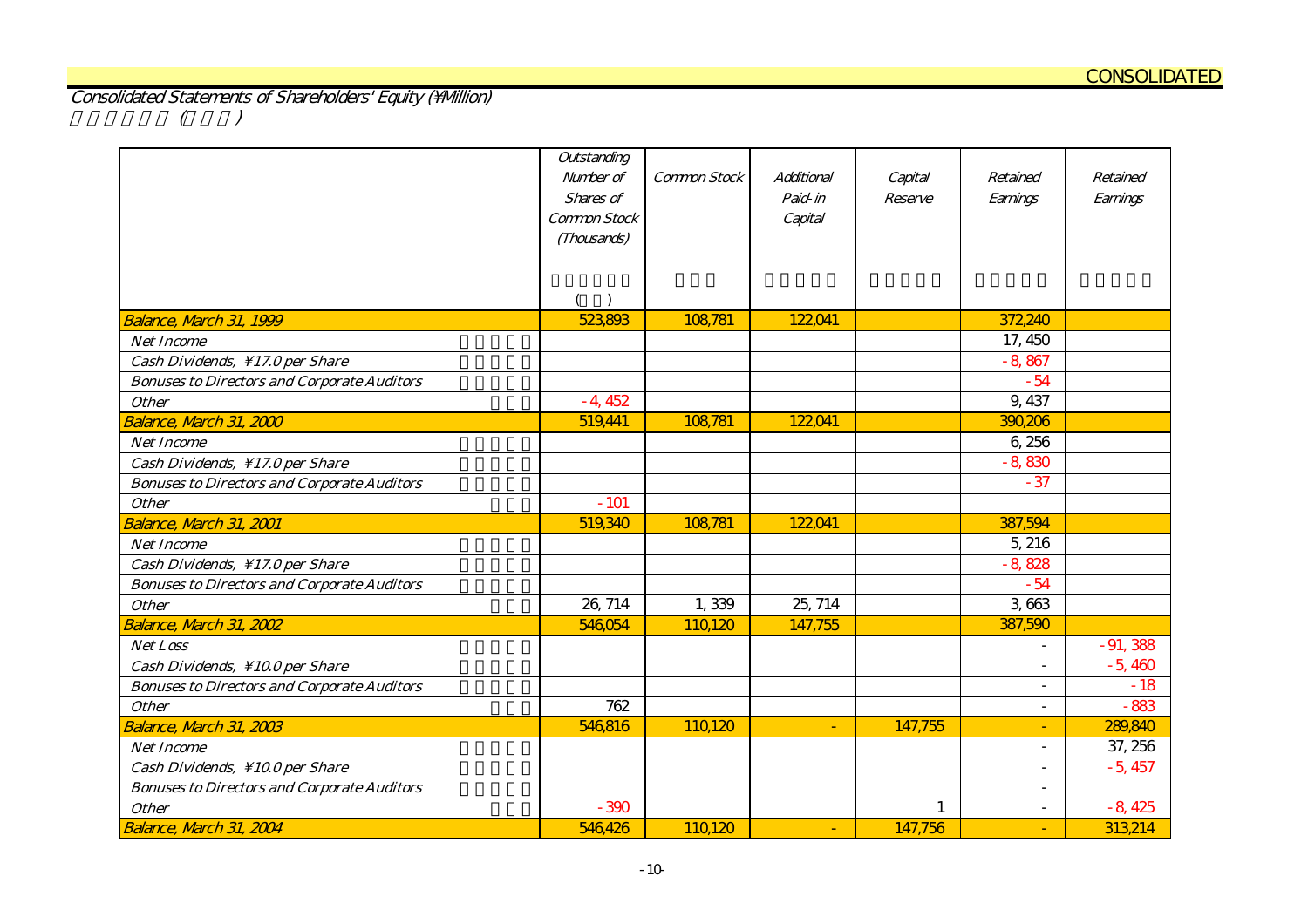Consolidated Statements of Shareholders' Equity (\Million)  $(1)$ 

|                                                                    | Outstanding<br>Number of<br>Shares of<br>Common Stock<br>(Thousands) | Common Stock | Additional<br>Paid-in<br>Capital | Capital<br>Reserve | Retained<br>Earnings     | Retained<br>Earnings |
|--------------------------------------------------------------------|----------------------------------------------------------------------|--------------|----------------------------------|--------------------|--------------------------|----------------------|
|                                                                    |                                                                      |              |                                  |                    |                          |                      |
| Balance, Narch 31, 1999                                            | 523,893                                                              | 108,781      | 122,041                          |                    | 372,240                  |                      |
| <b>Net Income</b>                                                  |                                                                      |              |                                  |                    | 17, 450                  |                      |
| Cash Dividends, \17.0 per Share                                    |                                                                      |              |                                  |                    | $-8,867$                 |                      |
| <b>Bonuses to Directors and Corporate Auditors</b><br><b>Other</b> | $-4,452$                                                             |              |                                  |                    | $-54$<br>9, 437          |                      |
| Balance, March 31, 2000                                            | 519,441                                                              | 108,781      | 122041                           |                    | 390,206                  |                      |
| <b>Net Income</b>                                                  |                                                                      |              |                                  |                    | 6,256                    |                      |
| Cash Dividends, \17.0 per Share                                    |                                                                      |              |                                  |                    | $-8,830$                 |                      |
| <b>Bonuses to Directors and Corporate Auditors</b>                 |                                                                      |              |                                  |                    | $-37$                    |                      |
| <b>Other</b>                                                       | $-101$                                                               |              |                                  |                    |                          |                      |
| Balance, March 31, 2001                                            | 519,340                                                              | 108,781      | 122041                           |                    | 387,594                  |                      |
| <b>Net Income</b>                                                  |                                                                      |              |                                  |                    | 5,216                    |                      |
| Cash Dividends, \17.0 per Share                                    |                                                                      |              |                                  |                    | $-8,828$                 |                      |
| <b>Bonuses to Directors and Corporate Auditors</b>                 |                                                                      |              |                                  |                    | $-54$                    |                      |
| <b>Other</b>                                                       | 26, 714                                                              | 1,339        | 25, 714                          |                    | 3663                     |                      |
| Balance, March 31, 2002                                            | 546,054                                                              | 110,120      | 147,755                          |                    | 387,590                  |                      |
| Net Loss                                                           |                                                                      |              |                                  |                    | $\overline{\phantom{a}}$ | $-91,388$            |
| Cash Dividends, \10.0 per Share                                    |                                                                      |              |                                  |                    | $\overline{a}$           | $-5,460$             |
| <b>Bonuses to Directors and Corporate Auditors</b>                 |                                                                      |              |                                  |                    | $\overline{\phantom{a}}$ | $-18$                |
| <b>Other</b>                                                       | 762                                                                  |              |                                  |                    | $\overline{\phantom{a}}$ | $-883$               |
| Balance, March 31, 2003                                            | 546,816                                                              | 110,120      | $\blacksquare$                   | 147,755            | ٠                        | 289,840              |
| <b>Net Income</b>                                                  |                                                                      |              |                                  |                    | $\overline{\phantom{a}}$ | 37, 256              |
| Cash Dividends, \10.0 per Share                                    |                                                                      |              |                                  |                    | $\overline{\phantom{a}}$ | $-5,457$             |
| <b>Bonuses to Directors and Corporate Auditors</b>                 |                                                                      |              |                                  |                    | $\overline{\phantom{a}}$ |                      |
| <b>Other</b>                                                       | $-390$                                                               |              |                                  | $\mathbf{1}$       | $\overline{\phantom{0}}$ | $-8,425$             |
| Balance, March 31, 2004                                            | 546,426                                                              | 110,120      | $\blacksquare$                   | 147,756            | ٠                        | 313,214              |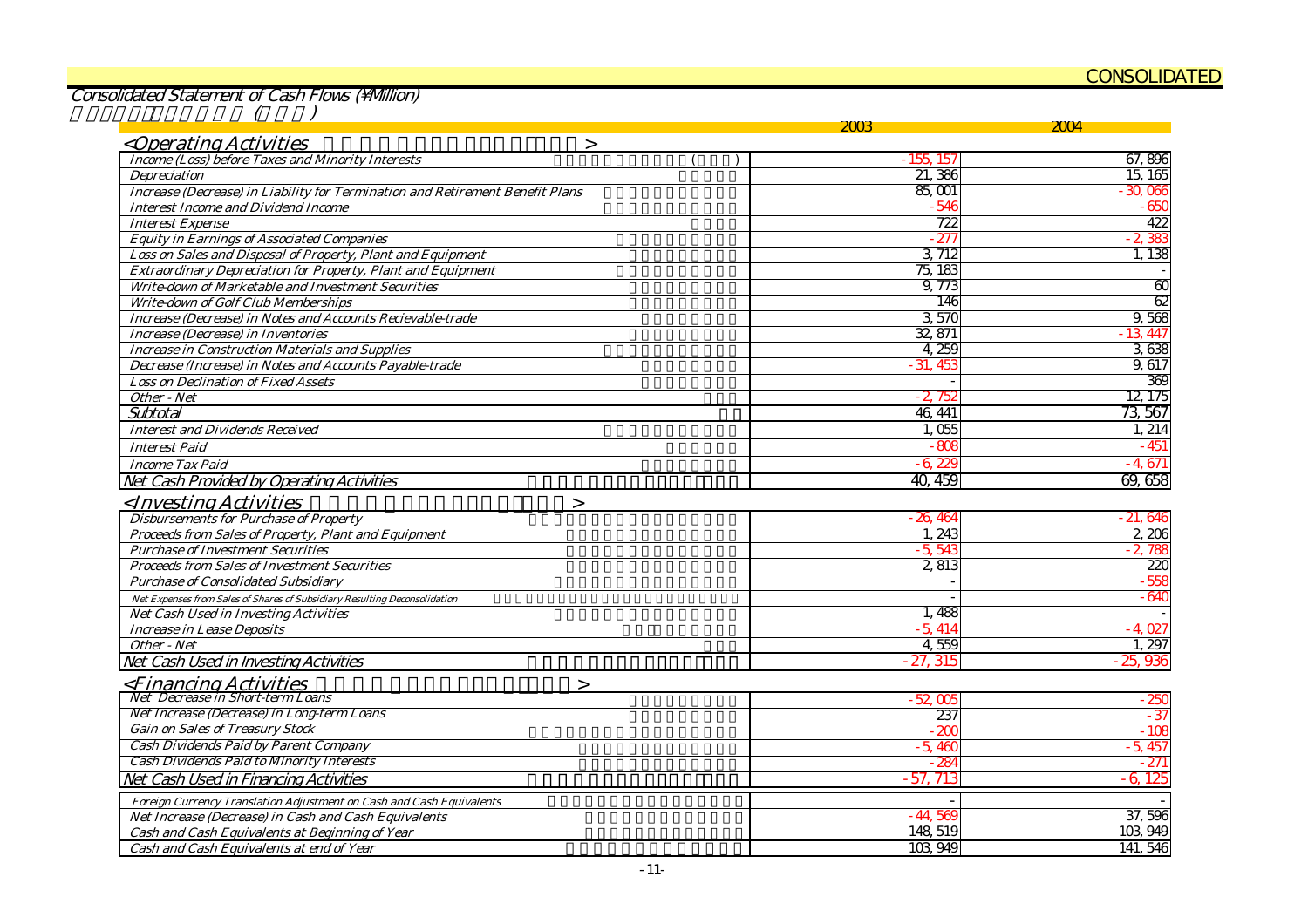#### CONSOLIDATED

Consolidated Statement of Cash Flows (Million)

|                                                                               | 2003       | 2004            |
|-------------------------------------------------------------------------------|------------|-----------------|
| <operating activities<br=""><math>\geq</math></operating>                     |            |                 |
| <b>Income (Loss) before Taxes and Minority Interests</b>                      | - 155, 157 | 67,896          |
| Depreciation                                                                  | 21,386     | 15, 165         |
| Increase (Decrease) in Liability for Termination and Retirement Benefit Plans | 85,001     | $-30,066$       |
| <b>Interest Income and Dividend Income</b>                                    | $-546$     | $-650$          |
| <b>Interest Expense</b>                                                       | 722        | 422             |
| <b>Equity in Earnings of Associated Companies</b>                             | $-27$      | $-2,38$         |
| Loss on Sales and Disposal of Property, Plant and Equipment                   | 3, 712     | 1, 138          |
| <b>Extraordinary Depreciation for Property, Plant and Equipment</b>           | 75, 183    |                 |
| Write-down of Marketable and Investment Securities                            | 9,773      | $\overline{60}$ |
| <b>Write-down of Golf Club Memberships</b>                                    | 146        | 62              |
| Increase (Decrease) in Notes and Accounts Recievable-trade                    | 3,570      | 9,568           |
| Increase (Decrease) in Inventories                                            | 32, 871    | $-13,447$       |
| <b>Increase in Construction Materials and Supplies</b>                        | 4,259      | 3,638           |
| Decrease (Increase) in Notes and Accounts Payable-trade                       | $-31,45$   | 9,617           |
| <b>Loss on Declination of Fixed Assets</b>                                    |            | 369             |
| Other - Net                                                                   | $-2,75i$   | 12, 175         |
| Subtotal                                                                      | 46, 441    | 73,567          |
| <b>Interest and Dividends Received</b>                                        | 1,055      | 1,214           |
| <b>Interest Paid</b>                                                          | $-800$     | $-451$          |
| <b>Income Tax Paid</b>                                                        | $-6.22$    | $-4,671$        |
| Net Cash Provided by Operating Activities                                     | 40, 459    | 69,658          |
| <investing activities<br=""><math>\geq</math></investing>                     |            |                 |
| <b>Disbursements for Purchase of Property</b>                                 | $-26.46$   | $-21,646$       |
| Proceeds from Sales of Property, Plant and Equipment                          | 1,243      | 2,206           |
| <b>Purchase of Investment Securities</b>                                      | $-5.54$    | $-2,785$        |
| <b>Proceeds from Sales of Investment Securities</b>                           | 2,813      | 220             |
| <b>Purchase of Consolidated Subsidiary</b>                                    |            | $-555$          |
| Net Expenses from Sales of Shares of Subsidiary Resulting Deconsolidation     |            | $-640$          |
| Net Cash Used in Investing Activities                                         | 1.488      |                 |
| <b>Increase in Lease Deposits</b>                                             | $-5.414$   | $-4,027$        |
| Other - Net                                                                   | 4,559      | 1,297           |
| Net Cash Used in Investing Activities                                         | $-27,315$  | $-25,936$       |
| <financing activities<br=""><math>\geq</math></financing>                     |            |                 |
| <b>Net Decrease in Short-term Loans</b>                                       | $-52,005$  | $-250$          |
| Net Increase (Decrease) in Long-term Loans                                    | 237        | $-37$           |
| <b>Gain on Sales of Treasury Stock</b>                                        | $-200$     | $-108$          |
| <b>Cash Dividends Paid by Parent Company</b>                                  | $-5,46$    | $-5,457$        |
| <b>Cash Dividends Paid to Minority Interests</b>                              | $-28$      | $-271$          |
| Net Cash Used in Financing Activities                                         | - 57. 713  | 125<br>-6       |
| Foreign Currency Translation Adjustment on Cash and Cash Equivalents          |            |                 |
| Net Increase (Decrease) in Cash and Cash Equivalents                          | $-44,569$  | 37,596          |
| Cash and Cash Equivalents at Beginning of Year                                | 148, 519   | 103,949         |
| Cash and Cash Equivalents at end of Year                                      | 103,949    | 141, 546        |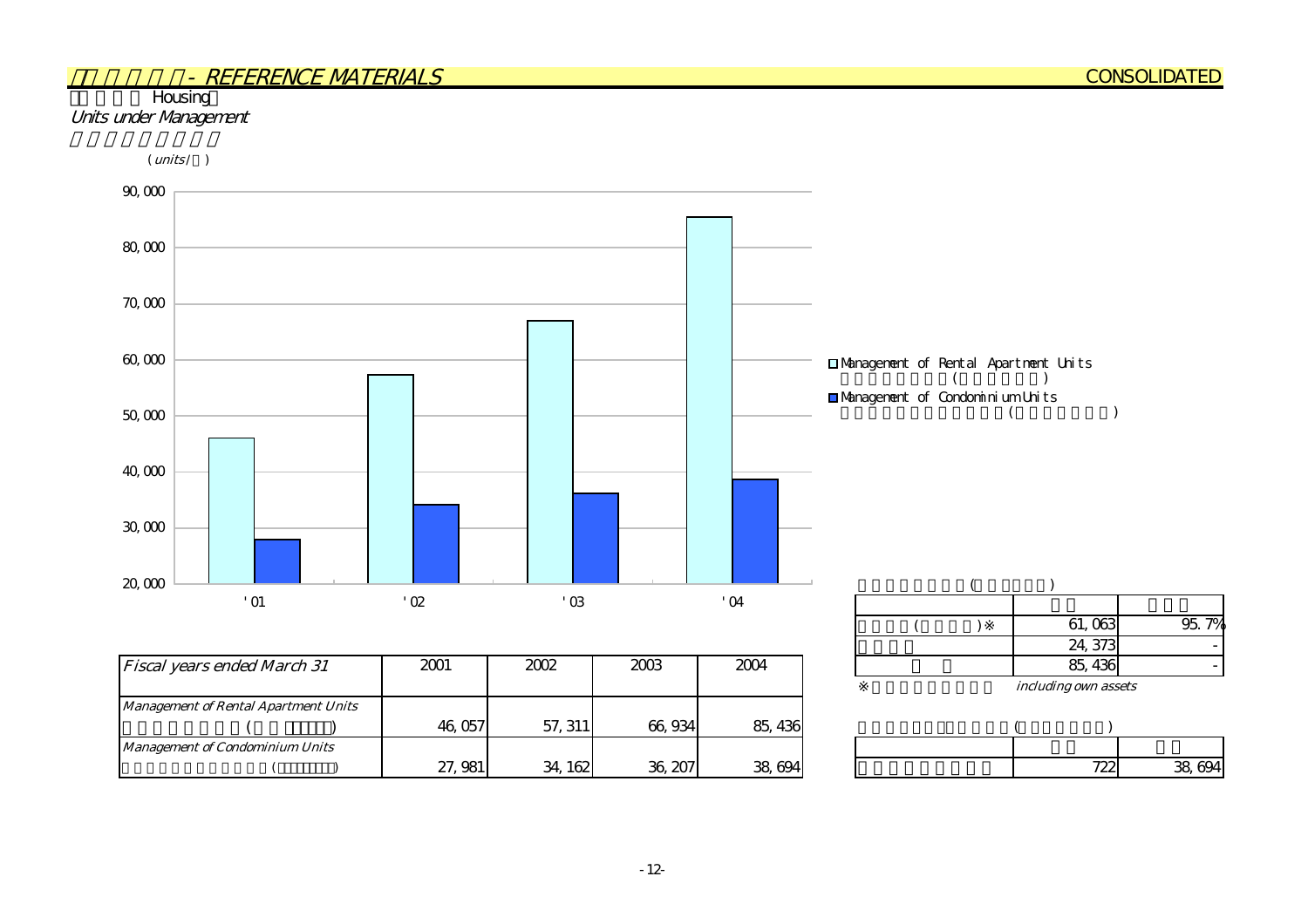#### **Housing** Units under Management

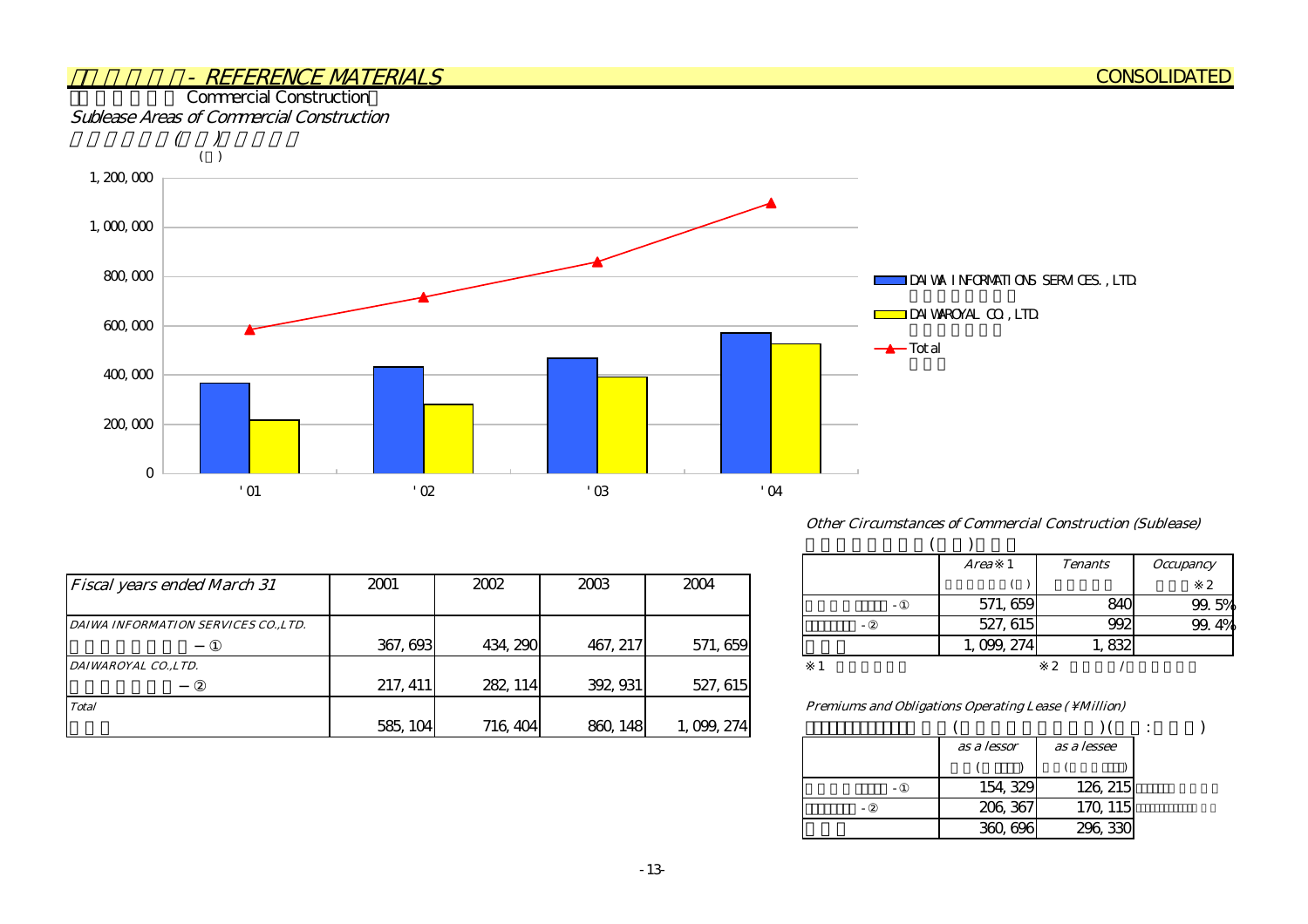

|                                      |          |          |          |             |                                                     |           |       | <b>∴</b> |
|--------------------------------------|----------|----------|----------|-------------|-----------------------------------------------------|-----------|-------|----------|
| <b>Fiscal years ended March 31</b>   | 2001     | 2002     | 2003     | 2004        |                                                     |           |       |          |
|                                      |          |          |          |             |                                                     | 571, 659  | 840   | 99.      |
| DAIWA INFORMATION SERVICES CO., LTD. |          |          |          |             |                                                     | 527, 615  | 992   | 99.      |
|                                      | 367, 693 | 434, 290 | 467, 217 | 571, 659    |                                                     | 0.099,274 | 1,832 |          |
| DAIWAROYAL CO.,LTD.                  |          |          |          |             |                                                     |           |       |          |
|                                      | 217, 411 | 282, 114 | 392, 931 | 527, 615    |                                                     |           |       |          |
| <b>Total</b>                         |          |          |          |             | Premiums and Obligations Operating Lease (\Million) |           |       |          |
|                                      | 585, 104 | 716, 404 | 860, 148 | 1, 099, 274 |                                                     |           |       |          |

| Other Circumstances of Commercial Construction (Sublease) |  |  |  |
|-----------------------------------------------------------|--|--|--|
|-----------------------------------------------------------|--|--|--|

| <b>Area</b> | <b>Tenants</b> | <b>Occupancy</b> |
|-------------|----------------|------------------|
|             |                | 2                |
| 571, 659    |                | 99.5%            |
| 527, 615    |                |                  |
| 1, 099, 274 |                |                  |
|             |                |                  |

 $($   $)$   $($   $)$   $($   $)$   $($   $)$ 大和情報サービス -①ダイワロイヤル -② 154,329 206,367 as a lessee  $($ as a lessor  $($   $)$ 360,696 126,215 170,115 296,330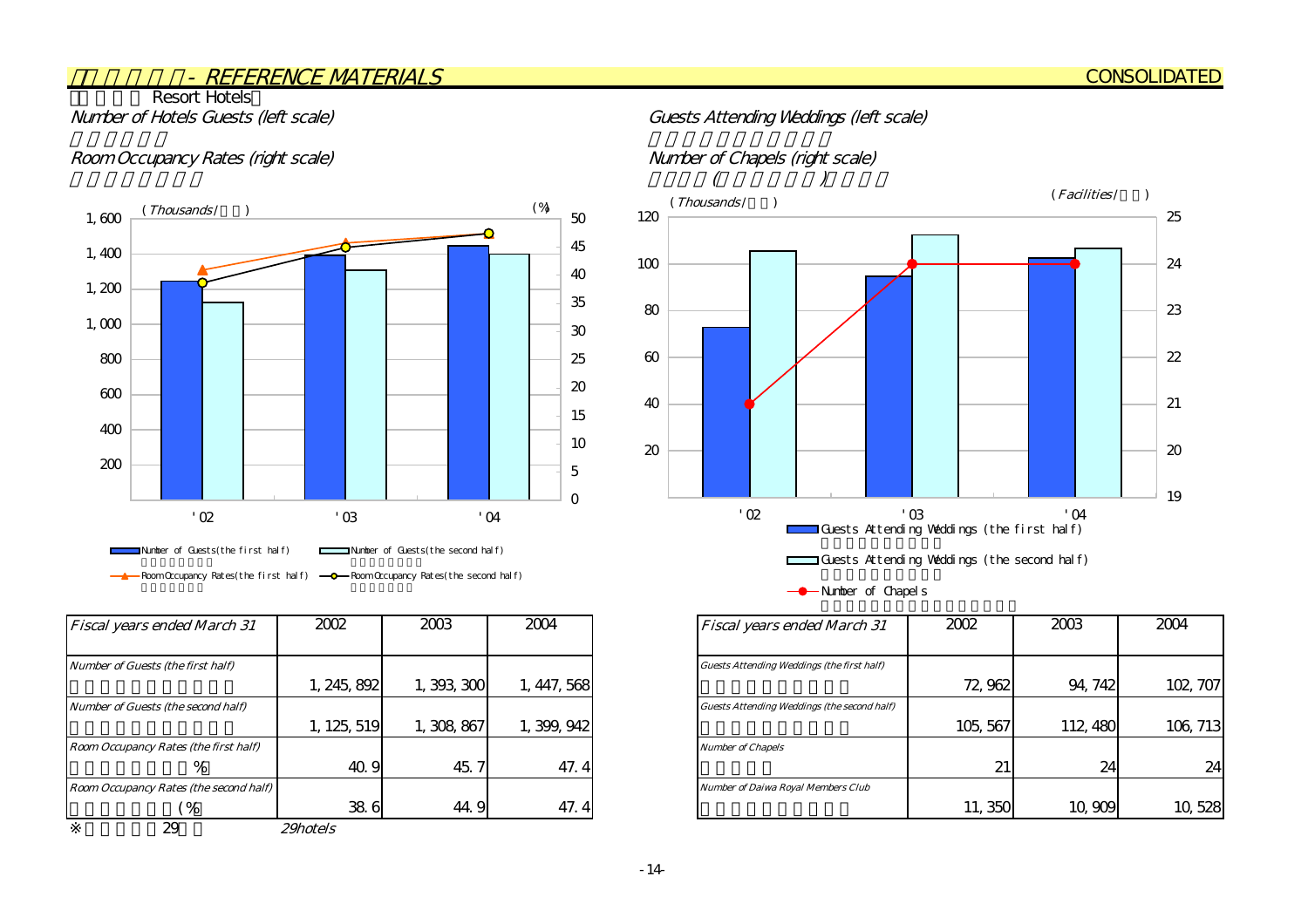## **Resort Hotels**

#### Room Occupancy Rates (right scale) Number of Chapels (right scale)



| Fiscal years ended March 31            | 2002            | 2003        | 2004        | <b>Fiscal years ended March 31</b>                 |
|----------------------------------------|-----------------|-------------|-------------|----------------------------------------------------|
|                                        |                 |             |             |                                                    |
| Number of Guests (the first half)      |                 |             |             | <b>Guests Attending Weddings (the first half)</b>  |
|                                        | 1, 245, 892     | 1,393,300   | 1, 447, 568 |                                                    |
| Number of Guests (the second half)     |                 |             |             | <b>Guests Attending Weddings (the second half)</b> |
|                                        | 1, 125, 519     | 1, 308, 867 | 1, 399, 942 |                                                    |
| Room Occupancy Rates (the first half)  |                 |             |             | <b>Number of Chapels</b>                           |
| %                                      | 40.9            | 45.7        | 47.4        |                                                    |
| Room Occupancy Rates (the second half) |                 |             |             | <b>Number of Daiwa Royal Members Club</b>          |
| $\frac{1}{2}$                          | 38.6            | 44.9        | 47.4        |                                                    |
| 29                                     | <i>29hotels</i> |             |             |                                                    |

#### Number of Hotels Guests (left scale) Guests Attending Weddings (left scale)





<sup>--</sup> Number of Chapels

| <b>Fiscal years ended March 31</b>          | 2002     | 2003     | 2004     |
|---------------------------------------------|----------|----------|----------|
|                                             |          |          |          |
| Guests Attending Weddings (the first half)  |          |          |          |
|                                             | 72,962   | 94, 742  | 102, 707 |
| Guests Attending Weddings (the second half) |          |          |          |
|                                             | 105, 567 | 112, 480 | 106, 713 |
| <b>Number of Chapels</b>                    |          |          |          |
|                                             | 21       | 24       | 24       |
| <b>Number of Daiwa Royal Members Club</b>   |          |          |          |
|                                             | 11,350   | 10,909   |          |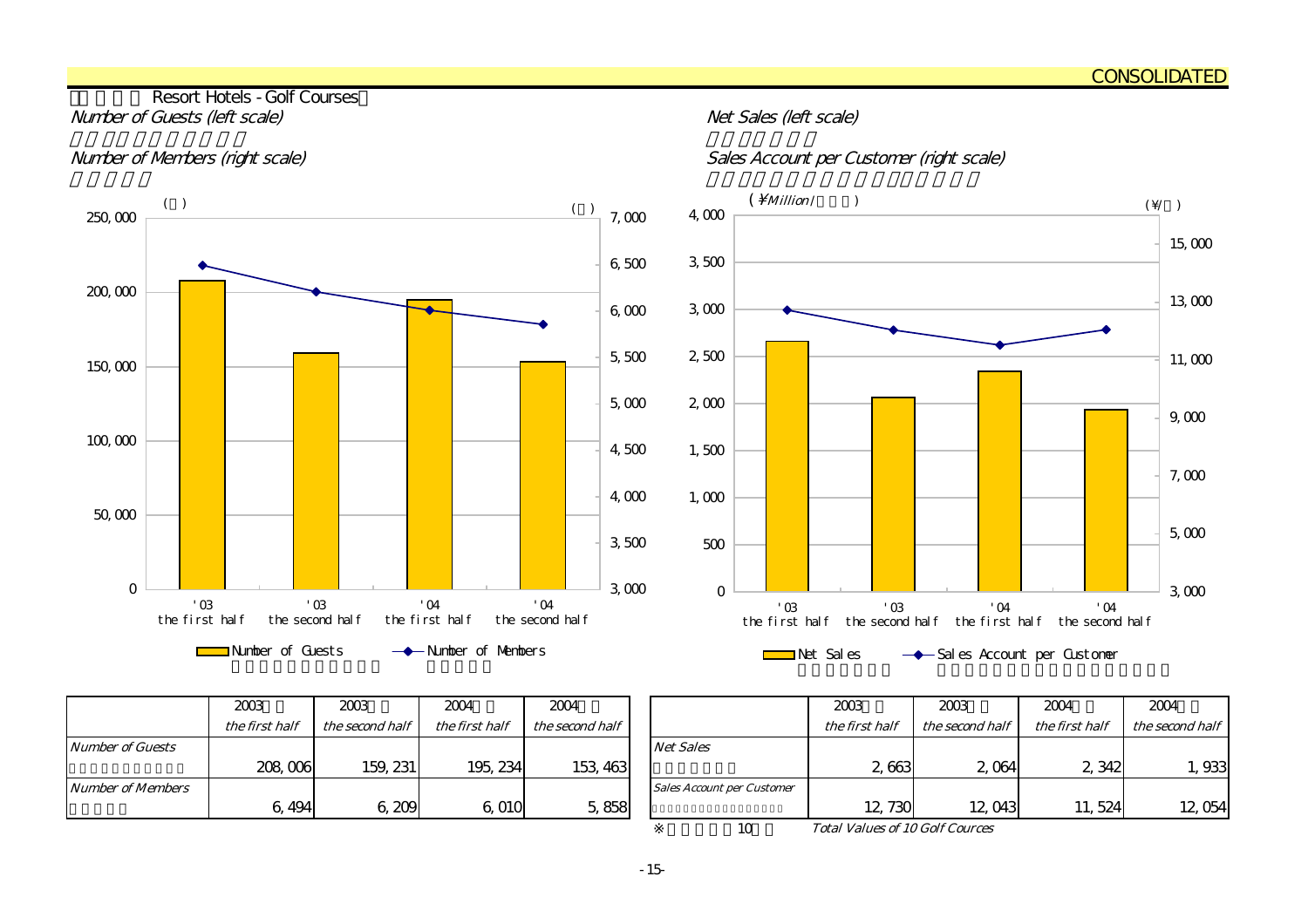#### Resort Hotels - Golf Courses Number of Guests (left scale) and the state of Guests (left scale)





|                         | 2003<br>2003<br>2004 |                 | 2004           |                 |                                   |
|-------------------------|----------------------|-----------------|----------------|-----------------|-----------------------------------|
|                         | the first half       | the second half | the first half | the second half |                                   |
| <b>Number of Guests</b> |                      |                 |                |                 | <b>Net Sales</b>                  |
|                         | 208,006              | 159, 231        | 195, 234       | 153, 463        |                                   |
| Number of Members       |                      |                 |                |                 | <b>Sales Account per Customer</b> |
|                         | 6, 494               | 6,209           | 6,010          | 5,858           |                                   |

| 2003                                         | 2003            | 2004           | 2004            |  |                                   | 2003           | 2003            | 2004           | 2004            |
|----------------------------------------------|-----------------|----------------|-----------------|--|-----------------------------------|----------------|-----------------|----------------|-----------------|
| the first half                               | the second half | the first half | the second half |  |                                   | the first half | the second half | the first half | the second half |
|                                              |                 |                |                 |  | <b>Net Sales</b>                  |                |                 |                |                 |
| 208,006                                      | 159, 231        | 195, 234       | 153, 463        |  |                                   | 2 6 63         | 2 0 64          | 2,342          | , 933           |
|                                              |                 |                |                 |  | <b>Sales Account per Customer</b> |                |                 |                |                 |
| 6,494                                        | 6,209           | 6,010          | 5,858           |  |                                   | 12,730         | 12,043          | 11,524         | 12,054          |
| <b>Total Values of 10 Golf Cources</b><br>10 |                 |                |                 |  |                                   |                |                 |                |                 |

Total Values of 10 Golf Cources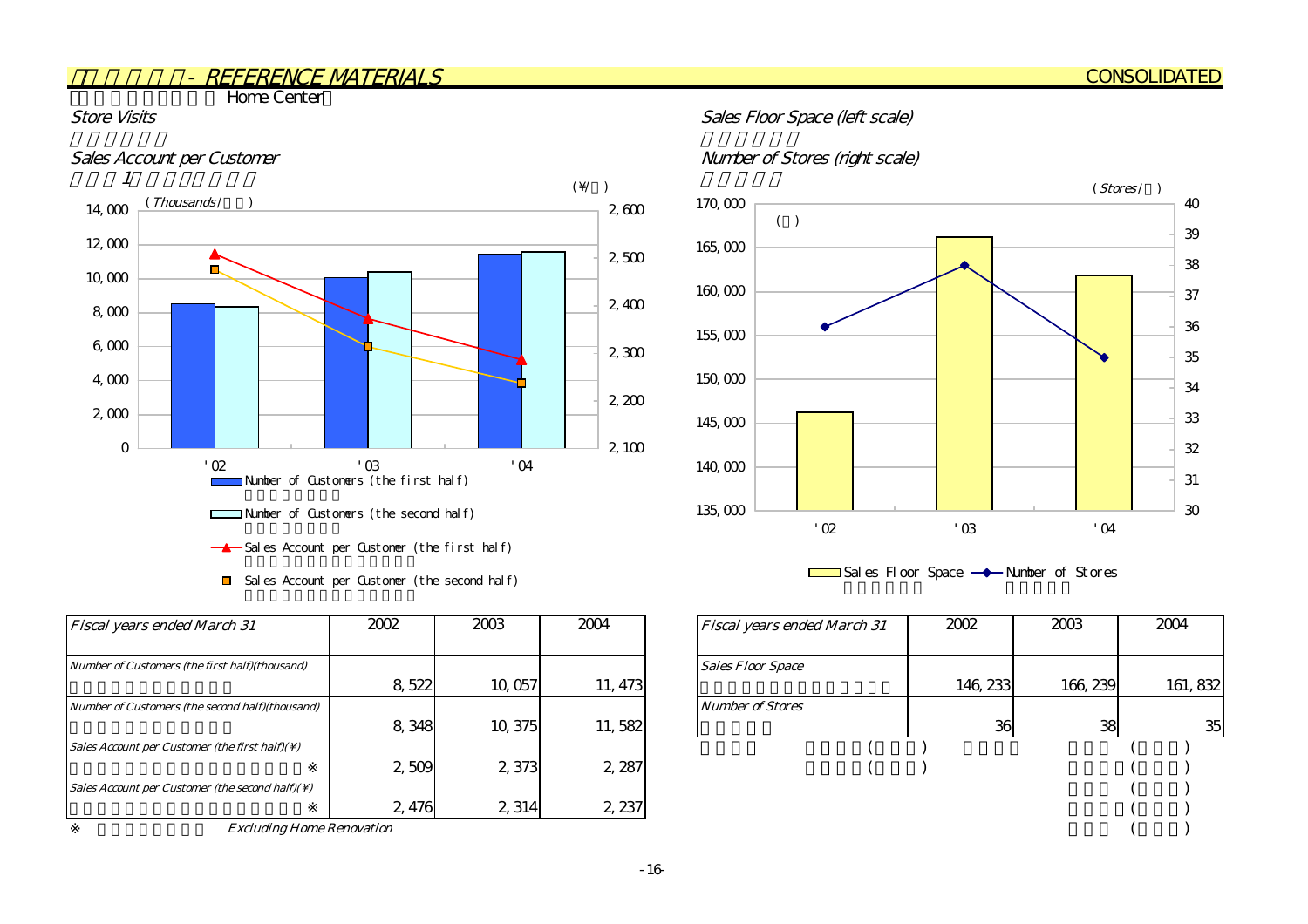**The Home Center** 



 $-\blacksquare$  Sales Account per Customer (the second half)

| <b>Fiscal years ended March 31</b>                          | 2002  | 2003    | 2004    | <b>Fiscal years ended March 31</b> | 2002     | 2003     | 2004 |
|-------------------------------------------------------------|-------|---------|---------|------------------------------------|----------|----------|------|
| Number of Customers (the first half)(thousand)              |       |         |         | <b>Sales Floor Space</b>           |          |          |      |
|                                                             | 8,522 | 10,057  | 11, 473 |                                    | 146, 233 | 166, 239 | 161  |
| Number of Customers (the second half)(thousand)             |       |         |         | <b>Number of Stores</b>            |          |          |      |
|                                                             | 8,348 | 10, 375 | 11,582  |                                    | 36       | 38       |      |
| Sales Account per Customer (the first half)( $\setminus$ )  |       |         |         |                                    |          |          |      |
|                                                             | 2509  | 2,373   | 2,287   |                                    |          |          |      |
| Sales Account per Customer (the second half)( $\setminus$ ) |       |         |         |                                    |          |          |      |
|                                                             | 2,476 | 2,314   | 2,237   |                                    |          |          |      |

Excluding Home Renovation

#### Store Visits Store Visits Sales Floor Space (left scale)

#### Sales Account per Customer de Customer number of Stores (right scale)



 $\Box$  Sales Floor Space  $\rightarrow$  Number of Stores

| 2002  | 2003    | 2004    | <b>Fiscal years ended March 31</b> | 2002     | 2003     | 2004     |
|-------|---------|---------|------------------------------------|----------|----------|----------|
|       |         |         |                                    |          |          |          |
|       |         |         | <b>Sales Floor Space</b>           |          |          |          |
| 8,522 | 10,057  | 11, 473 |                                    | 146, 233 | 166, 239 | 161, 832 |
|       |         |         | <b>Number of Stores</b>            |          |          |          |
| 8,348 | 10, 375 | 11,582  |                                    | 36       | 38       | 35       |
|       |         |         |                                    |          |          |          |
| 2,509 | 2,373   | 2,287   |                                    |          |          |          |
|       |         |         |                                    |          |          |          |
| 2,476 | 2,314   | 2, 237  |                                    |          |          |          |
| tion  |         |         |                                    |          |          |          |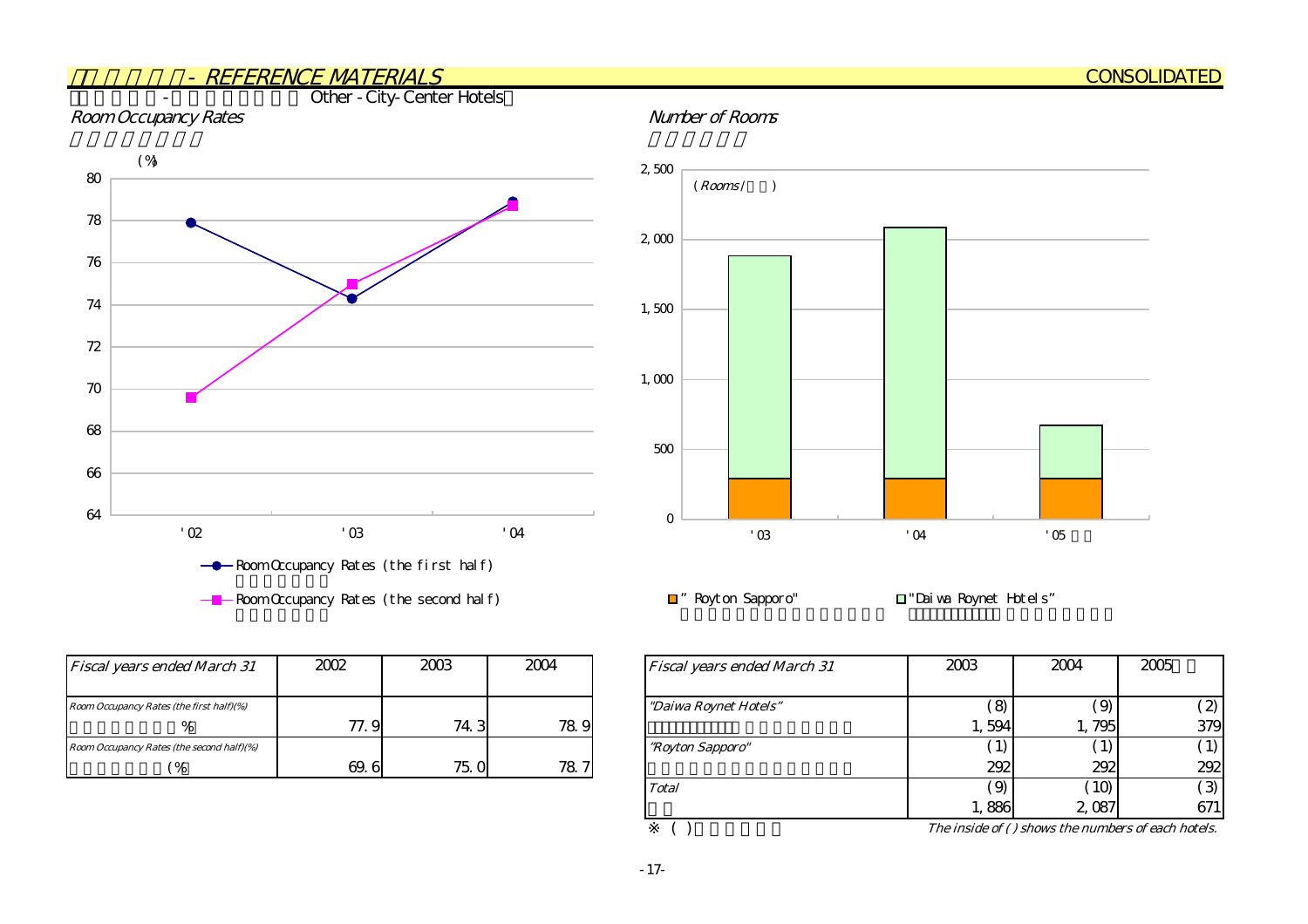#### - REFERENCE MATERIALSOther - City-Center Hotels Room Occupancy Rates **Number of Rooms** 64 66 6870 72 74 76 78 80'02 '03 '04 - Room Occupancy Rates (the first half)  $($ % $)$ 0 500 1,000 1,500 2,000 2,500  $'03$   $'04$   $'05$ ■" Royton Sapporo" ■ "Daiwa Roynet Hotels"  $(Rooms / \t)$

| <b>Fiscal years ended March 31</b>        | 2002  | 2003 | 2004 | <b>Fiscal years ended March 31</b> |
|-------------------------------------------|-------|------|------|------------------------------------|
|                                           |       |      |      |                                    |
| Room Occupancy Rates (the first half)(%)  |       |      |      | "Daiwa Roynet Hotels"              |
| %                                         | 77. 9 | 74.3 | 78.9 |                                    |
| Room Occupancy Rates (the second half)(%) |       |      |      | <i>"Royton Sapporo"</i>            |
| 96                                        | 69.6  | 75.0 | 78.7 |                                    |

 $R$ oom Occupancy Rates (the second half)

|   | 2004 | <b>Fiscal years ended March 31</b> | 2003     | 2004                                               | 2005              |
|---|------|------------------------------------|----------|----------------------------------------------------|-------------------|
|   |      | "Daiwa Roynet Hotels"              | $\Theta$ | $\Theta$                                           | $\left( 2\right)$ |
| 3 | 78.9 |                                    | 1,594    | 795                                                | 379               |
|   |      | "Royton Sapporo"                   | 1)       | $\bf{1}$                                           | $\perp$           |
| 0 | 78.7 |                                    | 292      | 292                                                | 292               |
|   |      | <b>Total</b>                       | (9)      | (10)                                               | ි3)               |
|   |      |                                    | 1,886    | 2,087                                              | 671               |
|   |      |                                    |          | The inside of () shows the numbers of each hotels. |                   |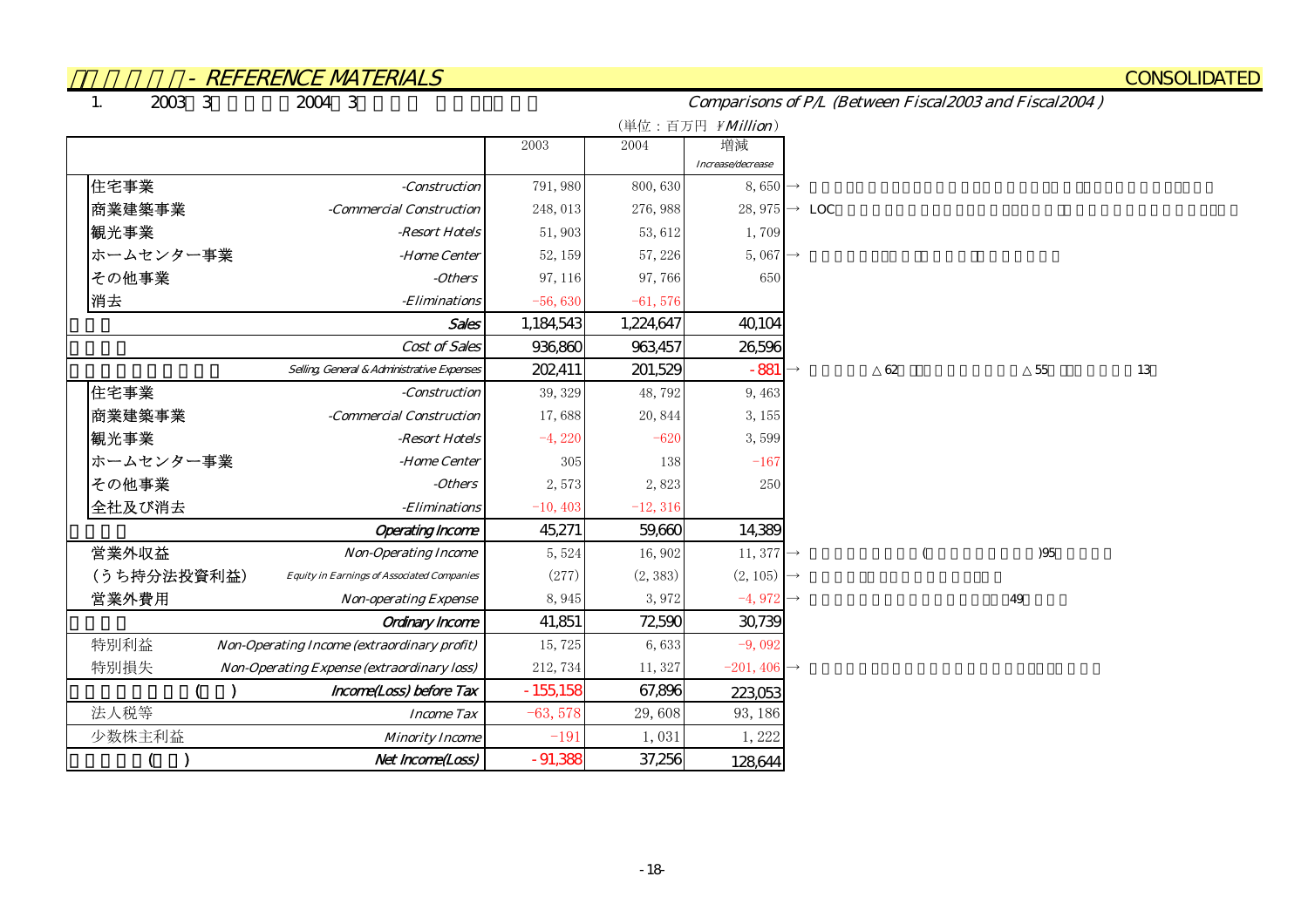1. $20033$   $20043$ 

Comparisons of P/L (Between Fiscal2003 and Fiscal2004 )

|                                                                  |            |            | (単位:百万円 ¥Million)        |                           |    |    |
|------------------------------------------------------------------|------------|------------|--------------------------|---------------------------|----|----|
|                                                                  | 2003       | 2004       | 増減                       |                           |    |    |
|                                                                  |            |            | Increase/decrease        |                           |    |    |
| 住宅事業<br>-Construction                                            | 791,980    | 800,630    | $8,650 \rightarrow$      |                           |    |    |
| 商業建築事業<br>-Commercial Construction                               | 248,013    | 276, 988   |                          | 28, 975 $\rightarrow$ LOC |    |    |
| 観光事業<br>-Resort Hotels                                           | 51,903     | 53, 612    | 1,709                    |                           |    |    |
| ホームセンター事業<br>-Home Center                                        | 52, 159    | 57, 226    | $5,067 \rightarrow$      |                           |    |    |
| その他事業<br>-Others                                                 | 97, 116    | 97,766     | 650                      |                           |    |    |
| 消去<br>-Eliminations                                              | $-56,630$  | $-61,576$  |                          |                           |    |    |
| Sales                                                            | 1,184,543  | 1,224,647  | 40,104                   |                           |    |    |
| Cost of Sales                                                    | 936,860    | 963,457    | 26,596                   |                           |    |    |
| Selling General & Administrative Expenses                        | 202,411    | 201,529    | $-881$                   | $62\,$                    | 55 | 13 |
| 住宅事業<br>-Construction                                            | 39, 329    | 48,792     | 9,463                    |                           |    |    |
| 商業建築事業<br>-Commercial Construction                               | 17,688     | 20,844     | 3, 155                   |                           |    |    |
| 観光事業<br>-Resort Hotels                                           | $-4,220$   | $-620$     | 3,599                    |                           |    |    |
| ホームセンター事業<br>-Home Center                                        | 305        | 138        | $-167$                   |                           |    |    |
| その他事業<br>-Others                                                 | 2,573      | 2,823      | 250                      |                           |    |    |
| 全社及び消去<br>-Eliminations                                          | $-10, 403$ | $-12, 316$ |                          |                           |    |    |
| <b>Operating Income</b>                                          | 45,271     | 59,660     | 14,389                   |                           |    |    |
| 営業外収益<br><b>Non-Operating Income</b>                             | 5,524      | 16,902     | 11, 377 $\rightarrow$    |                           | 95 |    |
| (うち持分法投資利益)<br><b>Equity in Earnings of Associated Companies</b> | (277)      | (2, 383)   | $(2, 105)$ $\rightarrow$ |                           |    |    |
| 営業外費用<br><b>Non-operating Expense</b>                            | 8,945      | 3,972      | $-4,972 \rightarrow$     |                           | 49 |    |
| <b>Ordinary Income</b>                                           | 41,851     | 72590      | 30,739                   |                           |    |    |
| 特別利益<br>Non-Operating Income (extraordinary profit)              | 15,725     | 6,633      | $-9,092$                 |                           |    |    |
| 特別損失<br><b>Non-Operating Expense (extraordinary loss)</b>        | 212, 734   | 11, 327    | $-201,406 \rightarrow$   |                           |    |    |
| Income(Loss) before Tax                                          | $-155,158$ | 67,896     | 223,053                  |                           |    |    |
| 法人税等<br><b>Income Tax</b>                                        | $-63,578$  | 29,608     | 93, 186                  |                           |    |    |
| 少数株主利益<br><b>Minority Income</b>                                 | $-191$     | 1,031      | 1,222                    |                           |    |    |
| Net Income(Loss)                                                 | $-91,388$  | 37,256     | 128,644                  |                           |    |    |

#### **CONSOLIDATED**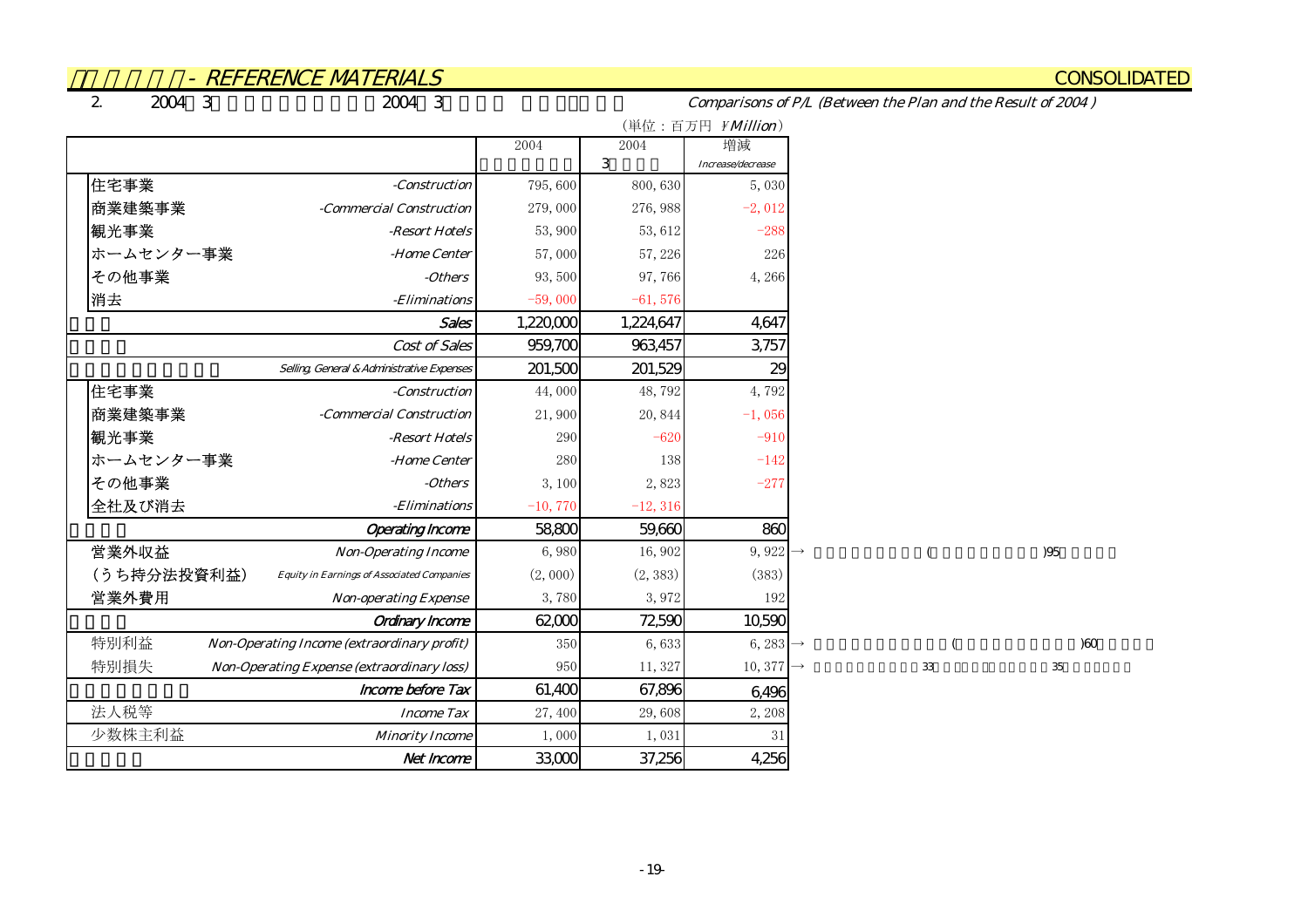**CONSOLIDATED** 

2.

Comparisons of P/L (Between the Plan and the Result of 2004 )

|                                                                  |           |            | (単位:百万円 ¥Million)     |
|------------------------------------------------------------------|-----------|------------|-----------------------|
|                                                                  | 2004      | 2004       | 増減                    |
|                                                                  |           | 3          | Increase/decrease     |
| 住宅事業<br>-Construction                                            | 795,600   | 800,630    | 5,030                 |
| 商業建築事業<br>-Commercial Construction                               | 279,000   | 276, 988   | $-2,012$              |
| 観光事業<br>-Resort Hotels                                           | 53,900    | 53, 612    | $-288$                |
| ホームセンター事業<br>-Home Center                                        | 57,000    | 57, 226    | 226                   |
| その他事業<br>-Others                                                 | 93,500    | 97,766     | 4,266                 |
| 消去<br>-Eliminations                                              | $-59,000$ | $-61,576$  |                       |
| Sales                                                            | 1,220,000 | 1,224,647  | 4,647                 |
| Cost of Sales                                                    | 959,700   | 963,457    | 3,757                 |
| Selling, General & Administrative Expenses                       | 201,500   | 201,529    | 29                    |
| 住宅事業<br>-Construction                                            | 44,000    | 48,792     | 4,792                 |
| 商業建築事業<br>-Commercial Construction                               | 21,900    | 20,844     | $-1,056$              |
| 観光事業<br>-Resort Hotels                                           | 290       | $-620$     | $-910$                |
| ホームセンター事業<br>-Home Center                                        | 280       | 138        | $-142$                |
| その他事業<br>-Others                                                 | 3,100     | 2,823      | $-277$                |
| 全社及び消去<br>-Eliminations                                          | $-10,770$ | $-12, 316$ |                       |
| <b>Operating Income</b>                                          | 58800     | 59,660     | 860                   |
| 営業外収益<br><b>Non-Operating Income</b>                             | 6,980     | 16,902     | 9, 922 $\rightarrow$  |
| (うち持分法投資利益)<br><b>Equity in Earnings of Associated Companies</b> | (2,000)   | (2, 383)   | (383)                 |
| 営業外費用<br><b>Non-operating Expense</b>                            | 3,780     | 3,972      | 192                   |
| <b>Ordinary Income</b>                                           | 62,000    | 72,590     | 10,590                |
| 特別利益<br><b>Non-Operating Income (extraordinary profit)</b>       | 350       | 6,633      | 6, 283 $\rightarrow$  |
| 特別損失<br>Non-Operating Expense (extraordinary loss)               | 950       | 11,327     | 10, 377 $\rightarrow$ |
| <b>Income before Tax</b>                                         | 61,400    | 67,896     | 6,496                 |
| 法人税等<br><b>Income Tax</b>                                        | 27,400    | 29,608     | 2,208                 |
| 少数株主利益<br><b>Minority Income</b>                                 | 1,000     | 1,031      | 31                    |
| Net Income                                                       | 33,000    | 37,256     | 4,256                 |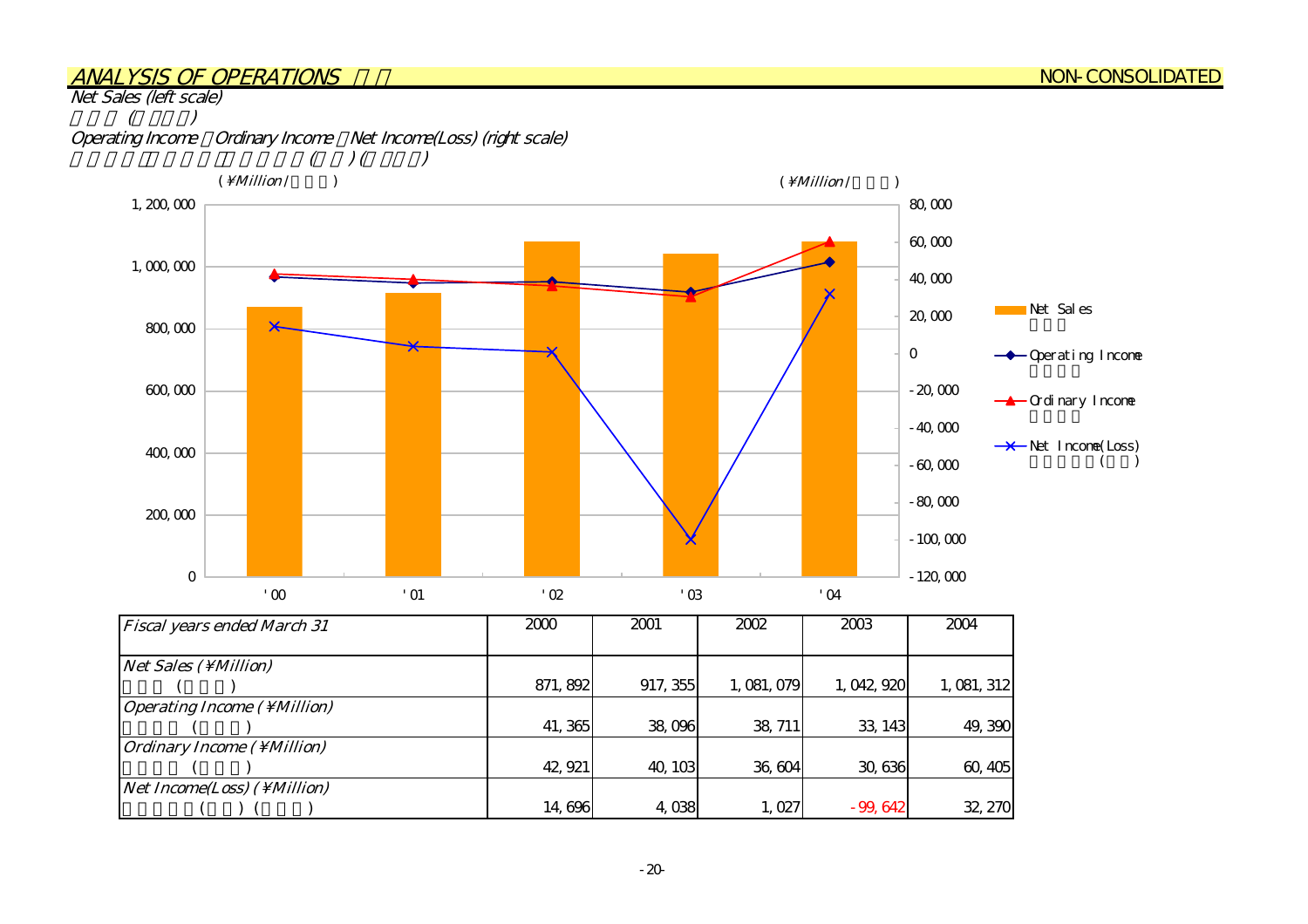#### ANALYSIS OF OPERATIONS

Net Sales (left scale)



| <b>Fiscal years ended March 31</b>          | 2000     | 2001     | 2002        | 2003        | 2004        |
|---------------------------------------------|----------|----------|-------------|-------------|-------------|
|                                             |          |          |             |             |             |
| $Net Sales ( \Million)$                     |          |          |             |             |             |
|                                             | 871, 892 | 917, 355 | 1, 081, 079 | 1, 042, 920 | 1, 081, 312 |
| <i><b>Operating Income (\Million)</b></i>   |          |          |             |             |             |
|                                             | 41,365   | 38,096   | 38, 711     | 33, 143     | 49,390      |
| <i><b>Ordinary Income ( \ Million)</b></i>  |          |          |             |             |             |
|                                             | 42, 921  | 40, 103  | 36,604      | 30,636      | 60, 405     |
| <i>Net Income(Loss)</i> ( \ <i>Million)</i> |          |          |             |             |             |
|                                             | 14,696   | 4,038    | 1,027       | $-99,642$   | 32, 270     |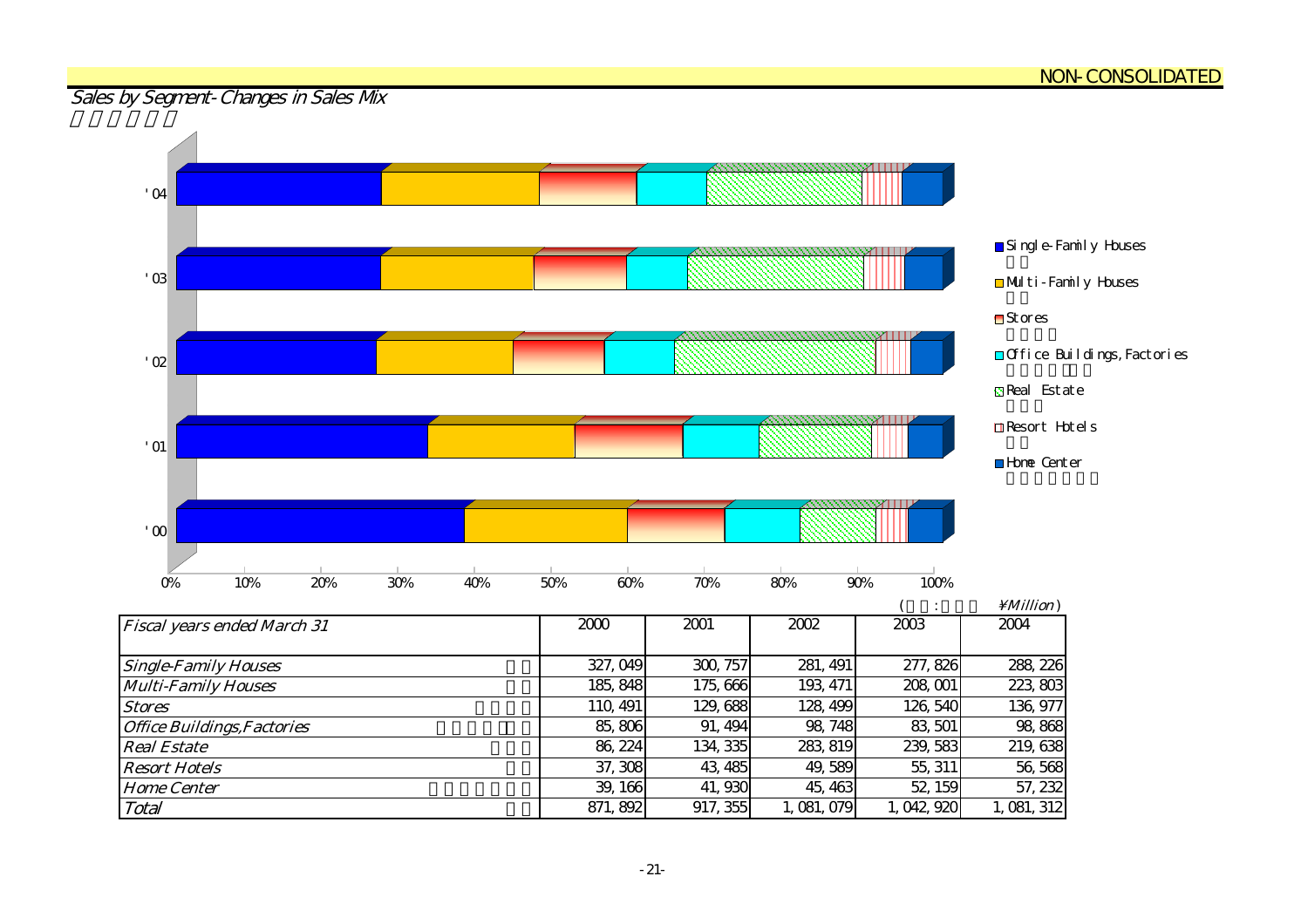#### <u>NON-CONSOLIDATED</u>

#### Sales by Segment-Changes in Sales Mx

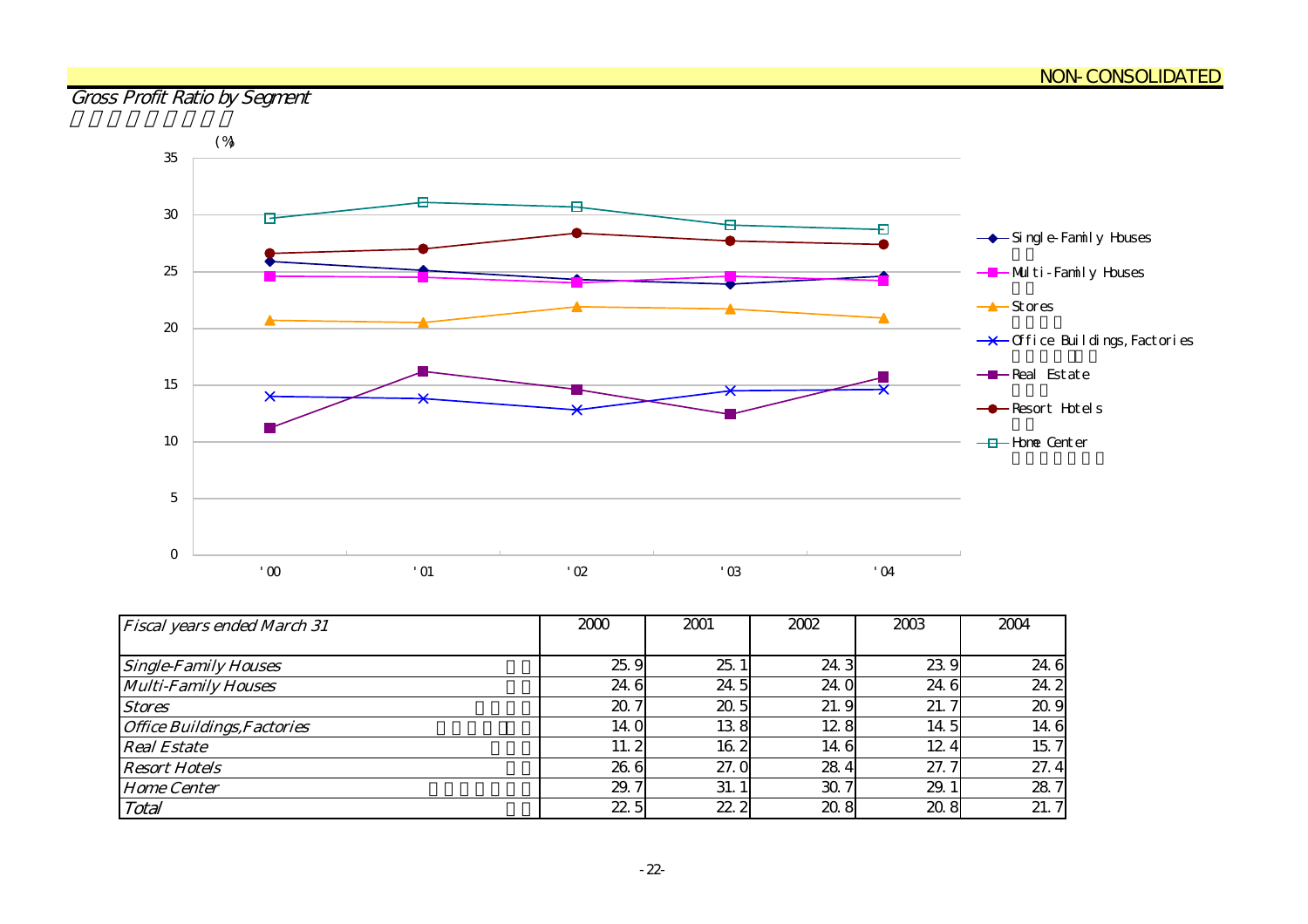## Gross Profit Ratio by Segment



| <b>Fiscal years ended March 31</b> | 2000            | 2001 | 2002 | 2003 | 2004 |
|------------------------------------|-----------------|------|------|------|------|
|                                    |                 |      |      |      |      |
| <b>Single-Family Houses</b>        | 25.9            | 25.  | 24.3 | 23.9 | 24.6 |
| <b>Multi-Family Houses</b>         | 24.6            | 24.5 | 24.0 | 24.6 | 24.2 |
| <b>Stores</b>                      | 20.7            | 20.5 | 21.9 | 21.7 | 20.9 |
| <b>Office Buildings, Factories</b> | 14 <sub>0</sub> | 138  | 12.8 | 14.5 | 14.6 |
| <b>Real Estate</b>                 | 11.2            | 16.2 | 14.6 | 12.4 | 15.7 |
| <b>Resort Hotels</b>               | 26.6            | 27.0 | 284  | 27.  | 27.4 |
| <b>Home Center</b>                 | 29.7            | 31.1 | 30.7 | 29.  | 28.7 |
| Total                              | 225             | 22.2 | 20.8 | 20.8 | 21.7 |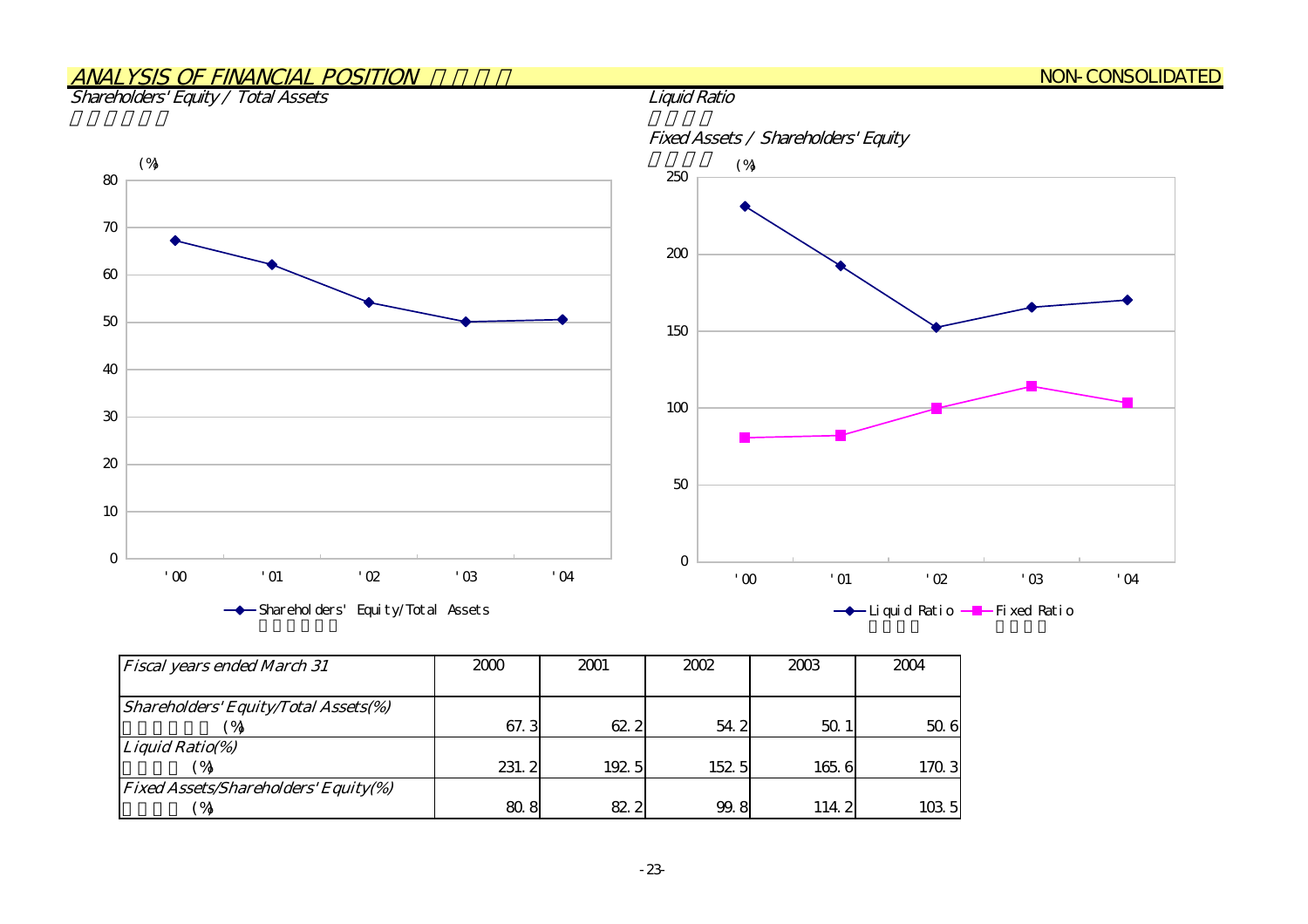## ANALYSIS OF FINANCIAL POSITION

#### Shareholders' Equity / Total Assets



| <b>Fiscal years ended March 31</b>          | 2000  | 2001  | 2002  | 2003         | 2004  |
|---------------------------------------------|-------|-------|-------|--------------|-------|
|                                             |       |       |       |              |       |
| Shareholders' Equity/Total Assets(%)        |       |       |       |              |       |
|                                             | 67.3  | 62.2  | 54.2  | $50^{\circ}$ | 50.6  |
| Liquid Ratio(%)                             |       |       |       |              |       |
|                                             | 231.2 | 192 5 | 152.5 | 165.6        | 170.3 |
| <b>Fixed Assets/Shareholders' Equity(%)</b> |       |       |       |              |       |
| ΘÀ                                          | 80.8  | 82.2  | 99.8  | 114.2        | 103 5 |

#### Fixed Assets / Shareholders' Equity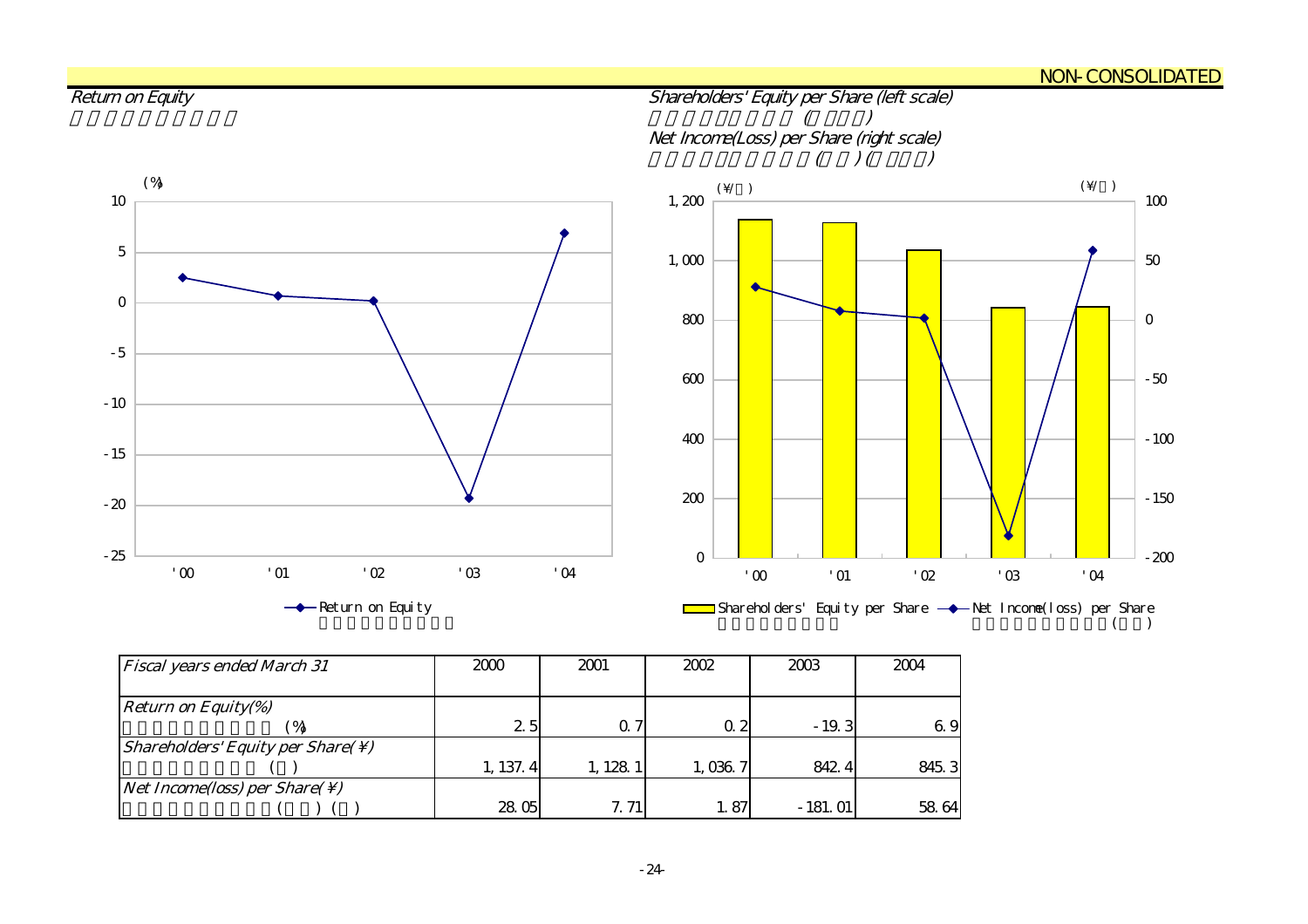#### <u>NON-CONSOLIDATED</u>



| <b>Fiscal years ended March 31</b>                            | 2000     | 2001      | 2002       | 2003      | 2004  |
|---------------------------------------------------------------|----------|-----------|------------|-----------|-------|
|                                                               |          |           |            |           |       |
| <b>Return on Equity(%)</b>                                    |          |           |            |           |       |
|                                                               | 2.5      |           | $\Omega$ 2 | $-19.3$   | 6.9   |
| <i>Shareholders' Equity per Share(<math>\setminus</math>)</i> |          |           |            |           |       |
|                                                               | 1, 137.4 | 1, 128, 1 | 1,036.7    | 842.4     | 845.3 |
| <i>Net Income(loss) per Share(<math>\setminus</math>)</i>     |          |           |            |           |       |
|                                                               | 28.05    | 7.71      | 1.87       | $-181.01$ | 58 64 |

#### -24-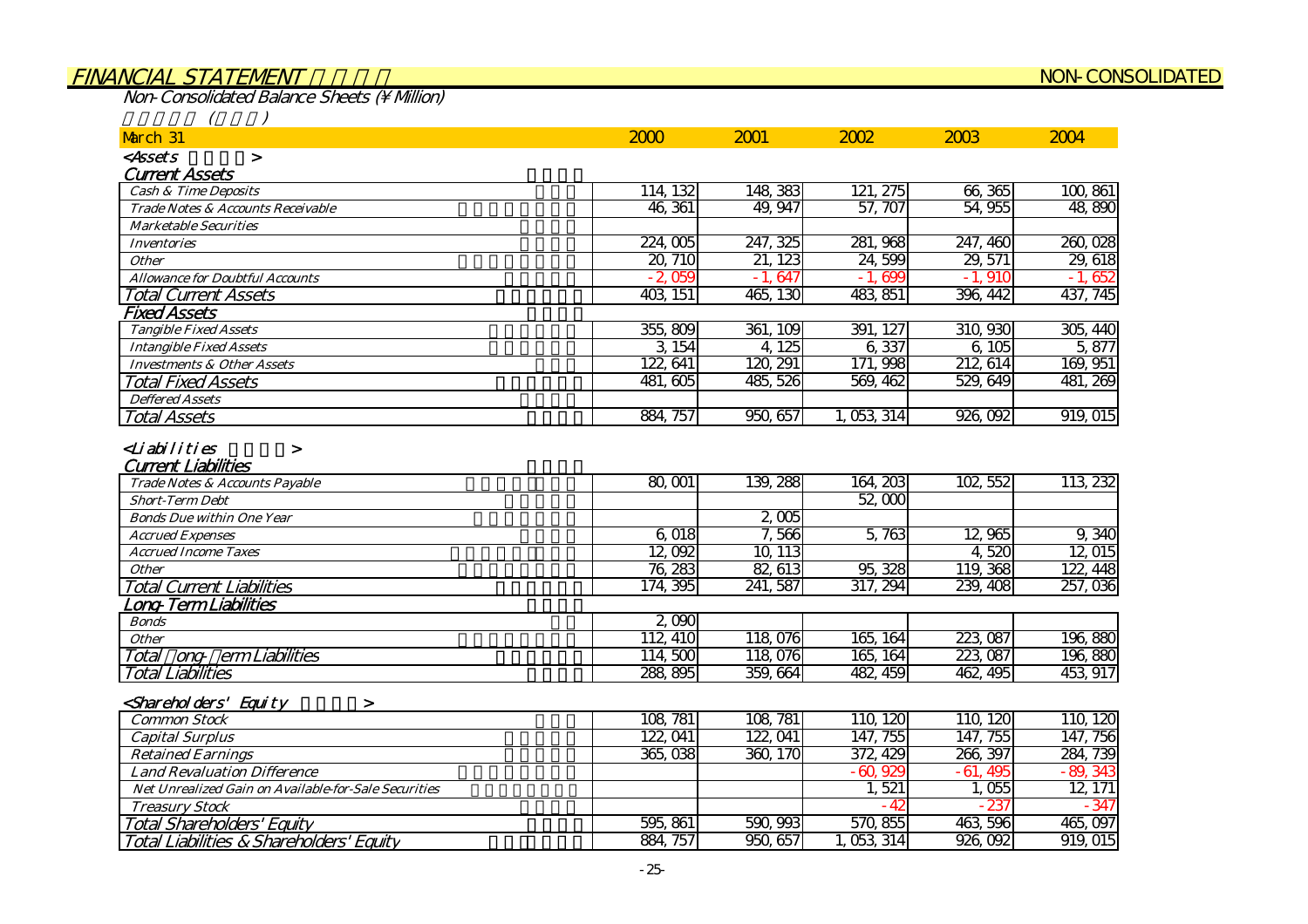#### FINANCIAL STATEMENT NON-CONSOLIDATED

 $Non-Consolidated Balance Sheets (N. Milion)$ 

Total Liabilities & Shareholders' Equity 負債・資本合計

| $\big($ |  |
|---------|--|

| March 31                                                      | 2000     | 2001     | 2002        | 2003      | 2004      |
|---------------------------------------------------------------|----------|----------|-------------|-----------|-----------|
| <assets<br><math>\geq</math></assets<br>                      |          |          |             |           |           |
| <b>Current Assets</b>                                         |          |          |             |           |           |
| <b>Cash &amp; Time Deposits</b>                               | 114, 132 | 148, 383 | 121, 275    | 66,365    | 100,861   |
| Trade Notes & Accounts Receivable                             | 46, 361  | 49, 947  | 57, 707     | 54,955    | 48,890    |
| <b>Marketable Securities</b>                                  |          |          |             |           |           |
| <b>Inventories</b>                                            | 224,005  | 247, 325 | 281, 968    | 247, 460  | 260,028   |
| <b>Other</b>                                                  | 20, 710  | 21, 123  | 24,599      | 29, 571   | 29,618    |
| <b>Allowance for Doubtful Accounts</b>                        | $-2,059$ | $-1,647$ | $-1,699$    | $-1,910$  | $-1,652$  |
| <b>Total Current Assets</b>                                   | 403, 151 | 465, 130 | 483, 851    | 396, 442  | 437, 745  |
| <b>Fixed Assets</b>                                           |          |          |             |           |           |
| <b>Tangible Fixed Assets</b>                                  | 355,809  | 361, 109 | 391, 127    | 310, 930  | 305, 440  |
| <b>Intangible Fixed Assets</b>                                | 3 154    | 4, 125   | 6,337       | 6,105     | 5,877     |
| <b>Investments &amp; Other Assets</b>                         | 122, 641 | 120, 291 | 171, 998    | 212, 614  | 169, 951  |
| <b>Total Fixed Assets</b>                                     | 481, 605 | 485, 526 | 569, 462    | 529, 649  | 481, 269  |
| <b>Deffered Assets</b>                                        |          |          |             |           |           |
| <b>Total Assets</b>                                           | 884, 757 | 950, 657 | 1, 053, 314 | 926,092   | 919, 015  |
| Trade Notes & Accounts Payable                                | 80, 001  | 139, 288 | 164, 203    | 102, 552  | 113 232   |
| <b>Current Liabilities</b>                                    |          |          |             |           |           |
|                                                               |          |          | 52,000      |           |           |
| <b>Short-Term Debt</b><br><b>Bonds Due within One Year</b>    |          | 2,005    |             |           |           |
|                                                               | 6,018    | 7,566    | 5,763       | 12,965    | 9,340     |
| <b>Accrued Expenses</b>                                       | 12,092   | 10, 113  |             | 4520      | 12,015    |
| <b>Accrued Income Taxes</b><br><b>Other</b>                   | 76, 283  | 82, 613  | 95, 328     | 119, 368  | 122, 448  |
|                                                               | 174, 395 | 241,587  | 317, 294    | 239, 408  | 257,036   |
| <b>Total Current Liabilities</b><br>ong-Term Liabilities      |          |          |             |           |           |
| <b>Bonds</b>                                                  | 2,000    |          |             |           |           |
| <b>Other</b>                                                  | 112, 410 | 118,076  | 165, 164    | 223, 087  | 196,880   |
| ong erm Liabilities<br>Total                                  | 114,500  | 118,076  | 165, 164    | 223, 087  | 196,880   |
| <b>Total Liabilities</b>                                      | 288, 895 | 359,664  | 482 459     | 462 495   | 453, 917  |
|                                                               |          |          |             |           |           |
| <shareholders' equity<br=""><math>\geq</math></shareholders'> |          |          |             |           |           |
| <b>Common Stock</b>                                           | 108, 781 | 108, 781 | 110, 120    | 110, 120  | 110, 120  |
| <b>Capital Surplus</b>                                        | 122, 041 | 122, 041 | 147, 755    | 147, 755  | 147, 756  |
| <b>Retained Earnings</b>                                      | 365,038  | 360, 170 | 372, 429    | 266, 397  | 284, 739  |
| <b>Land Revaluation Difference</b>                            |          |          | $-60,929$   | $-61,495$ | $-89,343$ |
| Net Unrealized Gain on Available-for-Sale Securities          |          |          | 1,521       | 1,055     | 12, 171   |
| <b>Treasury Stock</b>                                         |          |          | $-42$       | $-237$    | $-347$    |
| <b>Total Shareholders' Equity</b>                             | 595, 861 | 590, 993 | 570,855     | 463,596   | 465,097   |
| Total Liabilities & Shareholders' Equity                      | 884, 757 | 950,657  | 1, 053, 314 | 926,092   | 919, 015  |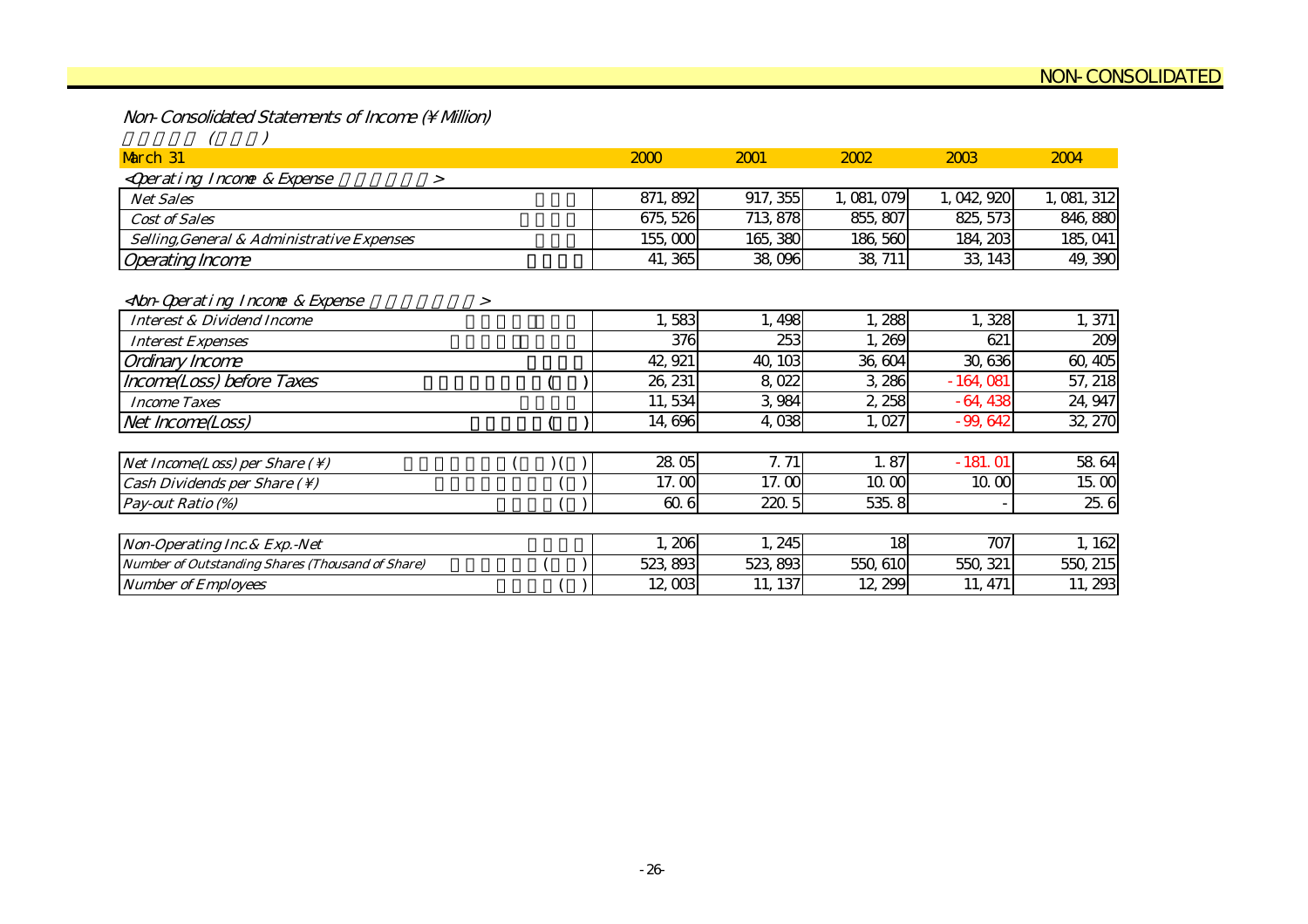Non-Consolidated Statements of Income (\ Million)

| March 31                                                              | 2000     | 2001     | 2002        | 2003        | 2004        |
|-----------------------------------------------------------------------|----------|----------|-------------|-------------|-------------|
| <qperating &="" expense<br="" incone=""><math>\geq</math></qperating> |          |          |             |             |             |
| <b>Net Sales</b>                                                      | 871, 892 | 917, 355 | 1, 081, 079 | 1, 042, 920 | 1, 081, 312 |
| <b>Cost of Sales</b>                                                  | 675, 526 | 713, 878 | 855, 807    | 825, 573    | 846, 880    |
| Selling, General & Administrative Expenses                            | 155,000  | 165, 380 | 186, 560    | 184, 203    | 185, 041    |
| <b>Operating Income</b>                                               | 41, 365  | 38,096   | 38, 711     | 33, 143     | 49, 390     |
| <non-qoerating &="" expense<br="" income="">&gt;</non-qoerating>      |          |          |             |             |             |
| <b>Interest &amp; Dividend Income</b>                                 | 583      | 1,498    | 1,288       | 1,328       | 1,371       |
| <b>Interest Expenses</b>                                              | 376      | 253      | 1,269       | 621         | 209         |
| Ordinary Income                                                       | 42, 921  | 40, 103  | 36, 604     | 30, 636     | 60, 405     |
| Income(Loss) before Taxes                                             | 26, 231  | 8,022    | 3,286       | $-164,081$  | 57, 218     |
| <b>Income Taxes</b>                                                   | 11,534   | 3,984    | 2,258       | $-64,438$   | 24, 947     |
| Net Income(Loss)                                                      | 14,696   | 4,038    | 1,027       | $-99,642$   | 32, 270     |
|                                                                       |          |          |             |             |             |
| Net Income(Loss) per Share $( \setminus )$                            | 2805     | 7.71     | 1.87        | $-181.01$   | 58 64       |
| Cash Dividends per Share $(\setminus)$                                | 17.00    | 17.00    | 10.00       | 10.00       | 15.00       |
| Pay-out Ratio (%)                                                     | 60.6     | 220.5    | 535.8       |             | 25.6        |
|                                                                       |          |          |             |             |             |
| Non-Operating Inc. & Exp. - Net                                       | 1,206    | 1,245    | 18          | 707         | 1, 162      |
| Number of Outstanding Shares (Thousand of Share)                      | 523, 893 | 523, 893 | 550, 610    | 550, 321    | 550, 215    |
| <b>Number of Employees</b>                                            | 12,003   | 11, 137  | 12, 299     | 11, 471     | 11,293      |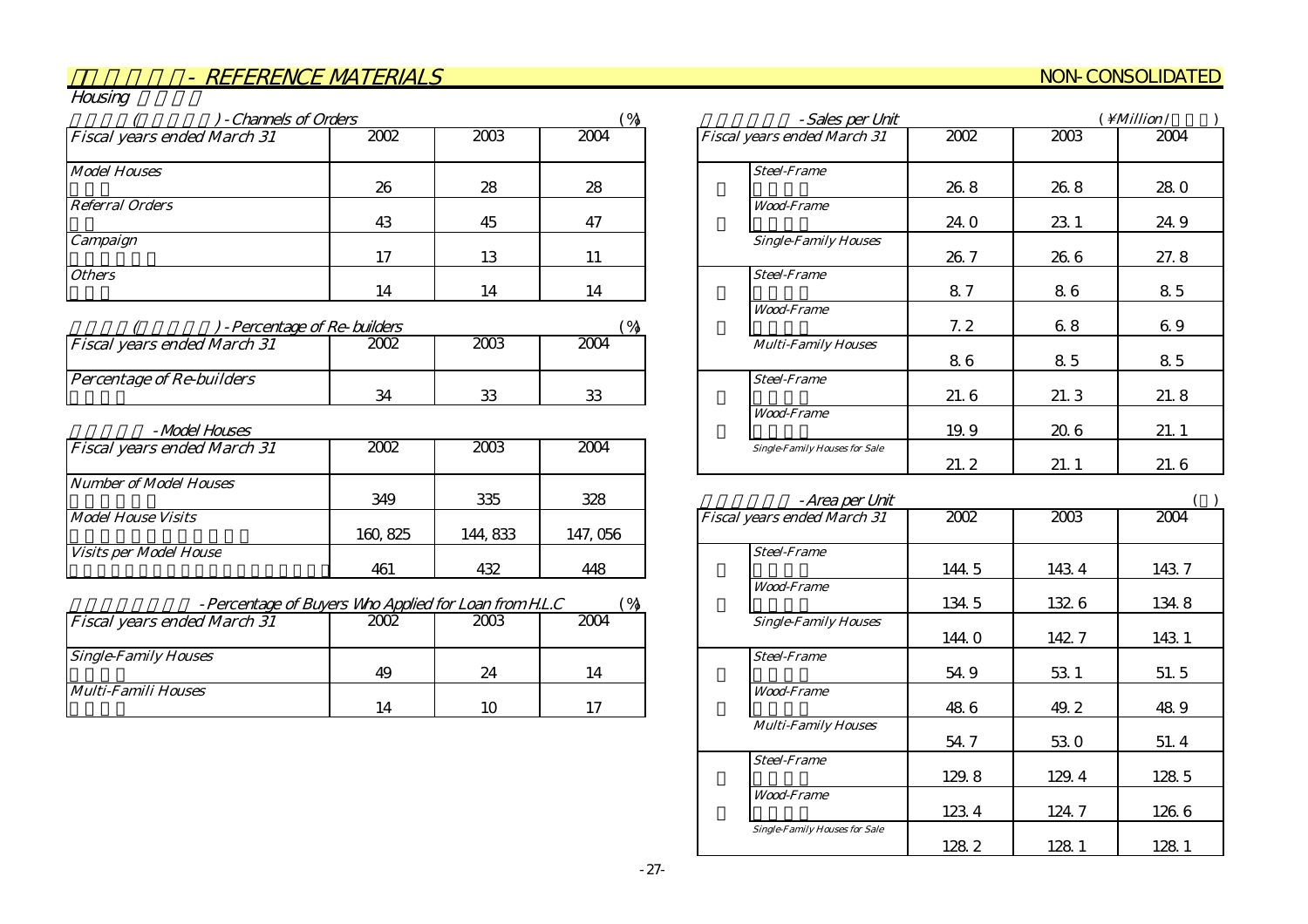#### NON-CONSOLIDATED

| N/r<br>י ורי⊢ |  |
|---------------|--|
|               |  |

| - Channels of Orders               |      |      | $\gamma_0$<br>- Sales per Unit |                                    |      |      | Million /  |  |
|------------------------------------|------|------|--------------------------------|------------------------------------|------|------|------------|--|
| <b>Fiscal years ended March 31</b> | 2002 | 2003 | 2004                           | <b>Fiscal years ended March 31</b> | 2002 | 2003 | 2004       |  |
| <b>Model Houses</b>                |      |      |                                | <b>Steel-Frame</b>                 |      |      |            |  |
|                                    | 26   | 28   | 28                             |                                    | 26.8 | 26.8 | <b>280</b> |  |
| <b>Referral Orders</b>             |      |      |                                | <b>Wood-Frame</b>                  |      |      |            |  |
|                                    | 43   | 45   | 47                             |                                    | 24.0 | 23.1 | 24.9       |  |
| Campaign                           |      |      |                                | <b>Single-Family Houses</b>        |      |      |            |  |
|                                    | 17   | 13   | 11                             |                                    | 26.7 | 26.6 | 27.8       |  |
| <b>Others</b>                      |      |      |                                | <b>Steel-Frame</b>                 |      |      |            |  |
|                                    | 14   | 14   | 14                             |                                    | 87   | 86   | 85         |  |

| - Percentage of Re-builders        |      |      |      |                            |
|------------------------------------|------|------|------|----------------------------|
| <b>Fiscal years ended March 31</b> | 2002 | 2003 | 2004 | <b>Multi-Family Houses</b> |
| <b>Percentage of Re-builders</b>   | 34   | ΩC   | ΩS   | <b>Steel-Frame</b>         |

#### 住宅展示場 -Model Houses

| <b>Fiscal years ended March 31</b> | 2002     | 2003    | 2004     | <b>Single-Family Houses for Sale</b> |
|------------------------------------|----------|---------|----------|--------------------------------------|
| <b>Number of Model Houses</b>      |          |         |          |                                      |
|                                    | 349      | 335     | 328      | -Area per Un                         |
| <b>Model House Visits</b>          |          |         |          | <b>Fiscal years ended March 31</b>   |
|                                    | 160, 825 | 144,833 | 147, 056 |                                      |
| <i>Visits per Model House</i>      |          |         |          | <b>Steel-Frame</b>                   |
|                                    | 461      | 432     | 448      |                                      |

| $\%$<br>- Percentage of Buyers Who Applied for Loan from H.L.C |  |
|----------------------------------------------------------------|--|
|----------------------------------------------------------------|--|

| <b>Fiscal years ended March 31</b> | 2002 | 2003 | 2004 | <b>Single-Family Houses</b> |
|------------------------------------|------|------|------|-----------------------------|
| <b>Single-Family Houses</b>        |      |      |      | <b>Steel-Frame</b>          |
|                                    | 49   | 24   | 14   |                             |
| Multi-Famili Houses                |      |      |      | <b>Wood-Frame</b>           |
|                                    | 14   |      | ໍ່   |                             |

| - Sales per Unit                     | $\mathrm{\setminus }$ <i>Million</i> / |      |      |
|--------------------------------------|----------------------------------------|------|------|
| <b>Fiscal years ended March 31</b>   | 2002                                   | 2003 | 2004 |
| <b>Steel-Frame</b>                   | 26.8                                   | 26.8 | 28.0 |
| <b>Wood-Frame</b>                    | 24. O                                  | 23.1 | 24.9 |
| <b>Single-Family Houses</b>          | 26.7                                   | 26.6 | 27.8 |
| <b>Steel-Frame</b>                   | 87                                     | 86   | 8.5  |
| <b>Wood-Frame</b>                    | 7.2                                    | 68   | 69   |
| <b>Multi-Family Houses</b>           | 86                                     | 85   | 85   |
| <b>Steel-Frame</b>                   | 21.6                                   | 21.3 | 21.8 |
| <b>Wood-Frame</b>                    | 19.9                                   | 206  | 21.1 |
| <b>Single-Family Houses for Sale</b> | 21.2                                   | 21.1 | 21.6 |

| -Area per Unit                       |       |       |       |
|--------------------------------------|-------|-------|-------|
| Fiscal years ended March 31          | 2002  | 2003  | 2004  |
| <b>Steel-Frame</b>                   |       |       |       |
|                                      | 144.5 | 1434  | 143.7 |
| <b>Wood-Frame</b>                    |       |       |       |
|                                      | 134.5 | 132.6 | 134.8 |
| <b>Single-Family Houses</b>          |       |       |       |
|                                      | 144.0 | 142.7 | 143.1 |
| <b>Steel-Frame</b>                   |       |       |       |
|                                      | 54.9  | 53 1  | 51.5  |
| <b>Wood-Frame</b>                    |       |       |       |
|                                      | 48.6  | 49.2  | 48.9  |
| <b>Multi-Family Houses</b>           |       |       |       |
|                                      | 54. 7 | 53.0  | 51.4  |
| <b>Steel-Frame</b>                   |       |       |       |
|                                      | 129.8 | 129.4 | 128 5 |
| <b>Wood-Frame</b>                    |       |       |       |
|                                      | 1234  | 124.7 | 126.6 |
| <b>Single-Family Houses for Sale</b> |       |       |       |
|                                      | 128.2 | 128.1 | 128.1 |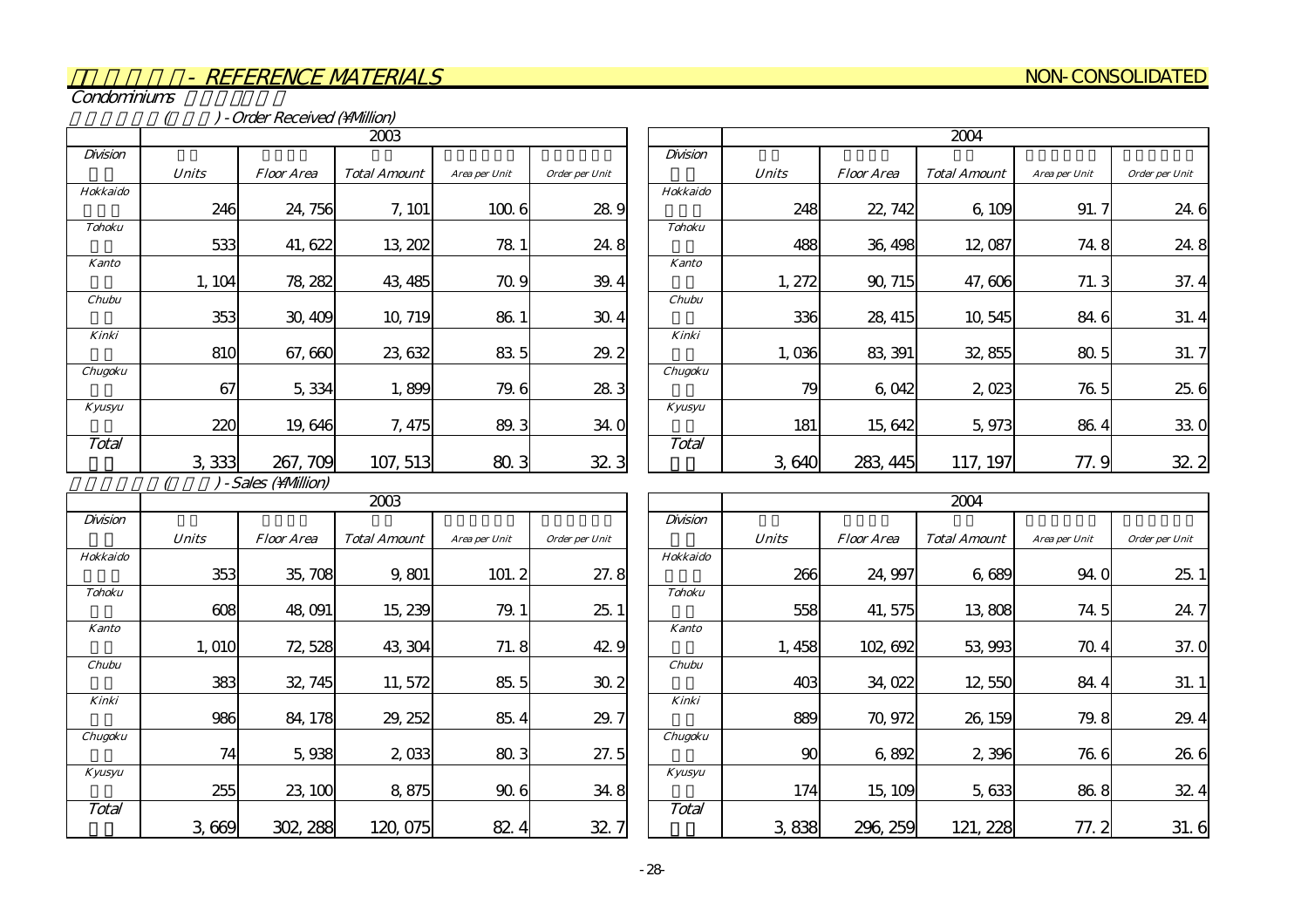#### NON-CONSOLIDATED

Condominiums

(b) - Order Received (\Million)

|               |              | 2003              |                     |               |                |  |  |
|---------------|--------------|-------------------|---------------------|---------------|----------------|--|--|
| Division      |              |                   |                     |               |                |  |  |
|               | <b>Units</b> | <i>Floor Area</i> | <b>Total Amount</b> | Area per Unit | Order per Unit |  |  |
| Hokkaido      |              |                   |                     |               |                |  |  |
|               | 246          | 24, 756           | 7, 101              | 100.6         | 28.9           |  |  |
| <b>Tohoku</b> |              |                   |                     |               |                |  |  |
|               | 533          | 41, 622           | 13, 202             | 78 1          | 24.8           |  |  |
| <b>Kanto</b>  |              |                   |                     |               |                |  |  |
|               | 1, 104       | 78, 282           | 43, 485             | 70.9          | 39.4           |  |  |
| Chubu         |              |                   |                     |               |                |  |  |
|               | 353          | 30, 409           | 10, 719             | 86.1          | 30.4           |  |  |
| Kinki         |              |                   |                     |               |                |  |  |
|               | 810          | 67,660            | 23, 632             | 83.5          | 29.2           |  |  |
| Chugoku       |              |                   |                     |               |                |  |  |
|               | 67           | 5,334             | 1,899               | 79.6          | 28.3           |  |  |
| Kyusyu        |              |                   |                     |               |                |  |  |
|               | 220          | 19,646            | 7,475               | 89.3          | 34.0           |  |  |
| Total         |              |                   |                     |               |                |  |  |
|               | 3,333        | 267, 709          | 107, 513            | 80.3          | 32.3           |  |  |

|               | 2004         |                   |                     |               |                        |
|---------------|--------------|-------------------|---------------------|---------------|------------------------|
| Division      |              |                   |                     |               |                        |
|               | <b>Units</b> | <i>Floor Area</i> | <b>Total Amount</b> | Area per Unit | Order per Unit         |
| Hokkaido      |              |                   |                     |               |                        |
|               | 248          | 22, 742           | 6,109               | 91.7          | 24.6                   |
| <b>Tohoku</b> |              |                   |                     |               |                        |
|               | 488          | 36, 498           | 12,087              | 74.8          | 24.8                   |
| <b>Kanto</b>  |              |                   |                     |               |                        |
|               | 1, 272       | 90, 715           | 47,606              | 71.3          | 37.4                   |
| Chubu         |              |                   |                     |               |                        |
|               | 336          | 28, 415           | 10,545              | 846           | 31.4                   |
| Kinki         |              |                   |                     |               |                        |
|               | 1,036        | 83, 391           | 32, 855             | 80.5          | 31.7                   |
| Chugoku       |              |                   |                     |               |                        |
|               | 79           | 6,042             | 2,023               | 76.5          | 25.6                   |
| Kyusyu        |              |                   |                     |               |                        |
|               | 181          | 15,642            | 5,973               | 86.4          | 33.0                   |
| Total         |              |                   |                     |               |                        |
|               | 3,640        | 283, 445          | 117, 197            | 77.9          | 32<br>$\boldsymbol{2}$ |

 $( ) - Sales (Mllion)$ 

|               |              | 2003              |                     |               |                |  |  |
|---------------|--------------|-------------------|---------------------|---------------|----------------|--|--|
| Division      |              |                   |                     |               |                |  |  |
|               | <b>Units</b> | <i>Floor Area</i> | <b>Total Amount</b> | Area per Unit | Order per Unit |  |  |
| Hokkaido      |              |                   |                     |               |                |  |  |
|               | 353          | 35,708            | 9,801               | 101.2         | 27.8           |  |  |
| <b>Tohoku</b> |              |                   |                     |               |                |  |  |
|               | 608          | 48,091            | 15, 239             | 79.1          | 25.1           |  |  |
| <b>Kanto</b>  |              |                   |                     |               |                |  |  |
|               | 1,010        | 72, 528           | 43, 304             | 71.8          | 42.9           |  |  |
| Chubu         |              |                   |                     |               |                |  |  |
|               | 383          | 32, 745           | 11,572              | 85.5          | 30.2           |  |  |
| Kinki         |              |                   |                     |               |                |  |  |
|               | 986          | 84, 178           | 29, 252             | 85.4          | 29.7           |  |  |
| Chugoku       |              |                   |                     |               |                |  |  |
|               | 74           | 5,938             | 2,033               | 80.3          | 27.5           |  |  |
| Kyusyu        |              |                   |                     |               |                |  |  |
|               | 255          | 23, 100           | 8,875               | 90.6          | 34.8           |  |  |
| Total         |              |                   |                     |               |                |  |  |
|               | 3,669        | 302, 288          | 120,075             | 82<br>4       | 32.7           |  |  |

|               |              |            | 2004                |               |                       |
|---------------|--------------|------------|---------------------|---------------|-----------------------|
| Division      |              |            |                     |               |                       |
|               | <b>Units</b> | Floor Area | <b>Total Amount</b> | Area per Unit | Order per Unit        |
| Hokkaido      |              |            |                     |               |                       |
|               | 266          | 24, 997    | 6,689               | 94.0          | 25.1                  |
| <b>Tohoku</b> |              |            |                     |               |                       |
|               | 558          | 41, 575    | 13,808              | 74.5          | 24.7                  |
| <b>Kanto</b>  |              |            |                     |               |                       |
|               | 1,458        | 102,692    | 53,993              | 70.4          | 37.0                  |
| Chubu         |              |            |                     |               |                       |
|               | 403          | 34,022     | 12,550              | 84.4          | 31.1                  |
| Kinki         |              |            |                     |               |                       |
|               | 889          | 70, 972    | 26, 159             | 79.8          | 29.<br>$\overline{4}$ |
| Chugoku       |              |            |                     |               |                       |
|               | 90           | 6,892      | 2,396               | 76.6          | 26.6                  |
| Kyusyu        |              |            |                     |               |                       |
|               | 174          | 15, 109    | 5,633               | 86.8          | 32.4                  |
| Total         |              |            |                     |               |                       |
|               | 3,838        | 296, 259   | 121, 228            | 77.2          | 31.6                  |

 $\overline{\phantom{0}}$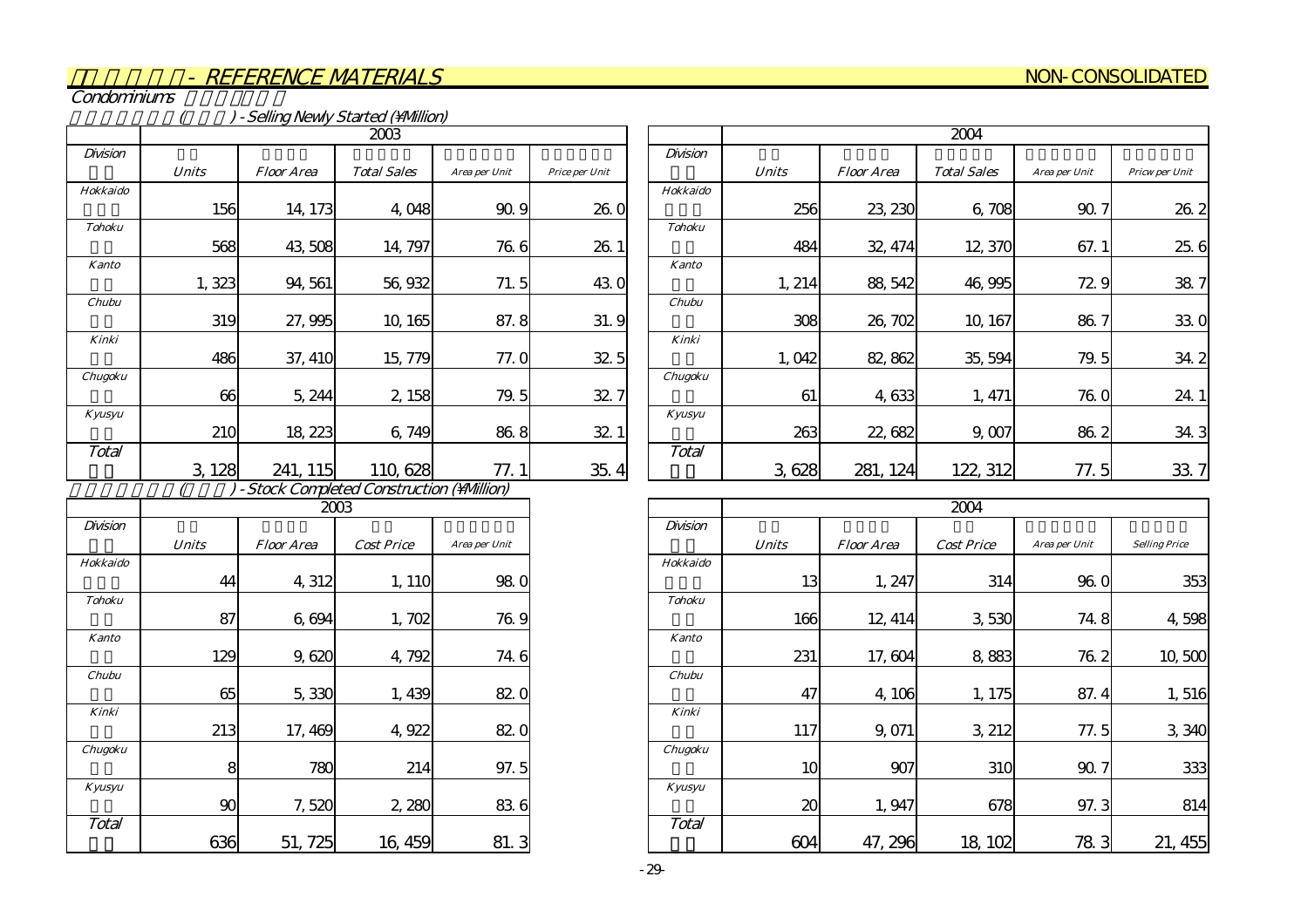#### NON-CONSOLIDATED

Condominiums

|               | - Selling Newly Started (Million) |                                          |                    |               |                |  |  |  |  |
|---------------|-----------------------------------|------------------------------------------|--------------------|---------------|----------------|--|--|--|--|
|               | 2003                              |                                          |                    |               |                |  |  |  |  |
| Division      |                                   |                                          |                    |               |                |  |  |  |  |
|               | <b>Units</b>                      | <i>Floor Area</i>                        | <b>Total Sales</b> | Area per Unit | Price per Unit |  |  |  |  |
| Hokkaido      |                                   |                                          |                    |               |                |  |  |  |  |
|               | 156                               | 14, 173                                  | 4,048              | 90.9          | 26.0           |  |  |  |  |
| <b>Tohoku</b> |                                   |                                          |                    |               |                |  |  |  |  |
|               | 568                               | 43,508                                   | 14, 797            | 76.6          | 26.1           |  |  |  |  |
| <b>Kanto</b>  |                                   |                                          |                    |               |                |  |  |  |  |
|               | 1,323                             | 94, 561                                  | 56,932             | 71.5          | 43.0           |  |  |  |  |
| Chubu         |                                   |                                          |                    |               |                |  |  |  |  |
|               | 319                               | 27,995                                   | 10, 165            | 87.8          | 31.9           |  |  |  |  |
| Kinki         |                                   |                                          |                    |               |                |  |  |  |  |
|               | 486                               | 37, 410                                  | 15,779             | 77. O         | 32.5           |  |  |  |  |
| Chugoku       |                                   |                                          |                    |               |                |  |  |  |  |
|               | 66                                | 5, 244                                   | 2, 158             | 79.5          | 32.7           |  |  |  |  |
| Kyusyu        |                                   |                                          |                    |               |                |  |  |  |  |
|               | 210                               | 18, 223                                  | 6,749              | 86.8          | 32.1           |  |  |  |  |
| Total         |                                   |                                          |                    |               |                |  |  |  |  |
|               | 3,128                             | 241, 115                                 | 110,628            | 77.1          | 35.4           |  |  |  |  |
|               |                                   | - Stock Completed Construction (Million) |                    |               |                |  |  |  |  |
|               |                                   |                                          | 2003               |               |                |  |  |  |  |
| Division      |                                   |                                          |                    |               |                |  |  |  |  |
|               | <b>Units</b>                      | <b>Floor Area</b>                        | <b>Cost Price</b>  | Area per Unit |                |  |  |  |  |

|               | 2004         |                   |                    |               |                |  |  |  |  |
|---------------|--------------|-------------------|--------------------|---------------|----------------|--|--|--|--|
| Division      |              |                   |                    |               |                |  |  |  |  |
|               | <b>Units</b> | <b>Floor Area</b> | <b>Total Sales</b> | Area per Unit | Pricw per Unit |  |  |  |  |
| Hokkaido      |              |                   |                    |               |                |  |  |  |  |
|               | 256          | 23, 230           | 6,708              | 90.7          | 26.2           |  |  |  |  |
| <b>Tohoku</b> |              |                   |                    |               |                |  |  |  |  |
|               | 484          | 32, 474           | 12,370             | 67.1          | 25.6           |  |  |  |  |
| <b>Kanto</b>  |              |                   |                    |               |                |  |  |  |  |
|               | 1, 214       | 88, 542           | 46,995             | 72.9          | 38.7           |  |  |  |  |
| Chubu         |              |                   |                    |               |                |  |  |  |  |
|               | 308          | 26, 702           | 10, 167            | 86.7          | 33.0           |  |  |  |  |
| Kinki         |              |                   |                    |               |                |  |  |  |  |
|               | 1,042        | 82, 862           | 35, 594            | 79.5          | 34.2           |  |  |  |  |
| Chugoku       |              |                   |                    |               |                |  |  |  |  |
|               | 61           | 4,633             | 1, 471             | 76.0          | 24.            |  |  |  |  |
| Kyusyu        |              |                   |                    |               |                |  |  |  |  |
|               | 263          | 22,682            | 9,007              | 86.2          | 34.3           |  |  |  |  |
| Total         |              |                   |                    |               |                |  |  |  |  |
|               | 628<br>З     | 281, 124          | 122, 312           | 77.5          | 33             |  |  |  |  |

|               | 2003         |                   |                   |                 |  |  |  |  |  |  |
|---------------|--------------|-------------------|-------------------|-----------------|--|--|--|--|--|--|
| Division      |              |                   |                   |                 |  |  |  |  |  |  |
|               | <b>Units</b> | <b>Floor Area</b> | <b>Cost Price</b> | Area per Unit   |  |  |  |  |  |  |
| Hokkaido      |              |                   |                   |                 |  |  |  |  |  |  |
|               | 44           | 4,312             | 1, 110            | 98 <sub>0</sub> |  |  |  |  |  |  |
| <b>Tohoku</b> |              |                   |                   |                 |  |  |  |  |  |  |
|               | 87           | 6,694             | 1,702             | 76.9            |  |  |  |  |  |  |
| <b>Kanto</b>  |              |                   |                   |                 |  |  |  |  |  |  |
|               | 129          | 9,620             | 4,792             | 74.6            |  |  |  |  |  |  |
| Chubu         |              |                   |                   |                 |  |  |  |  |  |  |
|               | 65           | 5,330             | 1,439             | 82.0            |  |  |  |  |  |  |
| Kinki         |              |                   |                   |                 |  |  |  |  |  |  |
|               | 213          | 17, 469           | 4,922             | 82.0            |  |  |  |  |  |  |
| Chugoku       |              |                   |                   |                 |  |  |  |  |  |  |
|               | 8            | 780               | 214               | 97.5            |  |  |  |  |  |  |
| Kyusyu        |              |                   |                   |                 |  |  |  |  |  |  |
|               | 90           | 7,520             | 2,280             | 836             |  |  |  |  |  |  |
| Total         |              |                   |                   |                 |  |  |  |  |  |  |
|               | 636          | 51, 725           | 16, 459           | 81.3            |  |  |  |  |  |  |

|               |              |                   | 2004              |               |                      |
|---------------|--------------|-------------------|-------------------|---------------|----------------------|
| Division      |              |                   |                   |               |                      |
|               | <b>Units</b> | <b>Floor Area</b> | <b>Cost Price</b> | Area per Unit | <b>Selling Price</b> |
| Hokkaido      |              |                   |                   |               |                      |
|               | 13           | 1, 247            | 314               | 96.0          | 353                  |
| <b>Tohoku</b> |              |                   |                   |               |                      |
|               | 166          | 12, 414           | 3,530             | 74.8          | 4,598                |
| <b>Kanto</b>  |              |                   |                   |               |                      |
|               | 231          | 17,604            | 8,883             | 76.2          | 10,500               |
| Chubu         |              |                   |                   |               |                      |
|               | 47           | 4,106             | 1, 175            | 87.4          | 1,516                |
| Kinki         |              |                   |                   |               |                      |
|               | 117          | 9,071             | 3, 212            | 77.5          | 3,340                |
| Chugoku       |              |                   |                   |               |                      |
|               | 10           | 907               | 310               | 90.7          | 333                  |
| Kyusyu        |              |                   |                   |               |                      |
|               | 20           | 1,947             | 678               | 97.3          | 814                  |
| Total         |              |                   |                   |               |                      |
|               | 604          | 47, 296           | 18, 102           | 783           | 21, 455              |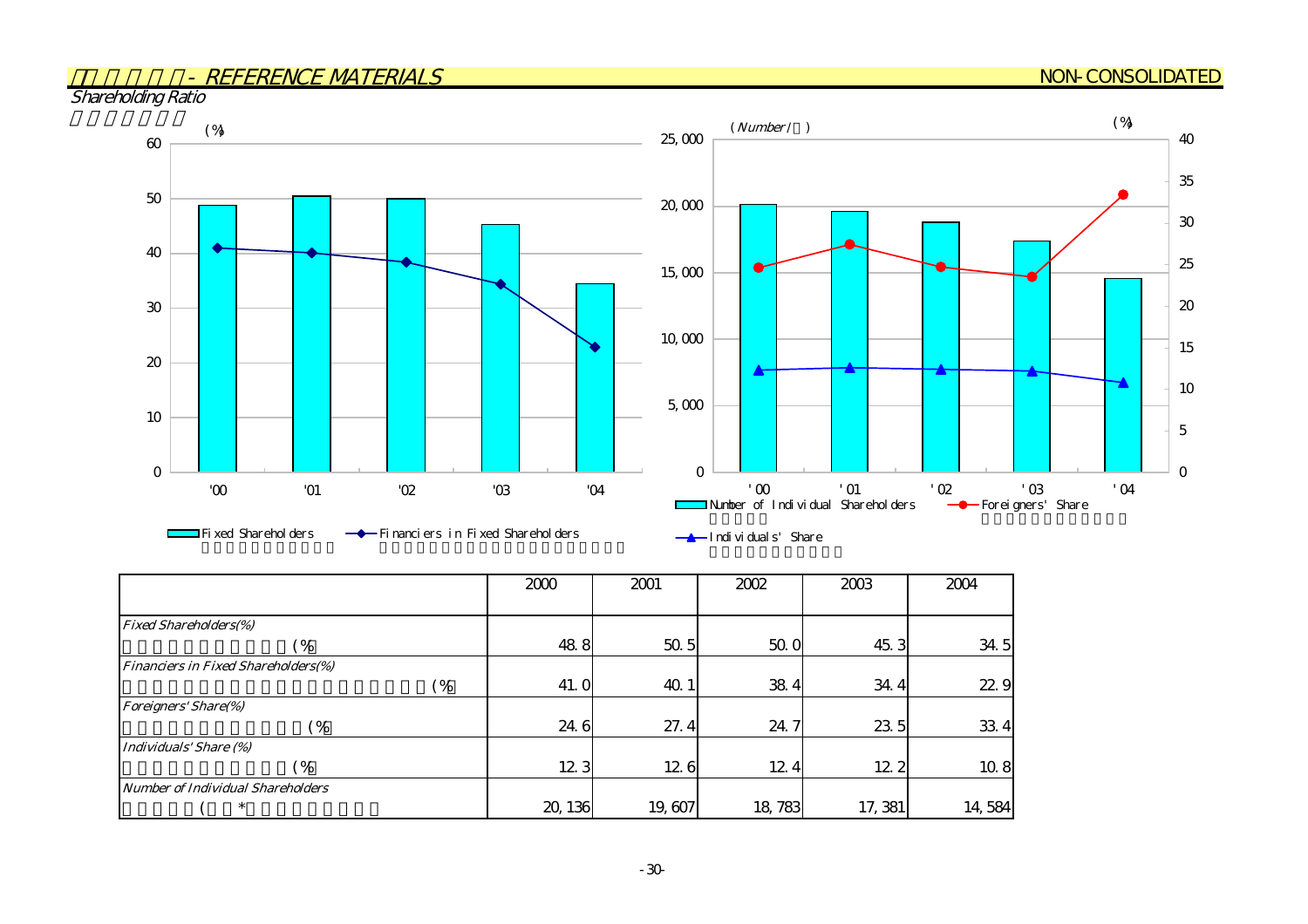#### NON-CONSOLIDATED

Shareholding Ratio



|                                            | 2000    | 2001   | 2002   | 2003    | 2004   |
|--------------------------------------------|---------|--------|--------|---------|--------|
| <b>Fixed Shareholders(%)</b>               |         |        |        |         |        |
| (%                                         | 48.8    | 50.5   | 500    | 45.3    | 34.5   |
| <b>Financiers in Fixed Shareholders(%)</b> |         |        |        |         |        |
| (%                                         | 41. O   | 40.1   | 384    | 34.4    | 22.9   |
| <b>Foreigners' Share(%)</b>                |         |        |        |         |        |
| (%                                         | 24.6    | 27.4   | 24.7   | 23 5    | 334    |
| Individuals' Share (%)                     |         |        |        |         |        |
| $\frac{6}{6}$                              | 123     | 126    | 124    | 12.2    | 10.8   |
| <b>Number of Individual Shareholders</b>   |         |        |        |         |        |
| $\ast$                                     | 20, 136 | 19,607 | 18,783 | 17, 381 | 14,584 |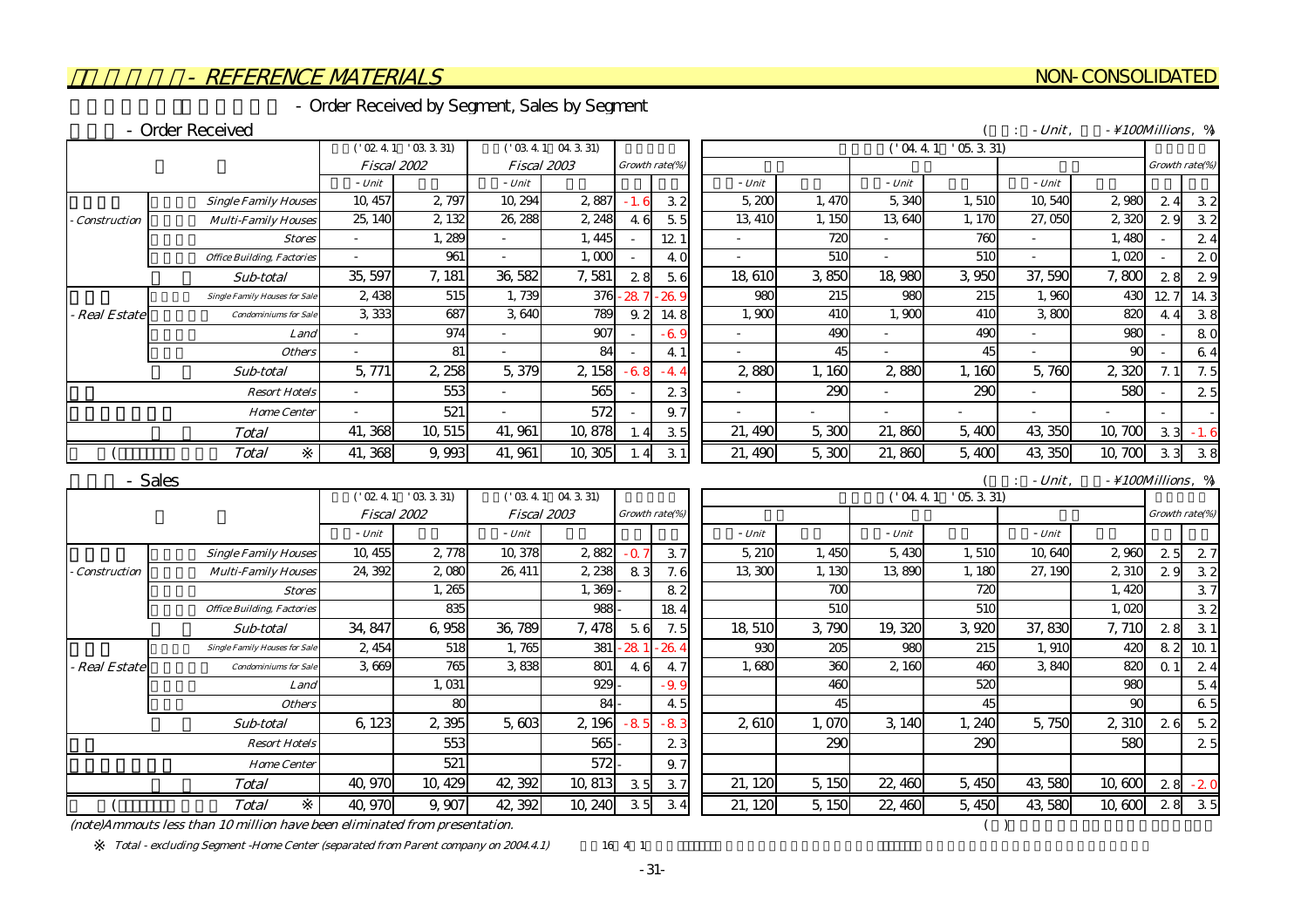#### - Order Received by Segment, Sales by Segment

#### - Order Received

|                     |                                      |             | ('02.4.1 '03.3.31)       |         | ('03.4.1 04.3.31) |           |                 |        |        | 04.41        | $'$ 05. 3. 31)  |           |                               |                |                |
|---------------------|--------------------------------------|-------------|--------------------------|---------|-------------------|-----------|-----------------|--------|--------|--------------|-----------------|-----------|-------------------------------|----------------|----------------|
|                     |                                      | Fiscal 2002 |                          |         | Fiscal 2003       |           | Growth rate(%)  |        |        |              |                 |           |                               |                | Growth rate(%) |
|                     |                                      | - Unit      |                          | - Unit  |                   |           |                 | - Unit |        | $- Unit$     |                 | $- Unit$  |                               |                |                |
|                     | <b>Single Family Houses</b>          | 10, 457     | 2,797                    | 10, 294 | 2887              | $-1.6$    | 32              | 5,200  | 1, 470 | 5,340        | 1,510           | 10,540    | 2,980                         | 24             | 32             |
| <b>Construction</b> | <b>Multi-Family Houses</b>           | 25, 14C     | 2 132                    | 26, 288 | 2, 248            | 46        | 5.5             | 13 41C | 1, 150 | 13 640       | 1, 170          | 27,050    | 2,320                         | 29             | 32             |
|                     | <b>Stores</b>                        |             | 1,289                    |         | 1, 445            |           | 12 <sub>1</sub> |        | 72C    |              | 760             |           | 1,480                         |                | 24             |
|                     | <b>Office Building, Factories</b>    |             | 961                      |         | 1,000             |           | 40              |        | 510    |              | 51C             |           | 1,020                         |                | 20             |
|                     | Sub-total                            | 35, 597     | 7, 181                   | 36,582  | 7,581             | 28        | 5.6             | 18,610 | 3,850  | 18,980       | 3,950           | 37,590    | 7,800                         | 28             | 29             |
|                     | <b>Single Family Houses for Sale</b> | 2,438       | 515                      | 1,739   | 376               | 28        | 26.9            | 980    | 215    | 980          | 215             | 1,960     | 430                           | 12.7           | 14 3           |
| - Real Estate       | <b>Condominiums</b> for Sale         | 3,333       | 687                      | 3,640   | 789               | 9.2       | 14.8            | 1,900  | 410    | 1,900        | 41 <sub>C</sub> | 3.800     | 820                           | 4 <sub>4</sub> | 38             |
|                     | Land                                 |             | 974                      |         | 907               |           | $-69$           |        | 490    |              | 490             |           | 980                           |                | 80             |
|                     | <b>Others</b>                        |             | 81                       |         | 84                |           | 4 <sup>1</sup>  |        | 45     |              | 45              |           | $\alpha$                      |                | 64             |
|                     | Sub-total                            | 5,771       | 2,258                    | 5,379   | 2,158             | $-6.8$    | $-44$           | 2,880  | 1,160  | 2,880        | 1.160           | 5,760     | 2,320                         | 7.1            | 7.5            |
|                     | <b>Resort Hotels</b>                 |             | 553                      |         | 565               |           | 23              |        | 290    |              | 290             |           | 580                           |                | 25             |
|                     | <b>Home Center</b>                   |             | 521                      |         | 572               |           | 9.7             |        |        |              |                 |           |                               |                |                |
|                     | <b>Total</b>                         | 41,368      | 10, 515                  | 41, 961 | 10,878            | 1.4       | 35              | 21,490 | 5,300  | 21,860       | 5,400           | 43,350    | 10,700                        | 33             | $-1.6$         |
|                     | <b>Total</b>                         | 41,368      | 9,993                    | 41, 961 | 10,305            | 1.4       | 31              | 21,490 | 5,300  | 21,860       | 5,400           | 43,350    | 10,700                        | 33             | 3.8            |
|                     | - Sales                              |             |                          |         |                   |           |                 |        |        |              |                 | $-Unit$ . | $- \setminus 100$ Millions, % |                |                |
|                     |                                      |             | $('$ O2 4 1 $'$ O3 3 31) |         | ('03.4.1 04.3.31) |           |                 |        |        | $($ ' 04.4.1 | $'$ 05. 3. 31)  |           |                               |                |                |
|                     |                                      | Fiscal 2002 |                          |         | Fiscal 2003       |           | Growth rate(%)  |        |        |              |                 |           |                               |                | Growth rate(%) |
|                     |                                      | - Unit      |                          | - Unit  |                   |           |                 | - Unit |        | $- Unit$     |                 | - Unit    |                               |                |                |
|                     | <b>Single Family Houses</b>          | 10, 455     | 2 778                    | 10,378  | 2882              | $-\Omega$ | 37              | 5, 210 | 1.450  | 5,430        | 1,510           | 10,640    | 2.960                         | 25             | 27             |
| <b>Construction</b> | <b>Multi-Family Houses</b>           | 24, 392     | 2 080                    | 26, 411 | 2,238             | 83        | 7.6             | 13,300 | 1,130  | 13,890       | 1,180           | 27, 190   | 2,310                         | 29             | 32             |
|                     | <b>Stores</b>                        |             | 1,265                    |         | 1,369             |           | 82              |        | 700    |              | 720             |           | 1,420                         |                | 3.7            |
|                     | <b>Office Building, Factories</b>    |             | 835                      |         | 988               |           | 184             |        | 510    |              | 510             |           | 1,020                         |                | 32             |
|                     | Sub-total                            | 34, 847     | 6,958                    | 36,789  | 7,478             | 5.6       | 7.5             | 18,510 | 3,790  | 19,320       | 3,920           | 37,830    | 7, 71C                        | 28             | 3.1            |
|                     | <b>Single Family Houses for Sale</b> | 2,454       | 518                      | 1.765   | 381               | 28        | 26.4            | 930    | 205    | 980          | 215             | 1.910     | 42C                           | 82             | 10 1           |
| - Real Estate       | <b>Condominiums</b> for Sale         | 3.669       | 765                      | 3838    | 801               | 4.6       | 4.7             | 1,680  | 360    | 2,160        | 46C             | 3,840     | 820                           | Q <sub>1</sub> | 24             |
|                     | Land                                 |             | 1,031                    |         | 929               |           | . 9. C          |        | 46C    |              | 520             |           | 980                           |                | 5.4            |
|                     | <b>Others</b>                        |             | 80                       |         | 84                |           | 45              |        | 45     |              | 45              |           | 90                            |                | 6.5            |
|                     | Sub-total                            | 6,123       | 2,395                    | 5,603   | 2,196             | $-8$      | $-8.3$          | 2,610  | 1,070  | 3,140        | 1,240           | 5,750     | 2,310                         | 26             | 5.2            |
|                     | <b>Resort Hotels</b>                 |             | 553                      |         | 565               |           | 23              |        | 290    |              | 290             |           | 580                           |                | 25             |
|                     |                                      |             |                          |         |                   |           |                 |        |        |              |                 |           |                               |                |                |
|                     | <b>Home Center</b>                   |             | 521                      |         | 572               |           | 9.7             |        |        |              |                 |           |                               |                |                |

 $($  : - Unit,  $\frac{100 \text{Millions}}{8}$ , %

 $(note)$ Ammouts less than 10 million have been eliminated from presentation.  $($ 

Total - excluding Segment -Home Center (separated from Parent company on 2004.4.1) 16 4 1

-31-

NON-CONSOLIDATED

 $($  Total | 40,970 9,907 42,392 10,240 3.5 3.4 2.1.20 5,150 22,460 5,450 43,580 10,600 2.8 3.5 40,970 9,907 42,392 10,240 3.5 3.4 21,120 5,150 22,460 5,450 43,580 10,600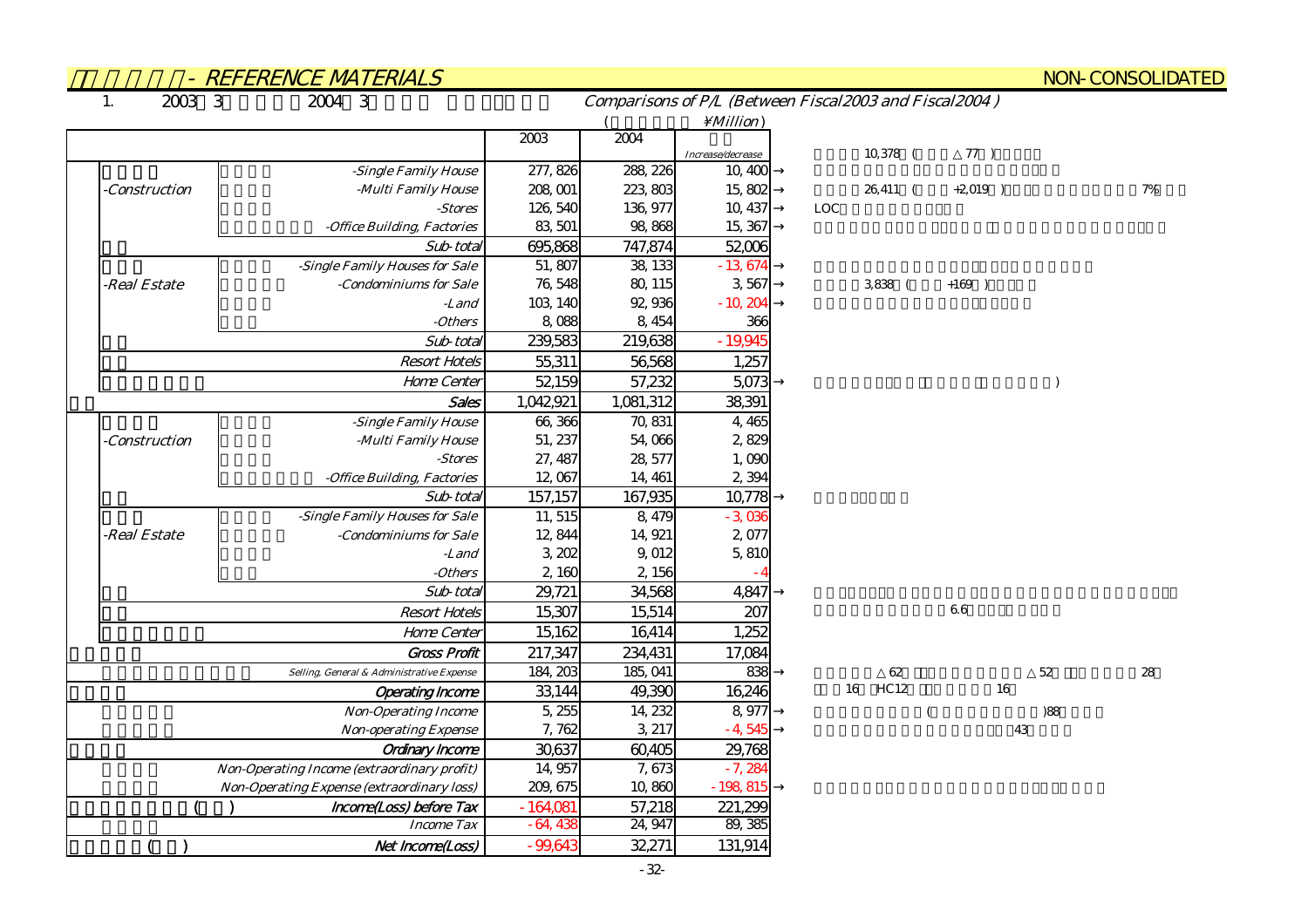|                          | <u>- REFERENCE MATERIALS</u>                |            |           |                      |                                                        |            |     | <b>NON-CONSOLIDATED</b> |
|--------------------------|---------------------------------------------|------------|-----------|----------------------|--------------------------------------------------------|------------|-----|-------------------------|
| 2003 3<br>$\mathbf{1}$ . | 2004 3                                      |            |           |                      | Comparisons of P/L (Between Fiscal2003 and Fiscal2004) |            |     |                         |
|                          |                                             |            |           | $\setminus$ Million) |                                                        |            |     |                         |
|                          |                                             | 2003       | 2004      |                      |                                                        |            |     |                         |
|                          |                                             |            |           | Increase/decrease    | 10,378 (                                               | 77)        |     |                         |
|                          | -Single Family House                        | 277, 826   | 288, 226  | 10,400               |                                                        |            |     |                         |
| <b>Construction</b>      | -Multi Family House                         | 208,001    | 223,803   | 15,802               | $26,411$ (                                             | $+2,019$ ) |     | 7%                      |
|                          | -Stores                                     | 126, 540   | 136, 977  | 10, 437              | LOC                                                    |            |     |                         |
|                          | -Office Building, Factories                 | 83, 501    | 98,868    | 15,367               |                                                        |            |     |                         |
|                          | Sub-total                                   | 695,868    | 747,874   | 52,006               |                                                        |            |     |                         |
|                          | -Single Family Houses for Sale              | 51,807     | 38, 133   | $-13674$             |                                                        |            |     |                         |
| -Real Estate             | -Condominiums for Sale                      | 76, 548    | 80, 115   | 3,567                | 3,838 (                                                | $+169$ )   |     |                         |
|                          | -Land                                       | 103, 140   | 92,936    | $-10,204$            |                                                        |            |     |                         |
|                          | $- Others$                                  | 8,088      | 8, 454    | 366                  |                                                        |            |     |                         |
|                          | Sub-total                                   | 239,583    | 219,638   | $-19,945$            |                                                        |            |     |                         |
|                          | <b>Resort Hotels</b>                        | 55,311     | 56,568    | 1,257                |                                                        |            |     |                         |
|                          | Home Center                                 | 52,159     | 57,232    | 5,073                |                                                        |            |     |                         |
|                          | Sales                                       | 1,042,921  | 1,081,312 | 38,391               |                                                        |            |     |                         |
|                          | -Single Family House                        | 66,366     | 70, 831   | 4,465                |                                                        |            |     |                         |
| <b>Construction</b>      | -Multi Family House                         | 51, 237    | 54,066    | 2,829                |                                                        |            |     |                         |
|                          | -Stores                                     | 27, 487    | 28, 577   | 1,090                |                                                        |            |     |                         |
|                          | -Office Building, Factories                 | 12,067     | 14, 461   | 2,394                |                                                        |            |     |                         |
|                          | Sub-total                                   | 157,157    | 167,935   | 10,778               |                                                        |            |     |                         |
|                          | -Single Family Houses for Sale              | 11, 515    | 8,479     | $-3,036$             |                                                        |            |     |                         |
| -Real Estate             | -Condominiums for Sale                      | 12,844     | 14, 921   | 2,077                |                                                        |            |     |                         |
|                          | -Land                                       | 3, 202     | 9,012     | 5,810                |                                                        |            |     |                         |
|                          | -Others                                     | 2,160      | 2,156     |                      |                                                        |            |     |                         |
|                          | Sub-total                                   | 29,721     | 34,568    | 4,847                |                                                        |            |     |                         |
|                          | <b>Resort Hotels</b>                        | 15,307     | 15,514    | 207                  |                                                        | 66         |     |                         |
|                          | Home Center                                 | 15,162     | 16,414    | 1,252                |                                                        |            |     |                         |
|                          | <b>Gross Profit</b>                         | 217,347    | 234,431   | 17,084               |                                                        |            |     |                         |
|                          | Selling, General & Administrative Expense   | 184, 203   | 185, 041  | 838                  | 62                                                     |            | 52  | 28                      |
|                          | <b>Operating Income</b>                     | 33,144     | 49,390    | 16,246               | HC12<br>16                                             | 16         |     |                         |
|                          | <b>Non-Operating Income</b>                 | 5, 255     | 14, 232   | 8,977                |                                                        |            | )88 |                         |
|                          | <b>Non-operating Expense</b>                | 7, 762     | 3, 217    | $-4,545$             |                                                        | 43         |     |                         |
|                          | <b>Ordinary Income</b>                      | 30,637     | 60,405    | 29,768               |                                                        |            |     |                         |
|                          | Non-Operating Income (extraordinary profit) | 14,957     | 7,673     | $-7,284$             |                                                        |            |     |                         |
|                          | Non-Operating Expense (extraordinary loss)  | 209, 675   | 10,860    | $-198,815$           |                                                        |            |     |                         |
|                          | Income(Loss) before Tax                     | $-164,081$ | 57,218    | 221,299              |                                                        |            |     |                         |
|                          | <b>Income Tax</b>                           | $-64,438$  | 24, 947   | 89, 385              |                                                        |            |     |                         |
|                          | Net Income(Loss)                            | $-99,643$  | 32,271    | 131,914              |                                                        |            |     |                         |